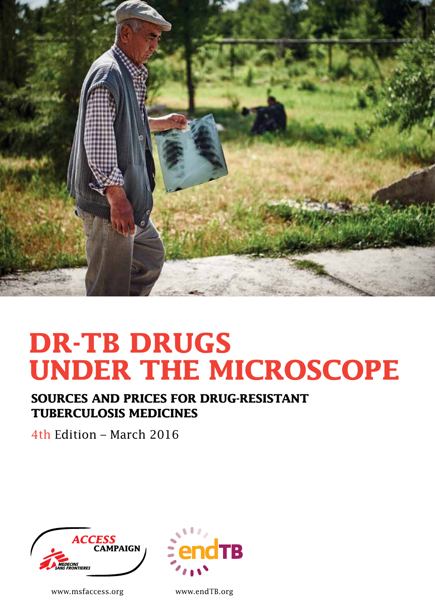

# **DR-TB DRUGS UNDER THE MICROSCOPE**

## **SOURCES AND PRICES FOR DRUG-RESISTANT TUBERCULOSIS MEDICINES**

4th Edition – March 2016



www.msfaccess.org



Quadrichromie C 0 www.endTB.org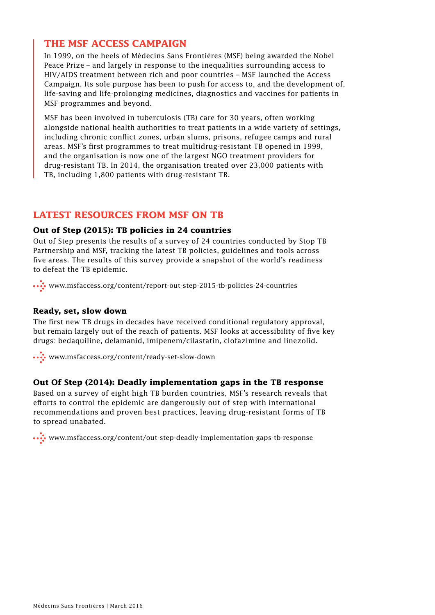## **THE MSF ACCESS CAMPAIGN**

In 1999, on the heels of Médecins Sans Frontières (MSF) being awarded the Nobel Peace Prize – and largely in response to the inequalities surrounding access to HIV/AIDS treatment between rich and poor countries – MSF launched the Access Campaign. Its sole purpose has been to push for access to, and the development of, life-saving and life-prolonging medicines, diagnostics and vaccines for patients in MSF programmes and beyond.

MSF has been involved in tuberculosis (TB) care for 30 years, often working alongside national health authorities to treat patients in a wide variety of settings, including chronic conflict zones, urban slums, prisons, refugee camps and rural areas. MSF's first programmes to treat multidrug-resistant TB opened in 1999, and the organisation is now one of the largest NGO treatment providers for drug-resistant TB. In 2014, the organisation treated over 23,000 patients with TB, including 1,800 patients with drug-resistant TB.

## **LATEST RESOURCES FROM MSF ON TB**

## **Out of Step (2015): TB policies in 24 countries**

Out of Step presents the results of a survey of 24 countries conducted by Stop TB Partnership and MSF, tracking the latest TB policies, guidelines and tools across five areas. The results of this survey provide a snapshot of the world's readiness to defeat the TB epidemic.

www.msfaccess.org/content/report-out-step-2015-tb-policies-24-countries

## **Ready, set, slow down**

The first new TB drugs in decades have received conditional regulatory approval, but remain largely out of the reach of patients. MSF looks at accessibility of five key drugs: bedaquiline, delamanid, imipenem/cilastatin, clofazimine and linezolid.

www.msfaccess.org/content/ready-set-slow-down

## **Out Of Step (2014): Deadly implementation gaps in the TB response**

Based on a survey of eight high TB burden countries, MSF's research reveals that efforts to control the epidemic are dangerously out of step with international recommendations and proven best practices, leaving drug-resistant forms of TB to spread unabated.

www.msfaccess.org/content/out-step-deadly-implementation-gaps-tb-response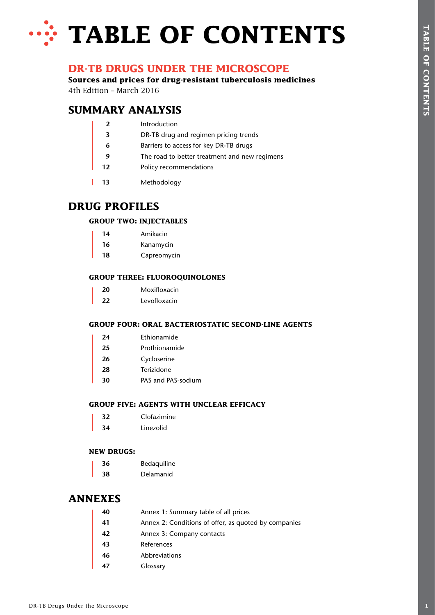# **WE TABLE OF CONTENTS**

## **DR-TB DRUGS UNDER THE MICROSCOPE**

## **SUMMARY ANALYSIS**

| 4th Edition - March 2016 | DR-TB DRUGS UNDER THE MICROSCOPE<br>Sources and prices for drug-resistant tuberculosis medicines |  |
|--------------------------|--------------------------------------------------------------------------------------------------|--|
|                          | <b>SUMMARY ANALYSIS</b>                                                                          |  |
|                          | Introduction                                                                                     |  |
| $\mathbf{3}$             | DR-TB drug and regimen pricing trends                                                            |  |
| 6                        | Barriers to access for key DR-TB drugs                                                           |  |
| 9                        | The road to better treatment and new regimens                                                    |  |
| 12                       | Policy recommendations                                                                           |  |
| 13                       | Methodology                                                                                      |  |
| <b>DRUG PROFILES</b>     |                                                                                                  |  |
|                          | <b>GROUP TWO: INJECTABLES</b>                                                                    |  |
| 14                       | Amikacin                                                                                         |  |
| 16                       | Kanamycin                                                                                        |  |
| 18                       | Capreomycin                                                                                      |  |
|                          | <b>GROUP THREE: FLUOROQUINOLONES</b>                                                             |  |
| 20                       | Moxifloxacin                                                                                     |  |
| 22                       | Levofloxacin                                                                                     |  |
|                          | <b>GROUP FOUR: ORAL BACTERIOSTATIC SECOND-LINE AGENTS</b>                                        |  |
| 24                       | Ethionamide                                                                                      |  |
| 25                       | Prothionamide                                                                                    |  |
| 26                       | Cycloserine                                                                                      |  |
| 28                       | Terizidone                                                                                       |  |
| 30                       | PAS and PAS-sodium                                                                               |  |
|                          | <b>GROUP FIVE: AGENTS WITH UNCLEAR EFFICACY</b>                                                  |  |
| 32                       | Clofazimine                                                                                      |  |
| 34                       | Linezolid                                                                                        |  |
| <b>NEW DRUGS:</b>        |                                                                                                  |  |
| 36                       | Bedaquiline                                                                                      |  |
| 38                       | Delamanid                                                                                        |  |
| <b>ANNEXES</b>           |                                                                                                  |  |
| 40                       | Annex 1: Summary table of all prices                                                             |  |
| 41                       | Annex 2: Conditions of offer, as quoted by companies                                             |  |
| 42                       | Annex 3: Company contacts                                                                        |  |
| 43                       | References                                                                                       |  |
| 46                       | Abbreviations                                                                                    |  |
| 47                       | Glossary                                                                                         |  |

## **DRUG PROFILES**

## **GROUP TWO: INJECTABLES**

| 14 | Amikacin    |
|----|-------------|
| 16 | Kanamycin   |
| 18 | Capreomycin |

## **GROUP THREE: FLUOROQUINOLONES**

| 20 | Moxifloxacin |
|----|--------------|
| フフ | Levofloxacin |

## **GROUP FOUR: ORAL BACTERIOSTATIC SECOND-LINE AGENTS**

|  | Prothionamide |
|--|---------------|
|  |               |

- **26** Cycloserine
- **28** Terizidone
- **30** PAS and PAS-sodium

## **GROUP FIVE: AGENTS WITH UNCLEAR EFFICACY**

| スフ | Clofazimine |
|----|-------------|
| 34 | Linezolid   |

## **NEW DRUGS:**

| 36 | Bedaquiline |
|----|-------------|
| 38 | Delamanid   |

## **ANNEXES**

| 40 | Annex 1: Summary table of all prices                 |
|----|------------------------------------------------------|
| 41 | Annex 2: Conditions of offer, as quoted by companies |
| 42 | Annex 3: Company contacts                            |
| 43 | References                                           |
| 46 | Abbreviations                                        |
|    | Glossary                                             |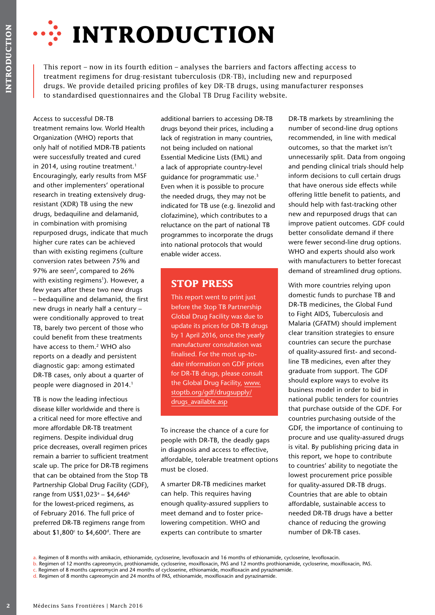

This report – now in its fourth edition – analyses the barriers and factors affecting access to treatment regimens for drug-resistant tuberculosis (DR-TB), including new and repurposed drugs. We provide detailed pricing profiles of key DR-TB drugs, using manufacturer responses to standardised questionnaires and the Global TB Drug Facility website.

**20** METHE STRAME THE STRAME THE STRAME THE STRAME THE STRAME THE STRAME THE STRAME THE STRAME THE STRAME THE STRAME THE STRAME THE STRAME THE STRAME THE STRAME THE STRAME THE STRAME THE STRAME THE STRAME THE STRAME THE ST Access to successful DR-TB treatment remains low. World Health Organization (WHO) reports that only half of notified MDR-TB patients were successfully treated and cured in 2014, using routine treatment.<sup>1</sup> Encouragingly, early results from MSF and other implementers' operational research in treating extensively drugresistant (XDR) TB using the new drugs, bedaquiline and delamanid, in combination with promising repurposed drugs, indicate that much higher cure rates can be achieved than with existing regimens (culture conversion rates between 75% and 97% are seen<sup>2</sup>, compared to 26% with existing regimens<sup>1</sup>). However, a few years after these two new drugs – bedaquiline and delamanid, the first new drugs in nearly half a century – were conditionally approved to treat TB, barely two percent of those who could benefit from these treatments have access to them.<sup>2</sup> WHO also reports on a deadly and persistent diagnostic gap: among estimated DR-TB cases, only about a quarter of people were diagnosed in 2014.<sup>1</sup>

TB is now the leading infectious disease killer worldwide and there is a critical need for more effective and more affordable DR-TB treatment regimens. Despite individual drug price decreases, overall regimen prices remain a barrier to sufficient treatment scale up. The price for DR-TB regimens that can be obtained from the Stop TB Partnership Global Drug Facility (GDF), range from US\$1,023<sup>a</sup> – \$4,646<sup>b</sup> for the lowest-priced regimens, as of February 2016. The full price of preferred DR-TB regimens range from about  $$1,800^{\circ}$  to  $$4,600^{\circ}$ . There are

additional barriers to accessing DR-TB drugs beyond their prices, including a lack of registration in many countries, not being included on national Essential Medicine Lists (EML) and a lack of appropriate country-level guidance for programmatic use.<sup>3</sup> Even when it is possible to procure the needed drugs, they may not be indicated for TB use (e.g. linezolid and clofazimine), which contributes to a reluctance on the part of national TB programmes to incorporate the drugs into national protocols that would enable wider access.

## **STOP PRESS**

This report went to print just before the Stop TB Partnership Global Drug Facility was due to update its prices for DR-TB drugs by 1 April 2016, once the yearly manufacturer consultation was finalised. For the most up-todate information on GDF prices for DR-TB drugs, please consult the Global Drug Facility, www. stoptb.org/gdf/drugsupply/ drugs\_available.asp

To increase the chance of a cure for people with DR-TB, the deadly gaps in diagnosis and access to effective, affordable, tolerable treatment options must be closed.

A smarter DR-TB medicines market can help. This requires having enough quality-assured suppliers to meet demand and to foster pricelowering competition. WHO and experts can contribute to smarter

DR-TB markets by streamlining the number of second-line drug options recommended, in line with medical outcomes, so that the market isn't unnecessarily split. Data from ongoing and pending clinical trials should help inform decisions to cull certain drugs that have onerous side effects while offering little benefit to patients, and should help with fast-tracking other new and repurposed drugs that can improve patient outcomes. GDF could better consolidate demand if there were fewer second-line drug options. WHO and experts should also work with manufacturers to better forecast demand of streamlined drug options.

With more countries relying upon domestic funds to purchase TB and DR-TB medicines, the Global Fund to Fight AIDS, Tuberculosis and Malaria (GFATM) should implement clear transition strategies to ensure countries can secure the purchase of quality-assured first- and secondline TB medicines, even after they graduate from support. The GDF should explore ways to evolve its business model in order to bid in national public tenders for countries that purchase outside of the GDF. For countries purchasing outside of the GDF, the importance of continuing to procure and use quality-assured drugs is vital. By publishing pricing data in this report, we hope to contribute to countries' ability to negotiate the lowest procurement price possible for quality-assured DR-TB drugs. Countries that are able to obtain affordable, sustainable access to needed DR-TB drugs have a better chance of reducing the growing number of DR-TB cases.

a. Regimen of 8 months with amikacin, ethionamide, cycloserine, levofloxacin and 16 months of ethionamide, cycloserine, levofloxacin.

b. Regimen of 12 months capreomycin, prothionamide, cycloserine, moxifloxacin, PAS and 12 months prothionamide, cycloserine, moxifloxacin, PAS.

c. Regimen of 8 months capreomycin and 24 months of cycloserine, ethionamide, moxifloxacin and pyrazinamide.

d. Regimen of 8 months capreomycin and 24 months of PAS, ethionamide, moxifloxacin and pyrazinamide.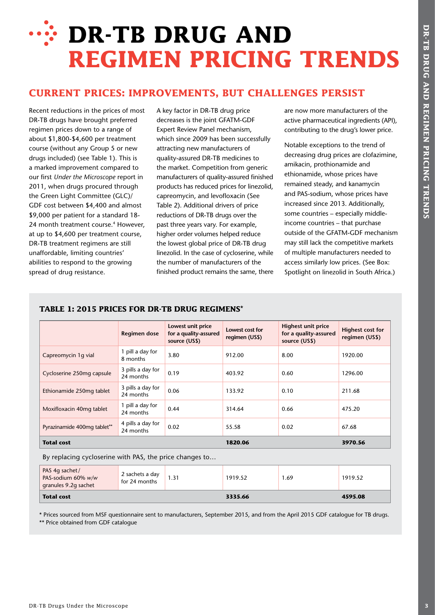# **WE DR-TB DRUG AND REGIMEN PRICING TRENDS**

## **CURRENT PRICES: IMPROVEMENTS, BUT CHALLENGES PERSIST**

Recent reductions in the prices of most DR-TB drugs have brought preferred regimen prices down to a range of about \$1,800-\$4,600 per treatment course (without any Group 5 or new drugs included) (see Table 1). This is a marked improvement compared to our first *Under the Microscope* report in 2011, when drugs procured through the Green Light Committee (GLC)/ GDF cost between \$4,400 and almost \$9,000 per patient for a standard 18- 24 month treatment course.<sup>4</sup> However, at up to \$4,600 per treatment course, DR-TB treatment regimens are still unaffordable, limiting countries' abilities to respond to the growing spread of drug resistance.

A key factor in DR-TB drug price decreases is the joint GFATM-GDF Expert Review Panel mechanism, which since 2009 has been successfully attracting new manufacturers of quality-assured DR-TB medicines to the market. Competition from generic manufacturers of quality-assured finished products has reduced prices for linezolid, capreomycin, and levofloxacin (See Table 2). Additional drivers of price reductions of DR-TB drugs over the past three years vary. For example, higher order volumes helped reduce the lowest global price of DR-TB drug linezolid. In the case of cycloserine, while the number of manufacturers of the finished product remains the same, there

are now more manufacturers of the active pharmaceutical ingredients (API), contributing to the drug's lower price.

Notable exceptions to the trend of decreasing drug prices are clofazimine, amikacin, prothionamide and ethionamide, whose prices have remained steady, and kanamycin and PAS-sodium, whose prices have increased since 2013. Additionally, some countries – especially middleincome countries – that purchase outside of the GFATM-GDF mechanism may still lack the competitive markets of multiple manufacturers needed to access similarly low prices. (See Box: Spotlight on linezolid in South Africa.)

## **TABLE 1: 2015 PRICES FOR DR-TB DRUG REGIMENS**\*

|                             | <b>Regimen dose</b>            | Lowest unit price<br>for a quality-assured<br>source (US\$) | Lowest cost for<br>regimen (US\$) | <b>Highest unit price</b><br>for a quality-assured<br>source (US\$) | <b>Highest cost for</b><br>regimen (US\$) |
|-----------------------------|--------------------------------|-------------------------------------------------------------|-----------------------------------|---------------------------------------------------------------------|-------------------------------------------|
| Capreomycin 1q vial         | 1 pill a day for<br>8 months   | 3.80                                                        | 912.00                            | 8.00                                                                | 1920.00                                   |
| Cycloserine 250mg capsule   | 3 pills a day for<br>24 months | 0.19                                                        | 403.92                            | 0.60                                                                | 1296.00                                   |
| Ethionamide 250mg tablet    | 3 pills a day for<br>24 months | 0.06                                                        | 133.92                            | 0.10                                                                | 211.68                                    |
| Moxifloxacin 40mg tablet    | 1 pill a day for<br>24 months  | 0.44                                                        | 314.64                            | 0.66                                                                | 475.20                                    |
| Pyrazinamide 400mg tablet** | 4 pills a day for<br>24 months | 0.02                                                        | 55.58                             | 0.02                                                                | 67.68                                     |
| <b>Total cost</b>           |                                |                                                             | 1820.06                           |                                                                     | 3970.56                                   |

By replacing cycloserine with PAS, the price changes to…

| PAS 4g sachet/<br>PAS-sodium 60% w/w<br>granules 9.2g sachet | 2 sachets a day<br>for 24 months | 1.31 | 1919.52 | 1.69 | 1919.52 |
|--------------------------------------------------------------|----------------------------------|------|---------|------|---------|
| <b>Total cost</b>                                            |                                  |      | 3335.66 |      | 4595.08 |

\* Prices sourced from MSF questionnaire sent to manufacturers, September 2015, and from the April 2015 GDF catalogue for TB drugs. \*\* Price obtained from GDF catalogue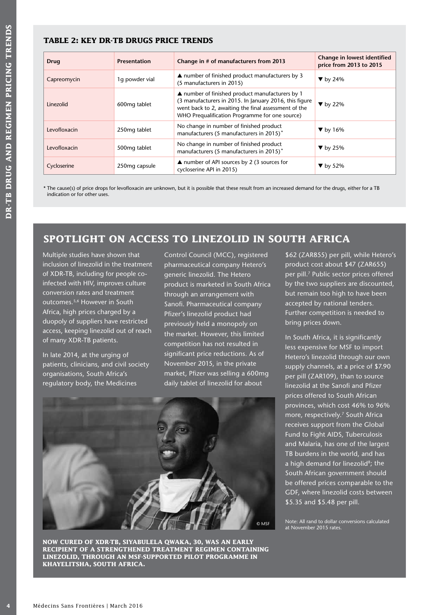## **TABLE 2: KEY DR-TB DRUGS PRICE TRENDS**

| <b>Drug</b>  | <b>Presentation</b>       | Change in # of manufacturers from 2013                                                                                                                                                                                        | Change in lowest identified<br>price from 2013 to 2015 |
|--------------|---------------------------|-------------------------------------------------------------------------------------------------------------------------------------------------------------------------------------------------------------------------------|--------------------------------------------------------|
| Capreomycin  | 1q powder vial            | $\triangle$ number of finished product manufacturers by 3<br>(5 manufacturers in 2015)                                                                                                                                        | $\blacktriangledown$ by 24%                            |
| Linezolid    | 600mg tablet              | $\triangle$ number of finished product manufacturers by 1<br>(3 manufacturers in 2015. In January 2016, this figure<br>went back to 2, awaiting the final assessment of the<br>WHO Prequalification Programme for one source) | $\blacktriangledown$ by 22%                            |
| Levofloxacin | 250mg tablet              | No change in number of finished product<br>manufacturers (5 manufacturers in 2015)*                                                                                                                                           | $\blacktriangledown$ by 16%                            |
| Levofloxacin | 500mg tablet              | No change in number of finished product<br>manufacturers (5 manufacturers in 2015) <sup>*</sup>                                                                                                                               | $\blacktriangledown$ by 25%                            |
| Cycloserine  | 250 <sub>mg</sub> capsule | ▲ number of API sources by 2 (3 sources for<br>cycloserine API in 2015)                                                                                                                                                       | $\blacktriangledown$ by 52%                            |

\* The cause(s) of price drops for levofloxacin are unknown, but it is possible that these result from an increased demand for the drugs, either for a TB indication or for other uses.

## **SPOTLIGHT ON ACCESS TO LINEZOLID IN SOUTH AFRICA**

Multiple studies have shown that inclusion of linezolid in the treatment of XDR-TB, including for people coinfected with HIV, improves culture conversion rates and treatment outcomes.5,6 However in South Africa, high prices charged by a duopoly of suppliers have restricted access, keeping linezolid out of reach of many XDR-TB patients.

In late 2014, at the urging of patients, clinicians, and civil society organisations, South Africa's regulatory body, the Medicines

Control Council (MCC), registered pharmaceutical company Hetero's generic linezolid. The Hetero product is marketed in South Africa through an arrangement with Sanofi. Pharmaceutical company Pfizer's linezolid product had previously held a monopoly on the market. However, this limited competition has not resulted in significant price reductions. As of November 2015, in the private market, Pfizer was selling a 600mg daily tablet of linezolid for about



**NOW CURED OF XDR-TB, SIYABULELA QWAKA, 30, WAS AN EARLY RECIPIENT OF A STRENGTHENED TREATMENT REGIMEN CONTAINING LINEZOLID, THROUGH AN MSF-SUPPORTED PILOT PROGRAMME IN KHAYELITSHA, SOUTH AFRICA.**

\$62 (ZAR855) per pill, while Hetero's product cost about \$47 (ZAR655) per pill.<sup>7</sup> Public sector prices offered by the two suppliers are discounted, but remain too high to have been accepted by national tenders. Further competition is needed to bring prices down.

In South Africa, it is significantly less expensive for MSF to import Hetero's linezolid through our own supply channels, at a price of \$7.90 per pill (ZAR109), than to source linezolid at the Sanofi and Pfizer prices offered to South African provinces, which cost 46% to 96% more, respectively.<sup>7</sup> South Africa receives support from the Global Fund to Fight AIDS, Tuberculosis and Malaria, has one of the largest TB burdens in the world, and has a high demand for linezolid<sup>8</sup>; the South African government should be offered prices comparable to the GDF, where linezolid costs between \$5.35 and \$5.48 per pill.

Note: All rand to dollar conversions calculated © MSF Note: All rand to dollar connect November 2015<br>at November 2015 rates.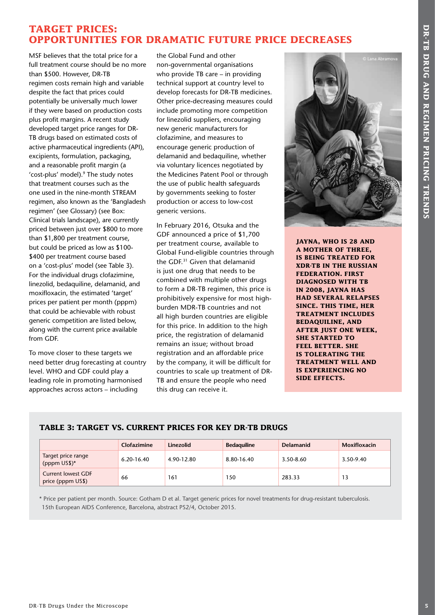## **TARGET PRICES: OPPORTUNITIES FOR DRAMATIC FUTURE PRICE DECREASES**

**TABLES FOR DRAMATIC FUTURE PRICES IS CONSEQUENCES AND SURFACES FOR DRAMATIC CONSEQUENCES FOR DRAMATIC FUTURE PRICES FOR DRAMATIC CONSEQUENCES AND SURFACES IN THE CONSEQUENCE IS CONSEQUENCE TRENDS TO A CONSEQUENCE IS CONS** MSF believes that the total price for a full treatment course should be no more than \$500. However, DR-TB regimen costs remain high and variable despite the fact that prices could potentially be universally much lower if they were based on production costs plus profit margins. A recent study developed target price ranges for DR-TB drugs based on estimated costs of active pharmaceutical ingredients (API), excipients, formulation, packaging, and a reasonable profit margin (a 'cost-plus' model).<sup>9</sup> The study notes that treatment courses such as the one used in the nine-month STREAM regimen, also known as the 'Bangladesh regimen' (see Glossary) (see Box: Clinical trials landscape), are currently priced between just over \$800 to more than \$1,800 per treatment course, but could be priced as low as \$100- \$400 per treatment course based on a 'cost-plus' model (see Table 3). For the individual drugs clofazimine, linezolid, bedaquiline, delamanid, and moxifloxacin, the estimated 'target' prices per patient per month (pppm) that could be achievable with robust generic competition are listed below, along with the current price available from GDF.

To move closer to these targets we need better drug forecasting at country level. WHO and GDF could play a leading role in promoting harmonised approaches across actors – including

the Global Fund and other non-governmental organisations who provide TB care – in providing technical support at country level to develop forecasts for DR-TB medicines. Other price-decreasing measures could include promoting more competition for linezolid suppliers, encouraging new generic manufacturers for clofazimine, and measures to encourage generic production of delamanid and bedaquiline, whether via voluntary licences negotiated by the Medicines Patent Pool or through the use of public health safeguards by governments seeking to foster production or access to low-cost generic versions.

In February 2016, Otsuka and the GDF announced a price of \$1,700 per treatment course, available to Global Fund-eligible countries through the GDF.<sup>31</sup> Given that delamanid is just one drug that needs to be combined with multiple other drugs to form a DR-TB regimen, this price is prohibitively expensive for most highburden MDR-TB countries and not all high burden countries are eligible for this price. In addition to the high price, the registration of delamanid remains an issue; without broad registration and an affordable price by the company, it will be difficult for countries to scale up treatment of DR-TB and ensure the people who need this drug can receive it.



**JAYNA, WHO IS 28 AND A MOTHER OF THREE, IS BEING TREATED FOR XDR-TB IN THE RUSSIAN FEDERATION. FIRST DIAGNOSED WITH TB IN 2008, JAYNA HAS HAD SEVERAL RELAPSES SINCE. THIS TIME, HER TREATMENT INCLUDES BEDAQUILINE, AND AFTER JUST ONE WEEK, SHE STARTED TO FEEL BETTER. SHE IS TOLERATING THE TREATMENT WELL AND IS EXPERIENCING NO SIDE EFFECTS.** 

## **TABLE 3: TARGET VS. CURRENT PRICES FOR KEY DR-TB DRUGS**

|                                         | Clofazimine | Linezolid  | <b>Bedaguiline</b> | Delamanid | <b>Moxifloxacin</b> |
|-----------------------------------------|-------------|------------|--------------------|-----------|---------------------|
| Target price range<br>(pppm US\$)*      | 6.20-16.40  | 4.90-12.80 | 8.80-16.40         | 3.50-8.60 | 3.50-9.40           |
| Current lowest GDF<br>price (pppm US\$) | 66          | 161        | 150                | 283.33    |                     |

\* Price per patient per month. Source: Gotham D et al. Target generic prices for novel treatments for drug-resistant tuberculosis. 15th European AIDS Conference, Barcelona, abstract PS2/4, October 2015.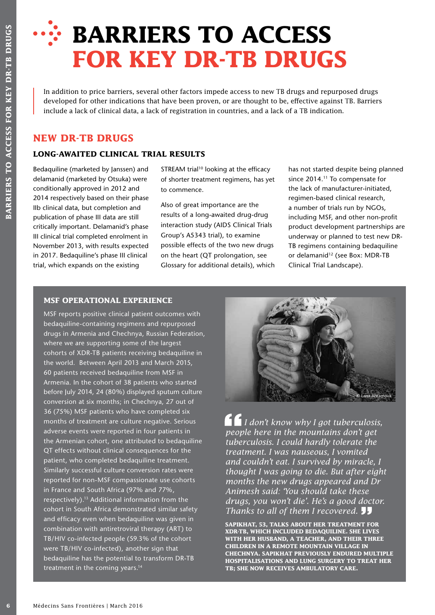# **BARRIERS TO ACCESS FOR KEY DR-TB DRUGS**

In addition to price barriers, several other factors impede access to new TB drugs and repurposed drugs developed for other indications that have been proven, or are thought to be, effective against TB. Barriers include a lack of clinical data, a lack of registration in countries, and a lack of a TB indication.

## **NEW DR-TB DRUGS**

## **LONG-AWAITED CLINICAL TRIAL RESULTS**

Bedaquiline (marketed by Janssen) and delamanid (marketed by Otsuka) were conditionally approved in 2012 and 2014 respectively based on their phase IIb clinical data, but completion and publication of phase III data are still critically important. Delamanid's phase III clinical trial completed enrolment in November 2013, with results expected in 2017. Bedaquiline's phase III clinical trial, which expands on the existing

STREAM trial<sup>10</sup> looking at the efficacy of shorter treatment regimens, has yet to commence.

Also of great importance are the results of a long-awaited drug-drug interaction study (AIDS Clinical Trials Group's A5343 trial), to examine possible effects of the two new drugs on the heart (QT prolongation, see Glossary for additional details), which has not started despite being planned since 2014.<sup>11</sup> To compensate for the lack of manufacturer-initiated, regimen-based clinical research, a number of trials run by NGOs, including MSF, and other non-profit product development partnerships are underway or planned to test new DR-TB regimens containing bedaquiline or delamanid<sup>12</sup> (see Box: MDR-TB Clinical Trial Landscape).

## **MSF OPERATIONAL EXPERIENCE**

**EXAMPLE 19 MEXAMPLE SANS FRONT CONSERVAT CONSERVAT THE CONSERVAT CONSERVAT THE SCALE SCALE SCALE SCALE SCALE SCALE SCALE SCALE SCALE SCALE SCALE SCALE SCALE SCALE SCALE SCALE SCALE SCALE SCALE SCALE SCALE SCALE AND CONSER** MSF reports positive clinical patient outcomes with bedaquiline-containing regimens and repurposed drugs in Armenia and Chechnya, Russian Federation, where we are supporting some of the largest cohorts of XDR-TB patients receiving bedaquiline in the world. Between April 2013 and March 2015, 60 patients received bedaquiline from MSF in Armenia. In the cohort of 38 patients who started before July 2014, 24 (80%) displayed sputum culture conversion at six months; in Chechnya, 27 out of 36 (75%) MSF patients who have completed six months of treatment are culture negative. Serious adverse events were reported in four patients in the Armenian cohort, one attributed to bedaquiline QT effects without clinical consequences for the patient, who completed bedaquiline treatment. Similarly successful culture conversion rates were reported for non-MSF compassionate use cohorts in France and South Africa (97% and 77%, respectively).13 Additional information from the cohort in South Africa demonstrated similar safety and efficacy even when bedaquiline was given in combination with antiretroviral therapy (ART) to TB/HIV co-infected people (59.3% of the cohort were TB/HIV co-infected), another sign that bedaquiline has the potential to transform DR-TB treatment in the coming years.14



 *I don't know why I got tuberculosis, people here in the mountains don't get tuberculosis. I could hardly tolerate the treatment. I was nauseous, I vomited and couldn't eat. I survived by miracle, I thought I was going to die. But after eight months the new drugs appeared and Dr Animesh said: 'You should take these drugs, you won't die'. He's a good doctor. Thanks to all of them I recovered.* 

**SAPIKHAT, 53, TALKS ABOUT HER TREATMENT FOR XDR-TB, WHICH INCLUDED BEDAQUILINE. SHE LIVES WITH HER HUSBAND, A TEACHER, AND THEIR THREE CHILDREN IN A REMOTE MOUNTAIN VILLAGE IN CHECHNYA. SAPIKHAT PREVIOUSLY ENDURED MULTIPLE HOSPITALISATIONS AND LUNG SURGERY TO TREAT HER TB; SHE NOW RECEIVES AMBULATORY CARE.**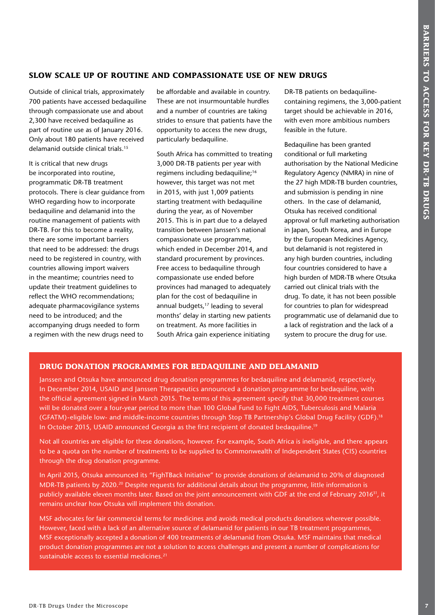## **SLOW SCALE UP OF ROUTINE AND COMPASSIONATE USE OF NEW DRUGS**

Outside of clinical trials, approximately 700 patients have accessed bedaquiline through compassionate use and about 2,300 have received bedaquiline as part of routine use as of January 2016. Only about 180 patients have received delamanid outside clinical trials.15

It is critical that new drugs be incorporated into routine, programmatic DR-TB treatment protocols. There is clear guidance from WHO regarding how to incorporate bedaquiline and delamanid into the routine management of patients with DR-TB. For this to become a reality, there are some important barriers that need to be addressed: the drugs need to be registered in country, with countries allowing import waivers in the meantime; countries need to update their treatment guidelines to reflect the WHO recommendations; adequate pharmacovigilance systems need to be introduced; and the accompanying drugs needed to form a regimen with the new drugs need to

be affordable and available in country. These are not insurmountable hurdles and a number of countries are taking strides to ensure that patients have the opportunity to access the new drugs, particularly bedaquiline.

South Africa has committed to treating 3,000 DR-TB patients per year with regimens including bedaquiline;16 however, this target was not met in 2015, with just 1,009 patients starting treatment with bedaquiline during the year, as of November 2015. This is in part due to a delayed transition between Janssen's national compassionate use programme, which ended in December 2014, and standard procurement by provinces. Free access to bedaquiline through compassionate use ended before provinces had managed to adequately plan for the cost of bedaquiline in annual budgets,<sup>17</sup> leading to several months' delay in starting new patients on treatment. As more facilities in South Africa gain experience initiating

DR-TB patients on bedaquilinecontaining regimens, the 3,000-patient target should be achievable in 2016, with even more ambitious numbers feasible in the future.

**SLOW SCALE UP OF ROUTTRIE AND COMPASSIONATE USE OF NEW DRUGS<br>
The Statistical Approximation control and a method in the Statistical Approximation control and the Microscope Control and the Microscope Control and Approxima** Bedaquiline has been granted conditional or full marketing authorisation by the National Medicine Regulatory Agency (NMRA) in nine of the 27 high MDR-TB burden countries. and submission is pending in nine others. In the case of delamanid, Otsuka has received conditional approval or full marketing authorisation in Japan, South Korea, and in Europe by the European Medicines Agency, but delamanid is not registered in any high burden countries, including four countries considered to have a high burden of MDR-TB where Otsuka carried out clinical trials with the drug. To date, it has not been possible for countries to plan for widespread programmatic use of delamanid due to a lack of registration and the lack of a system to procure the drug for use.

## **DRUG DONATION PROGRAMMES FOR BEDAQUILINE AND DELAMANID**

Janssen and Otsuka have announced drug donation programmes for bedaquiline and delamanid, respectively. In December 2014, USAID and Janssen Therapeutics announced a donation programme for bedaquiline, with the official agreement signed in March 2015. The terms of this agreement specify that 30,000 treatment courses will be donated over a four-year period to more than 100 Global Fund to Fight AIDS, Tuberculosis and Malaria (GFATM)-eligible low- and middle-income countries through Stop TB Partnership's Global Drug Facility (GDF).18 In October 2015, USAID announced Georgia as the first recipient of donated bedaquiline.<sup>19</sup>

Not all countries are eligible for these donations, however. For example, South Africa is ineligible, and there appears to be a quota on the number of treatments to be supplied to Commonwealth of Independent States (CIS) countries through the drug donation programme.

In April 2015, Otsuka announced its "FighTBack Initiative" to provide donations of delamanid to 20% of diagnosed MDR-TB patients by 2020.20 Despite requests for additional details about the programme, little information is publicly available eleven months later. Based on the joint announcement with GDF at the end of February 2016<sup>31</sup>, it remains unclear how Otsuka will implement this donation.

MSF advocates for fair commercial terms for medicines and avoids medical products donations wherever possible. However, faced with a lack of an alternative source of delamanid for patients in our TB treatment programmes, MSF exceptionally accepted a donation of 400 treatments of delamanid from Otsuka. MSF maintains that medical product donation programmes are not a solution to access challenges and present a number of complications for sustainable access to essential medicines.<sup>21</sup>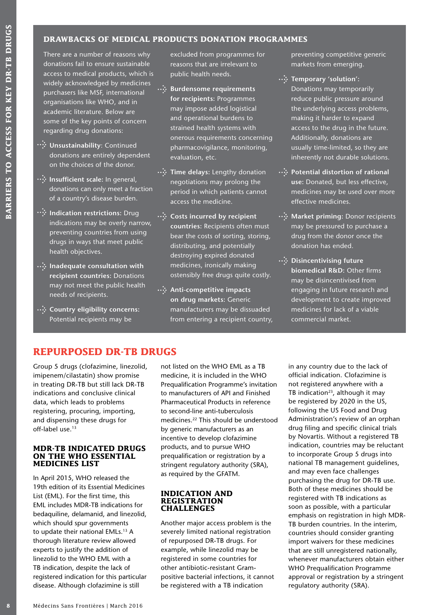## **DRAWBACKS OF MEDICAL PRODUCTS DONATION PROGRAMMES**

There are a number of reasons why donations fail to ensure sustainable access to medical products, which is widely acknowledged by medicines purchasers like MSF, international organisations like WHO, and in academic literature. Below are some of the key points of concern regarding drug donations:

- **Unsustainability**: Continued donations are entirely dependent on the choices of the donor.
- *...***. Insufficient scale: In general,** donations can only meet a fraction of a country's disease burden.
- **Indication restrictions:** Drug indications may be overly narrow, preventing countries from using drugs in ways that meet public health objectives.
- **<sup>1</sup>. Inadequate consultation with recipient countries:** Donations may not meet the public health needs of recipients.
- *...***...** Country eligibility concerns: Potential recipients may be

excluded from programmes for reasons that are irrelevant to public health needs.

- $\cdot \cdot$  Burdensome requirements **for recipients:** Programmes may impose added logistical and operational burdens to strained health systems with onerous requirements concerning pharmacovigilance, monitoring, evaluation, etc.
- **<sup>•</sup>••• Time delays:** Lengthy donation negotiations may prolong the period in which patients cannot access the medicine.
- *...***...** Costs incurred by recipient **countries:** Recipients often must bear the costs of sorting, storing, distributing, and potentially destroying expired donated medicines, ironically making ostensibly free drugs quite costly.
- **...** Anti-competitive impacts **on drug markets:** Generic manufacturers may be dissuaded from entering a recipient country,

preventing competitive generic markets from emerging.

- *...***': Temporary 'solution':** Donations may temporarily reduce public pressure around the underlying access problems, making it harder to expand access to the drug in the future. Additionally, donations are usually time-limited, so they are inherently not durable solutions.
- **<sup>1</sup>. Potential distortion of rational use:** Donated, but less effective, medicines may be used over more effective medicines.
- *...***; Market priming: Donor recipients** may be pressured to purchase a drug from the donor once the donation has ended.
- $\cdot\cdot\cdot$  Disincentivising future **biomedical R&D:** Other firms may be disincentivised from engaging in future research and development to create improved medicines for lack of a viable commercial market.

## **REPURPOSED DR-TB DRUGS**

Group 5 drugs (clofazimine, linezolid, imipenem/cilastatin) show promise in treating DR-TB but still lack DR-TB indications and conclusive clinical data, which leads to problems registering, procuring, importing, and dispensing these drugs for off-label use.13

#### **MDR-TB INDICATED DRUGS ON THE WHO ESSENTIAL MEDICINES LIST**

In April 2015, WHO released the 19th edition of its Essential Medicines List (EML). For the first time, this EML includes MDR-TB indications for bedaquiline, delamanid, and linezolid, which should spur governments to update their national EMLs.<sup>13</sup> A thorough literature review allowed experts to justify the addition of linezolid to the WHO EML with a TB indication, despite the lack of registered indication for this particular disease. Although clofazimine is still

not listed on the WHO EML as a TB medicine, it is included in the WHO Prequalification Programme's invitation to manufacturers of API and Finished Pharmaceutical Products in reference to second-line anti-tuberculosis medicines.22 This should be understood by generic manufacturers as an incentive to develop clofazimine products, and to pursue WHO prequalification or registration by a stringent regulatory authority (SRA), as required by the GFATM.

#### **INDICATION AND REGISTRATION CHALLENGES**

Another major access problem is the severely limited national registration of repurposed DR-TB drugs. For example, while linezolid may be registered in some countries for other antibiotic-resistant Grampositive bacterial infections, it cannot be registered with a TB indication

in any country due to the lack of official indication. Clofazimine is not registered anywhere with a TB indication $23$ , although it may be registered by 2020 in the US, following the US Food and Drug Administration's review of an orphan drug filing and specific clinical trials by Novartis. Without a registered TB indication, countries may be reluctant to incorporate Group 5 drugs into national TB management guidelines, and may even face challenges purchasing the drug for DR-TB use. Both of these medicines should be registered with TB indications as soon as possible, with a particular emphasis on registration in high MDR-TB burden countries. In the interim, countries should consider granting import waivers for these medicines that are still unregistered nationally, whenever manufacturers obtain either WHO Prequalification Programme approval or registration by a stringent regulatory authority (SRA).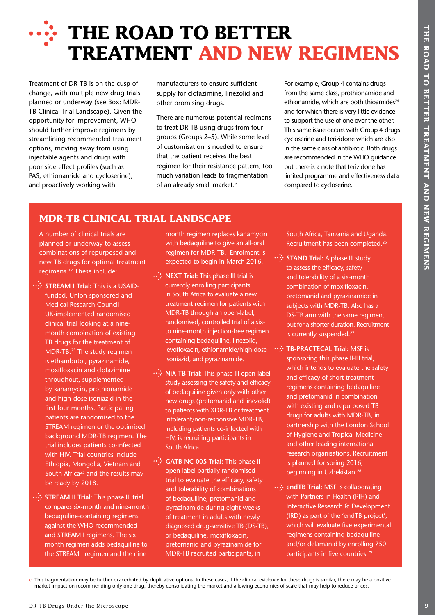# **FORE THE ROAD TO BETTER TREATMENT AND NEW REGIMENS**

Treatment of DR-TB is on the cusp of change, with multiple new drug trials planned or underway (see Box: MDR-TB Clinical Trial Landscape). Given the opportunity for improvement, WHO should further improve regimens by streamlining recommended treatment options, moving away from using injectable agents and drugs with poor side effect profiles (such as PAS, ethionamide and cycloserine), and proactively working with

manufacturers to ensure sufficient supply for clofazimine, linezolid and other promising drugs.

There are numerous potential regimens to treat DR-TB using drugs from four groups (Groups 2–5). While some level of customisation is needed to ensure that the patient receives the best regimen for their resistance pattern, too much variation leads to fragmentation of an already small market.<sup>e</sup>

For example, Group 4 contains drugs from the same class, prothionamide and ethionamide, which are both thioamides $24$ and for which there is very little evidence to support the use of one over the other. This same issue occurs with Group 4 drugs cycloserine and terizidone which are also in the same class of antibiotic. Both drugs are recommended in the WHO guidance but there is a note that terizidone has limited programme and effectiveness data compared to cycloserine.

## **MDR-TB CLINICAL TRIAL LANDSCAPE**

A number of clinical trials are planned or underway to assess combinations of repurposed and new TB drugs for optimal treatment regimens.12 These include:

- **DREATMENT AND NEW REGIMENS**<br> **DRATMENT AND NEW REGIMENS**<br> **PROPERTY AND MEVICAL TRANSPARENT AND SERVER TRANSPARENT AND SERVER AND SERVER AND SERVER CONSUMING THE MICROSCOPE CONSULTANT AND SAFE OF THE MICRO CONSULTANT AND : STREAM I Trial:** This is a USAIDfunded, Union-sponsored and Medical Research Council UK-implemented randomised clinical trial looking at a ninemonth combination of existing TB drugs for the treatment of MDR-TB.25 The study regimen is ethambutol, pyrazinamide, moxifloxacin and clofazimine throughout, supplemented by kanamycin, prothionamide and high-dose isoniazid in the first four months. Participating patients are randomised to the STREAM regimen or the optimised background MDR-TB regimen. The trial includes patients co-infected with HIV. Trial countries include Ethiopia, Mongolia, Vietnam and South Africa<sup>25</sup> and the results may be ready by 2018.
- **... STREAM II Trial:** This phase III trial compares six-month and nine-month bedaquiline-containing regimens against the WHO recommended and STREAM I regimens. The six month regimen adds bedaquiline to the STREAM I regimen and the nine

month regimen replaces kanamycin with bedaquiline to give an all-oral regimen for MDR-TB. Enrolment is expected to begin in March 2016.

- **NEXT Trial:** This phase III trial is currently enrolling participants in South Africa to evaluate a new treatment regimen for patients with MDR-TB through an open-label, randomised, controlled trial of a sixto nine-month injection-free regimen containing bedaquiline, linezolid, levofloxacin, ethionamide/high dose isoniazid, and pyrazinamide.
- **∴** NiX TB Trial: This phase III open-label study assessing the safety and efficacy of bedaquiline given only with other new drugs (pretomanid and linezolid) to patients with XDR-TB or treatment intolerant/non-responsive MDR-TB, including patients co-infected with HIV, is recruiting participants in South Africa.
- **•• GATB NC-005 Trial:** This phase II open-label partially randomised trial to evaluate the efficacy, safety and tolerability of combinations of bedaquiline, pretomanid and pyrazinamide during eight weeks of treatment in adults with newly diagnosed drug-sensitive TB (DS-TB), or bedaquiline, moxifloxacin, pretomanid and pyrazinamide for MDR-TB recruited participants, in

South Africa, Tanzania and Uganda. Recruitment has been completed.26

- **:: STAND Trial:** A phase III study to assess the efficacy, safety and tolerability of a six-month combination of moxifloxacin, pretomanid and pyrazinamide in subjects with MDR-TB. Also has a DS-TB arm with the same regimen, but for a shorter duration. Recruitment is currently suspended.<sup>27</sup>
- **TB-PRACTECAL Trial:** MSF is sponsoring this phase II-III trial, which intends to evaluate the safety and efficacy of short treatment regimens containing bedaquiline and pretomanid in combination with existing and repurposed TB drugs for adults with MDR-TB, in partnership with the London School of Hygiene and Tropical Medicine and other leading international research organisations. Recruitment is planned for spring 2016, beginning in Uzbekistan.28
- **•• •• endTB Trial:** MSF is collaborating with Partners in Health (PIH) and Interactive Research & Development (IRD) as part of the 'endTB project', which will evaluate five experimental regimens containing bedaquiline and/or delamanid by enrolling 750 participants in five countries.<sup>29</sup>

e. This fragmentation may be further exacerbated by duplicative options. In these cases, if the clinical evidence for these drugs is similar, there may be a positive market impact on recommending only one drug, thereby consolidating the market and allowing economies of scale that may help to reduce prices.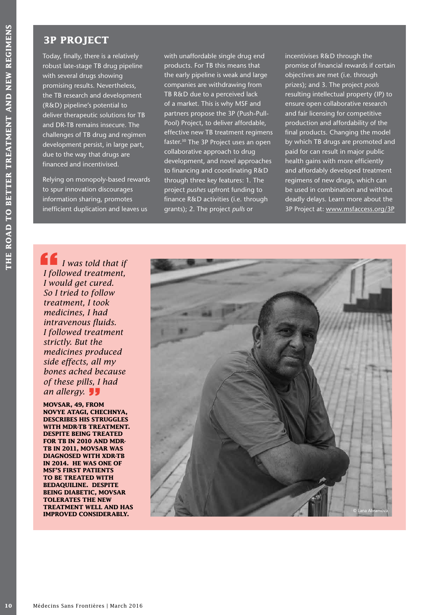## **3P PROJECT**

Today, finally, there is a relatively robust late-stage TB drug pipeline with several drugs showing promising results. Nevertheless, the TB research and development (R&D) pipeline's potential to deliver therapeutic solutions for TB and DR-TB remains insecure. The challenges of TB drug and regimen development persist, in large part, due to the way that drugs are financed and incentivised.

Relying on monopoly-based rewards to spur innovation discourages information sharing, promotes inefficient duplication and leaves us

with unaffordable single drug end products. For TB this means that the early pipeline is weak and large companies are withdrawing from TB R&D due to a perceived lack of a market. This is why MSF and partners propose the 3P (Push-Pull-Pool) Project, to deliver affordable, effective new TB treatment regimens faster.<sup>30</sup> The 3P Project uses an open collaborative approach to drug development, and novel approaches to financing and coordinating R&D through three key features: 1. The project *pushes* upfront funding to finance R&D activities (i.e. through grants); 2. The project *pulls* or

incentivises R&D through the promise of financial rewards if certain objectives are met (i.e. through prizes); and 3. The project *pools* resulting intellectual property (IP) to ensure open collaborative research and fair licensing for competitive production and affordability of the final products. Changing the model by which TB drugs are promoted and paid for can result in major public health gains with more efficiently and affordably developed treatment regimens of new drugs, which can be used in combination and without deadly delays. Learn more about the 3P Project at: www.msfaccess.org/3P

**10** Medicines I are the state of the state of the state of the state of the state of the state of the state of the state of the specific term of the specific specific term of DR-TB remains ineccure. The challenges of TB d *I was told that if I followed treatment, I would get cured. So I tried to follow treatment, I took medicines, I had intravenous fluids. I followed treatment strictly. But the medicines produced side effects, all my bones ached because of these pills, I had an allergy.* 

**MOVSAR, 49, FROM NOVYE ATAGI, CHECHNYA, DESCRIBES HIS STRUGGLES WITH MDR-TB TREATMENT. DESPITE BEING TREATED FOR TB IN 2010 AND MDR-TB IN 2011, MOVSAR WAS DIAGNOSED WITH XDR-TB IN 2014. HE WAS ONE OF MSF'S FIRST PATIENTS TO BE TREATED WITH BEDAQUILINE. DESPITE BEING DIABETIC, MOVSAR TOLERATES THE NEW TREATMENT WELL AND HAS IMPROVED CONSIDERABLY.** 

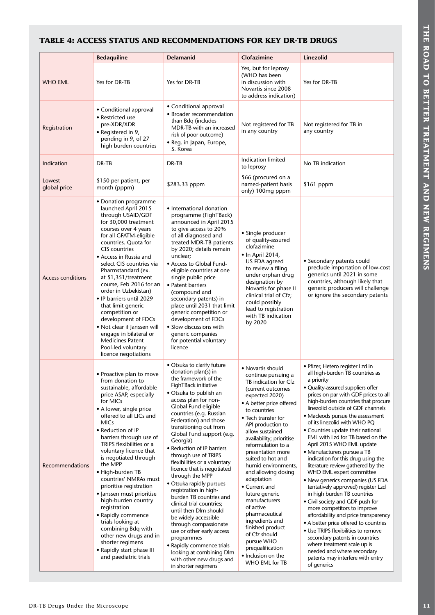## **TABLE 4: ACCESS STATUS AND RECOMMENDATIONS FOR KEY DR-TB DRUGS**

|                          | <b>Bedaquiline</b>                                                                                                                                                                                                                                                                                                                                                                                                                                                                                                                                                                                                                            | Delamanid                                                                                                                                                                                                                                                                                                                                                                                                                                                                                                                                                                                                                                                                                                                                                                               | Clofazimine                                                                                                                                                                                                                                                                                                                                                                                                                                                                                                                                                                                      | Linezolid                                                                                                                                                                                                                                                                                                                                                                                                                                                                                                                                                                                                                                                                                                                                                                                                                                                                                                                                                                                                       |
|--------------------------|-----------------------------------------------------------------------------------------------------------------------------------------------------------------------------------------------------------------------------------------------------------------------------------------------------------------------------------------------------------------------------------------------------------------------------------------------------------------------------------------------------------------------------------------------------------------------------------------------------------------------------------------------|-----------------------------------------------------------------------------------------------------------------------------------------------------------------------------------------------------------------------------------------------------------------------------------------------------------------------------------------------------------------------------------------------------------------------------------------------------------------------------------------------------------------------------------------------------------------------------------------------------------------------------------------------------------------------------------------------------------------------------------------------------------------------------------------|--------------------------------------------------------------------------------------------------------------------------------------------------------------------------------------------------------------------------------------------------------------------------------------------------------------------------------------------------------------------------------------------------------------------------------------------------------------------------------------------------------------------------------------------------------------------------------------------------|-----------------------------------------------------------------------------------------------------------------------------------------------------------------------------------------------------------------------------------------------------------------------------------------------------------------------------------------------------------------------------------------------------------------------------------------------------------------------------------------------------------------------------------------------------------------------------------------------------------------------------------------------------------------------------------------------------------------------------------------------------------------------------------------------------------------------------------------------------------------------------------------------------------------------------------------------------------------------------------------------------------------|
| <b>WHO EML</b>           | Yes for DR-TB                                                                                                                                                                                                                                                                                                                                                                                                                                                                                                                                                                                                                                 | Yes for DR-TB                                                                                                                                                                                                                                                                                                                                                                                                                                                                                                                                                                                                                                                                                                                                                                           | Yes, but for leprosy<br>(WHO has been<br>in discussion with<br>Novartis since 2008<br>to address indication)                                                                                                                                                                                                                                                                                                                                                                                                                                                                                     | Yes for DR-TB                                                                                                                                                                                                                                                                                                                                                                                                                                                                                                                                                                                                                                                                                                                                                                                                                                                                                                                                                                                                   |
| Registration             | • Conditional approval<br>• Restricted use<br>pre-XDR/XDR<br>• Registered in 9,<br>pending in 9, of 27<br>high burden countries                                                                                                                                                                                                                                                                                                                                                                                                                                                                                                               | • Conditional approval<br>• Broader recommendation<br>than Bdq (includes<br>MDR-TB with an increased<br>risk of poor outcome)<br>• Reg. in Japan, Europe,<br>S. Korea                                                                                                                                                                                                                                                                                                                                                                                                                                                                                                                                                                                                                   | Not registered for TB<br>in any country                                                                                                                                                                                                                                                                                                                                                                                                                                                                                                                                                          | Not registered for TB in<br>any country                                                                                                                                                                                                                                                                                                                                                                                                                                                                                                                                                                                                                                                                                                                                                                                                                                                                                                                                                                         |
| Indication               | DR-TB                                                                                                                                                                                                                                                                                                                                                                                                                                                                                                                                                                                                                                         | DR-TB                                                                                                                                                                                                                                                                                                                                                                                                                                                                                                                                                                                                                                                                                                                                                                                   | Indication limited<br>to leprosy                                                                                                                                                                                                                                                                                                                                                                                                                                                                                                                                                                 | No TB indication                                                                                                                                                                                                                                                                                                                                                                                                                                                                                                                                                                                                                                                                                                                                                                                                                                                                                                                                                                                                |
| Lowest<br>global price   | \$150 per patient, per<br>month (pppm)                                                                                                                                                                                                                                                                                                                                                                                                                                                                                                                                                                                                        | \$283.33 pppm                                                                                                                                                                                                                                                                                                                                                                                                                                                                                                                                                                                                                                                                                                                                                                           | \$66 (procured on a<br>named-patient basis<br>only) 100mg pppm                                                                                                                                                                                                                                                                                                                                                                                                                                                                                                                                   | \$161 pppm                                                                                                                                                                                                                                                                                                                                                                                                                                                                                                                                                                                                                                                                                                                                                                                                                                                                                                                                                                                                      |
| <b>Access conditions</b> | • Donation programme<br>launched April 2015<br>through USAID/GDF<br>for 30,000 treatment<br>courses over 4 years<br>for all GFATM-eligible<br>countries. Quota for<br>CIS countries<br>• Access in Russia and<br>select CIS countries via<br>Pharmstandard (ex.<br>at \$1,351/treatment<br>course, Feb 2016 for an<br>order in Uzbekistan)<br>• IP barriers until 2029<br>that limit generic<br>competition or<br>development of FDCs<br>• Not clear if Janssen will<br>engage in bilateral or<br><b>Medicines Patent</b><br>Pool-led voluntary<br>licence negotiations                                                                       | • International donation<br>programme (FighTBack)<br>announced in April 2015<br>to give access to 20%<br>of all diagnosed and<br>treated MDR-TB patients<br>by 2020; details remain<br>unclear;<br>• Access to Global Fund-<br>eligible countries at one<br>single public price<br>• Patent barriers<br>(compound and<br>secondary patents) in<br>place until 2031 that limit<br>generic competition or<br>development of FDCs<br>· Slow discussions with<br>generic companies<br>for potential voluntary<br>licence                                                                                                                                                                                                                                                                    | • Single producer<br>of quality-assured<br>clofazimine<br>• In April 2014,<br>US FDA agreed<br>to review a filing<br>under orphan drug<br>designation by<br>Novartis for phase II<br>clinical trial of Cfz;<br>could possibly<br>lead to registration<br>with TB indication<br>by 2020                                                                                                                                                                                                                                                                                                           | • Secondary patents could<br>preclude importation of low-cost<br>generics until 2021 in some<br>countries, although likely that<br>generic producers will challenge<br>or ignore the secondary patents                                                                                                                                                                                                                                                                                                                                                                                                                                                                                                                                                                                                                                                                                                                                                                                                          |
| Recommendations          | • Proactive plan to move<br>from donation to<br>sustainable, affordable<br>price ASAP, especially<br>for MICs<br>• A lower, single price<br>offered to all LICs and<br><b>MICs</b><br>• Reduction of IP<br>barriers through use of<br>TRIPS flexibilities or a<br>voluntary licence that<br>is negotiated through<br>the MPP<br>· High-burden TB<br>countries' NMRAs must<br>prioritise registration<br>· Janssen must prioritise<br>high-burden country<br>registration<br>• Rapidly commence<br>trials looking at<br>combining Bdq with<br>other new drugs and in<br>shorter regimens<br>• Rapidly start phase III<br>and paediatric trials | • Otsuka to clarify future<br>donation plan(s) in<br>the framework of the<br>FighTBack initiative<br>• Otsuka to publish an<br>access plan for non-<br>Global Fund eligible<br>countries (e.g. Russian<br>Federation) and those<br>transitioning out from<br>Global Fund support (e.g.<br>Georgia)<br>• Reduction of IP barriers<br>through use of TRIPS<br>flexibilities or a voluntary<br>licence that is negotiated<br>through the MPP<br>• Otsuka rapidly pursues<br>registration in high-<br>burden TB countries and<br>clinical trial countries;<br>until then Dlm should<br>be widely accessible<br>through compassionate<br>use or other early access<br>programmes<br>• Rapidly commence trials<br>looking at combining Dlm<br>with other new drugs and<br>in shorter regimens | • Novartis should<br>continue pursuing a<br>TB indication for Cfz<br>(current outcomes<br>expected 2020)<br>• A better price offered<br>to countries<br>• Tech transfer for<br>API production to<br>allow sustained<br>availability; prioritise<br>reformulation to a<br>presentation more<br>suited to hot and<br>humid environments,<br>and allowing dosing<br>adaptation<br>• Current and<br>future generic<br>manufacturers<br>of active<br>pharmaceutical<br>ingredients and<br>finished product<br>of Cfz should<br>pursue WHO<br>prequalification<br>• Inclusion on the<br>WHO EML for TB | • Pfizer, Hetero register Lzd in<br>all high-burden TB countries as<br>a priority<br>• Quality-assured suppliers offer<br>prices on par with GDF prices to all<br>high-burden countries that procure<br>linezolid outside of GDF channels<br>• Macleods pursue the assessment<br>of its linezolid with WHO PQ<br>• Countries update their national<br>EML with Lzd for TB based on the<br>April 2015 WHO EML update<br>• Manufacturers pursue a TB<br>indication for this drug using the<br>literature review gathered by the<br>WHO EML expert committee<br>• New generics companies (US FDA<br>tentatively approved) register Lzd<br>in high burden TB countries<br>• Civil society and GDF push for<br>more competitors to improve<br>affordability and price transparency<br>• A better price offered to countries<br>• Use TRIPS flexibilities to remove<br>secondary patents in countries<br>where treatment scale up is<br>needed and where secondary<br>patents may interfere with entry<br>of generics |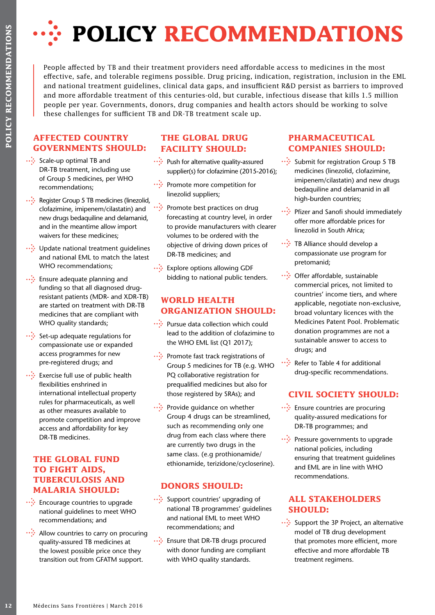

People affected by TB and their treatment providers need affordable access to medicines in the most effective, safe, and tolerable regimens possible. Drug pricing, indication, registration, inclusion in the EML and national treatment guidelines, clinical data gaps, and insufficient R&D persist as barriers to improved and more affordable treatment of this centuries-old, but curable, infectious disease that kills 1.5 million people per year. Governments, donors, drug companies and health actors should be working to solve these challenges for sufficient TB and DR-TB treatment scale up.

## **AFFECTED COUNTRY GOVERNMENTS SHOULD:**

- ••• Scale-up optimal TB and DR-TB treatment, including use of Group 5 medicines, per WHO recommendations;
- Register Group 5 TB medicines (linezolid, clofazimine, imipenem/cilastatin) and new drugs bedaquiline and delamanid, and in the meantime allow import waivers for these medicines;
- · Update national treatment quidelines and national EML to match the latest WHO recommendations;
- $\therefore$  Ensure adequate planning and funding so that all diagnosed drugresistant patients (MDR- and XDR-TB) are started on treatment with DR-TB medicines that are compliant with WHO quality standards;
- $\cdots$ : Set-up adequate regulations for compassionate use or expanded access programmes for new pre-registered drugs; and
- **12** Example affected by TB and the effective, safe, and tolerable in endination and materal guide proper per year. Government these challenges for sufficien pool per year. Government threse challenges for sufficien  $\frac{1$  $\therefore$  Exercise full use of public health flexibilities enshrined in international intellectual property rules for pharmaceuticals, as well as other measures available to promote competition and improve access and affordability for key DR-TB medicines.

## **THE GLOBAL FUND TO FIGHT AIDS, TUBERCULOSIS AND MALARIA SHOULD:**

- $\therefore$  Encourage countries to upgrade national guidelines to meet WHO recommendations; and
- $\cdots$ : Allow countries to carry on procuring quality-assured TB medicines at the lowest possible price once they transition out from GFATM support.

## **THE GLOBAL DRUG FACILITY SHOULD:**

- Push for alternative quality-assured supplier(s) for clofazimine (2015-2016);
- Promote more competition for linezolid suppliers;
- •• Promote best practices on drug forecasting at country level, in order to provide manufacturers with clearer volumes to be ordered with the objective of driving down prices of DR-TB medicines; and
- ... Explore options allowing GDF bidding to national public tenders.

## **WORLD HEALTH ORGANIZATION SHOULD:**

- •• Pursue data collection which could lead to the addition of clofazimine to the WHO EML list (Q1 2017);
- Promote fast track registrations of Group 5 medicines for TB (e.g. WHO PQ collaborative registration for prequalified medicines but also for those registered by SRAs); and
- ••• Provide guidance on whether Group 4 drugs can be streamlined, such as recommending only one drug from each class where there are currently two drugs in the same class. (e.g prothionamide/ ethionamide, terizidone/cycloserine).

## **DONORS SHOULD:**

- •• Support countries' upgrading of national TB programmes' guidelines and national EML to meet WHO recommendations; and
- $\therefore$  Ensure that DR-TB drugs procured with donor funding are compliant with WHO quality standards.

## **PHARMACEUTICAL COMPANIES SHOULD:**

- Submit for registration Group 5 TB medicines (linezolid, clofazimine, imipenem/cilastatin) and new drugs bedaquiline and delamanid in all high-burden countries;
- •• Pfizer and Sanofi should immediately offer more affordable prices for linezolid in South Africa;
- $\therefore$  TB Alliance should develop a compassionate use program for pretomanid;
- ••• Offer affordable, sustainable commercial prices, not limited to countries' income tiers, and where applicable, negotiate non-exclusive, broad voluntary licences with the Medicines Patent Pool. Problematic donation programmes are not a sustainable answer to access to drugs; and
- $\cdots$ : Refer to Table 4 for additional drug-specific recommendations.

## **CIVIL SOCIETY SHOULD:**

- · : Ensure countries are procuring quality-assured medications for DR-TB programmes; and
- ••• Pressure governments to upgrade national policies, including ensuring that treatment guidelines and EML are in line with WHO recommendations.

## **ALL STAKEHOLDERS SHOULD:**

••• Support the 3P Project, an alternative model of TB drug development that promotes more efficient, more effective and more affordable TB treatment regimens.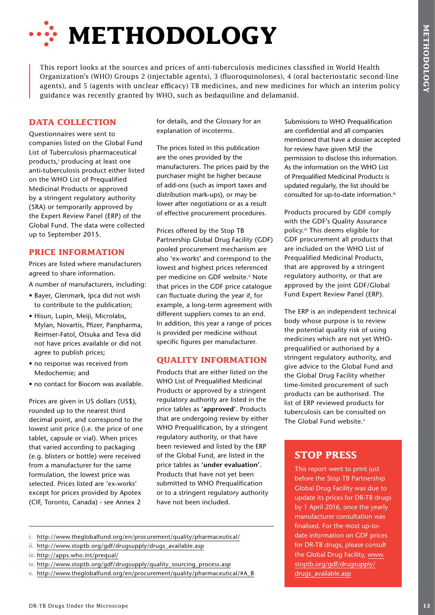# **WETHODOLOGY**

This report looks at the sources and prices of anti-tuberculosis medicines classified in World Health Organization's (WHO) Groups 2 (injectable agents), 3 (fluoroquinolones), 4 (oral bacteriostatic second-line agents), and 5 (agents with unclear efficacy) TB medicines, and new medicines for which an interim policy guidance was recently granted by WHO, such as bedaquiline and delamanid.

## **DATA COLLECTION**

Questionnaires were sent to companies listed on the Global Fund List of Tuberculosis pharmaceutical products,<sup>i</sup> producing at least one anti-tuberculosis product either listed on the WHO List of Prequalified Medicinal Products or approved by a stringent regulatory authority (SRA) or temporarily approved by the Expert Review Panel (ERP) of the Global Fund. The data were collected up to September 2015.

## **PRICE INFORMATION**

Prices are listed where manufacturers agreed to share information.

A number of manufacturers, including:

- Bayer, Glenmark, Ipca did not wish to contribute to the publication;
- Hisun, Lupin, Meiji, Microlabs, Mylan, Novartis, Pfizer, Panpharma, Reimser-Fatol, Otsuka and Teva did not have prices available or did not agree to publish prices;
- no response was received from Medochemie; and
- no contact for Biocom was available.

Prices are given in US dollars (US\$), rounded up to the nearest third decimal point, and correspond to the lowest unit price (i.e. the price of one tablet, capsule or vial). When prices that varied according to packaging (e.g. blisters or bottle) were received from a manufacturer for the same formulation, the lowest price was selected. Prices listed are 'ex-works' except for prices provided by Apotex (CIF, Toronto, Canada) - see Annex 2

for details, and the Glossary for an explanation of incoterms.

The prices listed in this publication are the ones provided by the manufacturers. The prices paid by the purchaser might be higher because of add-ons (such as import taxes and distribution mark-ups), or may be lower after negotiations or as a result of effective procurement procedures.

Prices offered by the Stop TB Partnership Global Drug Facility (GDF) pooled procurement mechanism are also 'ex-works' and correspond to the lowest and highest prices referenced per medicine on GDF website.<sup>ii</sup> Note that prices in the GDF price catalogue can fluctuate during the year if, for example, a long-term agreement with different suppliers comes to an end. In addition, this year a range of prices is provided per medicine without specific figures per manufacturer.

## **QUALITY INFORMATION**

Products that are either listed on the WHO List of Prequalified Medicinal Products or approved by a stringent regulatory authority are listed in the price tables as **'approved'**. Products that are undergoing review by either WHO Prequalification, by a stringent regulatory authority, or that have been reviewed and listed by the ERP of the Global Fund, are listed in the price tables as **'under evaluation'**. Products that have not yet been submitted to WHO Prequalification or to a stringent regulatory authority have not been included.

Submissions to WHO Prequalification are confidential and all companies mentioned that have a dossier accepted for review have given MSF the permission to disclose this information. As the information on the WHO List of Prequalified Medicinal Products is updated regularly, the list should be consulted for up-to-date information.iii

Products procured by GDF comply with the GDF's Quality Assurance policy.iv This deems eligible for GDF procurement all products that are included on the WHO List of Prequalified Medicinal Products, that are approved by a stringent regulatory authority, or that are approved by the joint GDF/Global Fund Expert Review Panel (ERP).

The ERP is an independent technical body whose purpose is to review the potential quality risk of using medicines which are not yet WHOprequalified or authorised by a stringent regulatory authority, and give advice to the Global Fund and the Global Drug Facility whether time-limited procurement of such products can be authorised. The list of ERP reviewed products for tuberculosis can be consulted on The Global Fund website.<sup>v</sup>

## **STOP PRESS**

This report went to print just before the Stop TB Partnership Global Drug Facility was due to update its prices for DR-TB drugs by 1 April 2016, once the yearly manufacturer consultation was finalised. For the most up-todate information on GDF prices for DR-TB drugs, please consult the Global Drug Facility, www. stoptb.org/gdf/drugsupply/ drugs\_available.asp

- ii. http://www.stoptb.org/gdf/drugsupply/drugs\_available.asp
- iii. http://apps.who.int/prequal/
- iv. http://www.stoptb.org/gdf/drugsupply/quality\_sourcing\_process.asp
- v. http://www.theglobalfund.org/en/procurement/quality/pharmaceutical/#A\_B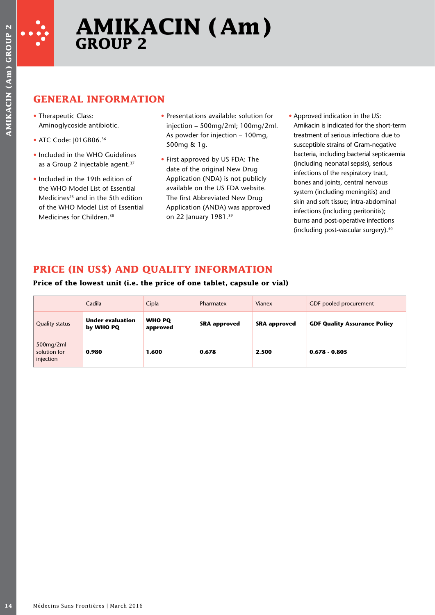

## **GENERAL INFORMATION**

- Therapeutic Class: Aminoglycoside antibiotic.
- ATC Code: 101GB06.<sup>36</sup>
- Included in the WHO Guidelines as a Group 2 injectable agent.<sup>37</sup>
- Included in the 19th edition of the WHO Model List of Essential Medicines<sup>23</sup> and in the 5th edition of the WHO Model List of Essential Medicines for Children.38
- Presentations available: solution for injection – 500mg/2ml; 100mg/2ml. As powder for injection – 100mg, 500mg & 1g.
- First approved by US FDA: The date of the original New Drug Application (NDA) is not publicly available on the US FDA website. The first Abbreviated New Drug Application (ANDA) was approved on 22 January 1981.39
- Approved indication in the US: Amikacin is indicated for the short-term treatment of serious infections due to susceptible strains of Gram-negative bacteria, including bacterial septicaemia (including neonatal sepsis), serious infections of the respiratory tract, bones and joints, central nervous system (including meningitis) and skin and soft tissue; intra-abdominal infections (including peritonitis); burns and post-operative infections (including post-vascular surgery).40

## **PRICE (IN US\$) AND QUALITY INFORMATION**

## **Price of the lowest unit (i.e. the price of one tablet, capsule or vial)**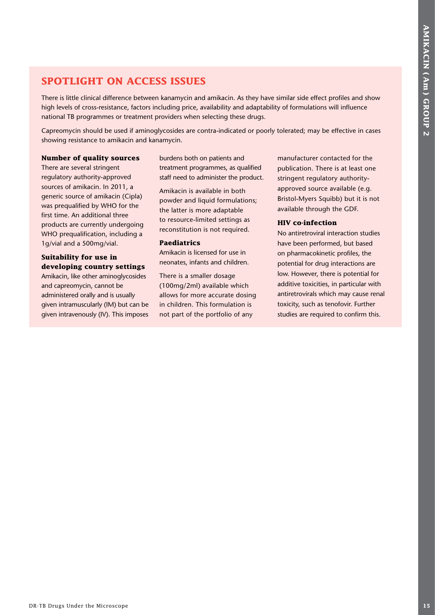## **SPOTLIGHT ON ACCESS ISSUES**

There is little clinical difference between kanamycin and amikacin. As they have similar side effect profiles and show high levels of cross-resistance, factors including price, availability and adaptability of formulations will influence national TB programmes or treatment providers when selecting these drugs.

Capreomycin should be used if aminoglycosides are contra-indicated or poorly tolerated; may be effective in cases showing resistance to amikacin and kanamycin.

## **Number of quality sources**

There are several stringent regulatory authority-approved sources of amikacin. In 2011, a generic source of amikacin (Cipla) was prequalified by WHO for the first time. An additional three products are currently undergoing WHO prequalification, including a 1g/vial and a 500mg/vial.

## **Suitability for use in developing country settings**

Amikacin, like other aminoglycosides and capreomycin, cannot be administered orally and is usually given intramuscularly (IM) but can be given intravenously (IV). This imposes burdens both on patients and treatment programmes, as qualified staff need to administer the product.

Amikacin is available in both powder and liquid formulations; the latter is more adaptable to resource-limited settings as reconstitution is not required.

#### **Paediatrics**

Amikacin is licensed for use in neonates, infants and children.

There is a smaller dosage (100mg/2ml) available which allows for more accurate dosing in children. This formulation is not part of the portfolio of any

manufacturer contacted for the publication. There is at least one stringent regulatory authorityapproved source available (e.g. Bristol-Myers Squibb) but it is not available through the GDF.

## **HIV co-infection**

**SPOTLIGHT ON ACCESS ISSUES**<br>
Thus is that initial of the microscope term is a proposed with the fluctuation of the microscope of the microscope term is the microscope of the microscope of the microscope of the microscope No antiretroviral interaction studies have been performed, but based on pharmacokinetic profiles, the potential for drug interactions are low. However, there is potential for additive toxicities, in particular with antiretrovirals which may cause renal toxicity, such as tenofovir. Further studies are required to confirm this.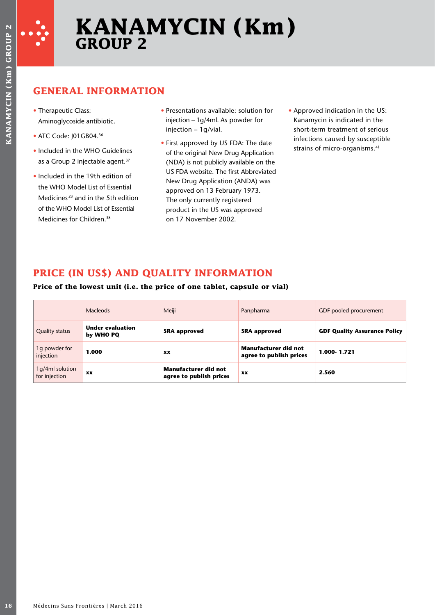

## **GENERAL INFORMATION**

- Therapeutic Class: Aminoglycoside antibiotic.
- ATC Code: J01GB04.<sup>36</sup>
- Included in the WHO Guidelines as a Group 2 injectable agent.<sup>37</sup>
- Included in the 19th edition of the WHO Model List of Essential Medicines 23 and in the 5th edition of the WHO Model List of Essential Medicines for Children.38
- Presentations available: solution for injection – 1g/4ml. As powder for injection – 1g/vial.
- First approved by US FDA: The date of the original New Drug Application (NDA) is not publicly available on the US FDA website. The first Abbreviated New Drug Application (ANDA) was approved on 13 February 1973. The only currently registered product in the US was approved on 17 November 2002.
- Approved indication in the US: Kanamycin is indicated in the short-term treatment of serious infections caused by susceptible strains of micro-organisms.<sup>41</sup>

## **PRICE (IN US\$) AND QUALITY INFORMATION**

## **Price of the lowest unit (i.e. the price of one tablet, capsule or vial)**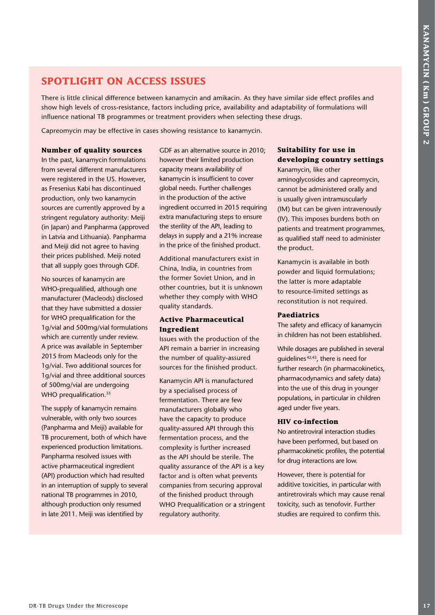## **SPOTLIGHT ON ACCESS ISSUES**

There is little clinical difference between kanamycin and amikacin. As they have similar side effect profiles and show high levels of cross-resistance, factors including price, availability and adaptability of formulations will influence national TB programmes or treatment providers when selecting these drugs.

Capreomycin may be effective in cases showing resistance to kanamycin.

#### **Number of quality sources**

In the past, kanamycin formulations from several different manufacturers were registered in the US. However, as Fresenius Kabi has discontinued production, only two kanamycin sources are currently approved by a stringent regulatory authority: Meiji (in Japan) and Panpharma (approved in Latvia and Lithuania). Panpharma and Meiji did not agree to having their prices published. Meiji noted that all supply goes through GDF.

No sources of kanamycin are WHO-prequalified, although one manufacturer (Macleods) disclosed that they have submitted a dossier for WHO prequalification for the 1g/vial and 500mg/vial formulations which are currently under review. A price was available in September 2015 from Macleods only for the 1g/vial. Two additional sources for 1g/vial and three additional sources of 500mg/vial are undergoing WHO prequalification.<sup>33</sup>

The supply of kanamycin remains vulnerable, with only two sources (Panpharma and Meiji) available for TB procurement, both of which have experienced production limitations. Panpharma resolved issues with active pharmaceutical ingredient (API) production which had resulted in an interruption of supply to several national TB programmes in 2010, although production only resumed in late 2011. Meiji was identified by

GDF as an alternative source in 2010; however their limited production capacity means availability of kanamycin is insufficient to cover global needs. Further challenges in the production of the active ingredient occurred in 2015 requiring extra manufacturing steps to ensure the sterility of the API, leading to delays in supply and a 21% increase in the price of the finished product.

Additional manufacturers exist in China, India, in countries from the former Soviet Union, and in other countries, but it is unknown whether they comply with WHO quality standards.

## **Active Pharmaceutical Ingredient**

Issues with the production of the API remain a barrier in increasing the number of quality-assured sources for the finished product.

**SPOTLIGHT ON ACCESS ISSUES**<br>
These is the client of the microscope is not measured in other words in the microscope is a microscope of the Microscope China (and the Microscope China (and the Microscope China (and the Mic Kanamycin API is manufactured by a specialised process of fermentation. There are few manufacturers globally who have the capacity to produce quality-assured API through this fermentation process, and the complexity is further increased as the API should be sterile. The quality assurance of the API is a key factor and is often what prevents companies from securing approval of the finished product through WHO Prequalification or a stringent regulatory authority.

## **Suitability for use in developing country settings**

Kanamycin, like other aminoglycosides and capreomycin, cannot be administered orally and is usually given intramuscularly (IM) but can be given intravenously (IV). This imposes burdens both on patients and treatment programmes, as qualified staff need to administer the product.

Kanamycin is available in both powder and liquid formulations; the latter is more adaptable to resource-limited settings as reconstitution is not required.

#### **Paediatrics**

The safety and efficacy of kanamycin in children has not been established.

While dosages are published in several guidelines 42,43, there is need for further research (in pharmacokinetics, pharmacodynamics and safety data) into the use of this drug in younger populations, in particular in children aged under five years.

#### **HIV co-infection**

No antiretroviral interaction studies have been performed, but based on pharmacokinetic profiles, the potential for drug interactions are low.

However, there is potential for additive toxicities, in particular with antiretrovirals which may cause renal toxicity, such as tenofovir. Further studies are required to confirm this.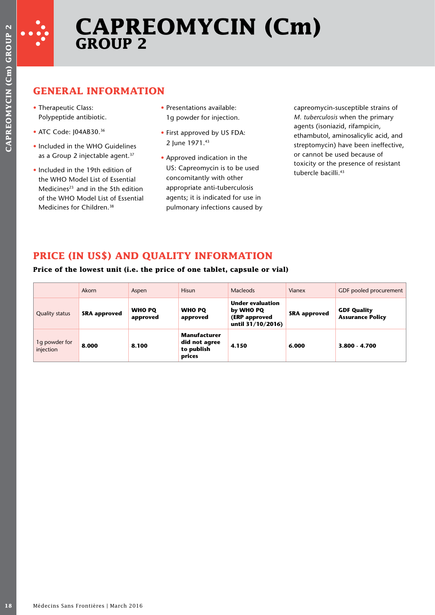

# **CAPREOMYCIN (Cm) GROUP 2**

## **GENERAL INFORMATION**

- Therapeutic Class: Polypeptide antibiotic.
- ATC Code: J04AB30.36
- Included in the WHO Guidelines as a Group 2 injectable agent.<sup>37</sup>
- Included in the 19th edition of the WHO Model List of Essential Medicines<sup>23</sup> and in the 5th edition of the WHO Model List of Essential Medicines for Children.<sup>38</sup>
- Presentations available: 1g powder for injection.
- First approved by US FDA: 2 June 1971.43
- Approved indication in the US: Capreomycin is to be used concomitantly with other appropriate anti-tuberculosis agents; it is indicated for use in pulmonary infections caused by

## **PRICE (IN US\$) AND QUALITY INFORMATION**

## **Price of the lowest unit (i.e. the price of one tablet, capsule or vial)**

| toxicity or the presence of resistant<br>US: Capreomycin is to be used<br>• Included in the 19th edition of<br>tubercle bacilli. <sup>43</sup><br>concomitantly with other<br>the WHO Model List of Essential<br>appropriate anti-tuberculosis<br>Medicines <sup>23</sup> and in the 5th edition<br>agents; it is indicated for use in<br>of the WHO Model List of Essential<br>Medicines for Children. <sup>38</sup><br>pulmonary infections caused by<br>PRICE (IN US\$) AND QUALITY INFORMATION<br>Price of the lowest unit (i.e. the price of one tablet, capsule or vial)<br>Macleods<br>Akorn<br>Hisun<br>Vianex<br>GDF pooled procurement<br>Aspen<br><b>Under evaluation</b><br><b>WHO PQ</b><br>by WHO PQ<br><b>WHO PQ</b><br><b>GDF Quality</b><br><b>Quality status</b><br><b>SRA approved</b><br><b>SRA</b> approved<br><b>Assurance Policy</b><br>approved<br>(ERP approved<br>approved<br>until 31/10/2016)<br>Manufacturer<br>1g powder for<br>did not agree<br>8.100<br>8.000<br>4.150<br>6.000<br>3.800 - 4.700<br>to publish<br>prices | • Therapeutic Class:<br>Polypeptide antibiotic.<br>• ATC Code: J04AB30.36 | • Included in the WHO Guidelines<br>as a Group 2 injectable agent. <sup>37</sup> | • Presentations available:<br>1g powder for injection.<br>• First approved by US FDA:<br>2 June 1971.43<br>• Approved indication in the |  | capreomycin-susceptible strains of<br>M. tuberculosis when the primary<br>agents (isoniazid, rifampicin,<br>ethambutol, aminosalicylic acid, and<br>streptomycin) have been ineffective,<br>or cannot be used because of |
|----------------------------------------------------------------------------------------------------------------------------------------------------------------------------------------------------------------------------------------------------------------------------------------------------------------------------------------------------------------------------------------------------------------------------------------------------------------------------------------------------------------------------------------------------------------------------------------------------------------------------------------------------------------------------------------------------------------------------------------------------------------------------------------------------------------------------------------------------------------------------------------------------------------------------------------------------------------------------------------------------------------------------------------------------------|---------------------------------------------------------------------------|----------------------------------------------------------------------------------|-----------------------------------------------------------------------------------------------------------------------------------------|--|--------------------------------------------------------------------------------------------------------------------------------------------------------------------------------------------------------------------------|
|                                                                                                                                                                                                                                                                                                                                                                                                                                                                                                                                                                                                                                                                                                                                                                                                                                                                                                                                                                                                                                                          |                                                                           |                                                                                  |                                                                                                                                         |  |                                                                                                                                                                                                                          |
| injection                                                                                                                                                                                                                                                                                                                                                                                                                                                                                                                                                                                                                                                                                                                                                                                                                                                                                                                                                                                                                                                |                                                                           |                                                                                  |                                                                                                                                         |  |                                                                                                                                                                                                                          |
|                                                                                                                                                                                                                                                                                                                                                                                                                                                                                                                                                                                                                                                                                                                                                                                                                                                                                                                                                                                                                                                          |                                                                           |                                                                                  |                                                                                                                                         |  |                                                                                                                                                                                                                          |
|                                                                                                                                                                                                                                                                                                                                                                                                                                                                                                                                                                                                                                                                                                                                                                                                                                                                                                                                                                                                                                                          |                                                                           |                                                                                  |                                                                                                                                         |  |                                                                                                                                                                                                                          |
|                                                                                                                                                                                                                                                                                                                                                                                                                                                                                                                                                                                                                                                                                                                                                                                                                                                                                                                                                                                                                                                          |                                                                           |                                                                                  |                                                                                                                                         |  |                                                                                                                                                                                                                          |
|                                                                                                                                                                                                                                                                                                                                                                                                                                                                                                                                                                                                                                                                                                                                                                                                                                                                                                                                                                                                                                                          |                                                                           |                                                                                  |                                                                                                                                         |  |                                                                                                                                                                                                                          |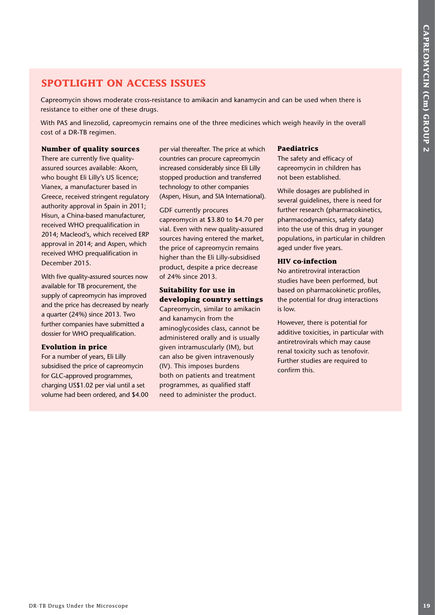## **SPOTLIGHT ON ACCESS ISSUES**

Capreomycin shows moderate cross-resistance to amikacin and kanamycin and can be used when there is resistance to either one of these drugs.

With PAS and linezolid, capreomycin remains one of the three medicines which weigh heavily in the overall cost of a DR-TB regimen.

#### **Number of quality sources**

**SPOTLIGHT ON ACCESS ISSUES**<br>
CARRENTS THE CONSULTER CONTENT ON THE CONSULTER CONSULTER CONSULTER CONSULTER CONSULTER CONSULTER CONSULTER CONSULTER CONSULTER CONSULTER CONSULTER CONSULTER CONSULTER CONSULTER CONSULTER CON There are currently five qualityassured sources available: Akorn, who bought Eli Lilly's US licence; Vianex, a manufacturer based in Greece, received stringent regulatory authority approval in Spain in 2011; Hisun, a China-based manufacturer, received WHO prequalification in 2014; Macleod's, which received ERP approval in 2014; and Aspen, which received WHO prequalification in December 2015.

With five quality-assured sources now available for TB procurement, the supply of capreomycin has improved and the price has decreased by nearly a quarter (24%) since 2013. Two further companies have submitted a dossier for WHO prequalification.

#### **Evolution in price**

For a number of years, Eli Lilly subsidised the price of capreomycin for GLC-approved programmes, charging US\$1.02 per vial until a set volume had been ordered, and \$4.00 per vial thereafter. The price at which countries can procure capreomycin increased considerably since Eli Lilly stopped production and transferred technology to other companies (Aspen, Hisun, and SIA International).

GDF currently procures capreomycin at \$3.80 to \$4.70 per vial. Even with new quality-assured sources having entered the market, the price of capreomycin remains higher than the Eli Lilly-subsidised product, despite a price decrease of 24% since 2013.

## **Suitability for use in developing country settings**

Capreomycin, similar to amikacin and kanamycin from the aminoglycosides class, cannot be administered orally and is usually given intramuscularly (IM), but can also be given intravenously (IV). This imposes burdens both on patients and treatment programmes, as qualified staff need to administer the product.

#### **Paediatrics**

The safety and efficacy of capreomycin in children has not been established.

While dosages are published in several guidelines, there is need for further research (pharmacokinetics, pharmacodynamics, safety data) into the use of this drug in younger populations, in particular in children aged under five years.

## **HIV co-infection**

No antiretroviral interaction studies have been performed, but based on pharmacokinetic profiles, the potential for drug interactions is low.

However, there is potential for additive toxicities, in particular with antiretrovirals which may cause renal toxicity such as tenofovir. Further studies are required to confirm this.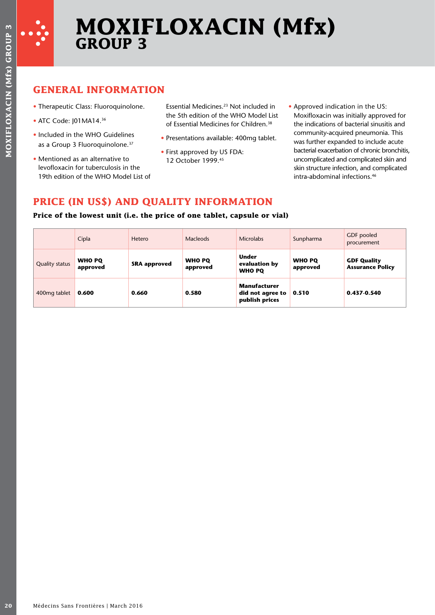

# **MOXIFLOXACIN (Mfx) GROUP 3**

## **GENERAL INFORMATION**

- Therapeutic Class: Fluoroquinolone.
- ATC Code: I01MA14.<sup>36</sup>
- Included in the WHO Guidelines as a Group 3 Fluoroquinolone.<sup>37</sup>
- Mentioned as an alternative to levofloxacin for tuberculosis in the 19th edition of the WHO Model List of
- Essential Medicines.23 Not included in the 5th edition of the WHO Model List of Essential Medicines for Children.<sup>38</sup>
- Presentations available: 400mg tablet.
- First approved by US FDA: 12 October 1999.45
- Approved indication in the US: Moxifloxacin was initially approved for the indications of bacterial sinusitis and community-acquired pneumonia. This was further expanded to include acute bacterial exacerbation of chronic bronchitis, uncomplicated and complicated skin and skin structure infection, and complicated intra-abdominal infections.46

## **PRICE (IN US\$) AND QUALITY INFORMATION**

## **Price of the lowest unit (i.e. the price of one tablet, capsule or vial)**

|                        | <b>GENERAL INFORMATION</b>                                                                                        |                                         |                                                                                                                                                   |                                                                          |                                  |                                                                                                                                  |
|------------------------|-------------------------------------------------------------------------------------------------------------------|-----------------------------------------|---------------------------------------------------------------------------------------------------------------------------------------------------|--------------------------------------------------------------------------|----------------------------------|----------------------------------------------------------------------------------------------------------------------------------|
| • ATC Code: J01MA14.36 | • Therapeutic Class: Fluoroquinolone.                                                                             |                                         | Essential Medicines. <sup>23</sup> Not included in<br>the 5th edition of the WHO Model List<br>of Essential Medicines for Children. <sup>38</sup> |                                                                          | • Approved indication in the US: | Moxifloxacin was initially approved for<br>the indications of bacterial sinusitis and                                            |
|                        | • Included in the WHO Guidelines<br>as a Group 3 Fluoroquinolone. <sup>37</sup>                                   |                                         | • Presentations available: 400mg tablet.<br>• First approved by US FDA:                                                                           |                                                                          |                                  | community-acquired pneumonia. This<br>was further expanded to include acute<br>bacterial exacerbation of chronic bronchiti       |
|                        | • Mentioned as an alternative to<br>levofloxacin for tuberculosis in the<br>19th edition of the WHO Model List of |                                         | 12 October 1999.45                                                                                                                                |                                                                          |                                  | uncomplicated and complicated skin and<br>skin structure infection, and complicated<br>intra-abdominal infections. <sup>46</sup> |
|                        |                                                                                                                   | PRICE (IN US\$) AND QUALITY INFORMATION |                                                                                                                                                   | Price of the lowest unit (i.e. the price of one tablet, capsule or vial) |                                  |                                                                                                                                  |
|                        | Cipla                                                                                                             | Hetero                                  | <b>Macleods</b>                                                                                                                                   | <b>Microlabs</b>                                                         | Sunpharma                        | GDF pooled<br>procurement                                                                                                        |
| <b>Quality status</b>  | <b>WHO PQ</b><br>approved                                                                                         | <b>SRA approved</b>                     | <b>WHO PQ</b><br>approved                                                                                                                         | <b>Under</b><br>evaluation by<br><b>WHO PQ</b>                           | <b>WHO PQ</b><br>approved        | <b>GDF Quality</b><br><b>Assurance Policy</b>                                                                                    |
|                        |                                                                                                                   | 0.660                                   | 0.580                                                                                                                                             | <b>Manufacturer</b><br>did not agree to                                  | 0.510                            | 0.437-0.540                                                                                                                      |
| 400mg tablet           | 0.600                                                                                                             |                                         |                                                                                                                                                   | publish prices                                                           |                                  |                                                                                                                                  |
|                        |                                                                                                                   |                                         |                                                                                                                                                   |                                                                          |                                  |                                                                                                                                  |
|                        |                                                                                                                   |                                         |                                                                                                                                                   |                                                                          |                                  |                                                                                                                                  |
|                        |                                                                                                                   |                                         |                                                                                                                                                   |                                                                          |                                  |                                                                                                                                  |
|                        |                                                                                                                   |                                         |                                                                                                                                                   |                                                                          |                                  |                                                                                                                                  |
|                        |                                                                                                                   |                                         |                                                                                                                                                   |                                                                          |                                  |                                                                                                                                  |
|                        |                                                                                                                   |                                         |                                                                                                                                                   |                                                                          |                                  |                                                                                                                                  |
|                        |                                                                                                                   |                                         |                                                                                                                                                   |                                                                          |                                  |                                                                                                                                  |
|                        |                                                                                                                   |                                         |                                                                                                                                                   |                                                                          |                                  |                                                                                                                                  |
|                        |                                                                                                                   |                                         |                                                                                                                                                   |                                                                          |                                  |                                                                                                                                  |
|                        |                                                                                                                   |                                         |                                                                                                                                                   |                                                                          |                                  |                                                                                                                                  |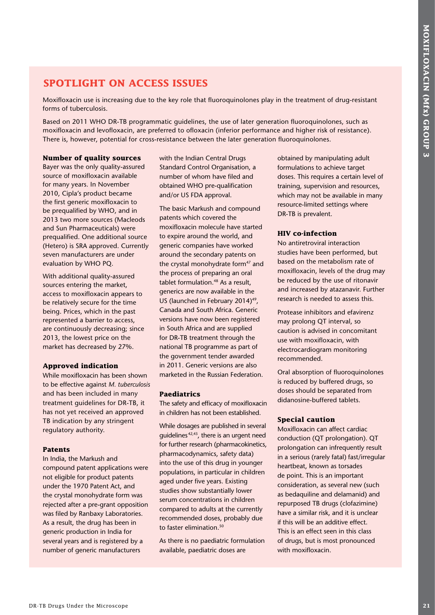## **SPOTLIGHT ON ACCESS ISSUES**

Moxifloxacin use is increasing due to the key role that fluoroquinolones play in the treatment of drug-resistant forms of tuberculosis.

Based on 2011 WHO DR-TB programmatic guidelines, the use of later generation fluoroquinolones, such as moxifloxacin and levofloxacin, are preferred to ofloxacin (inferior performance and higher risk of resistance). There is, however, potential for cross-resistance between the later generation fluoroquinolones.

## **Number of quality sources**

Bayer was the only quality-assured source of moxifloxacin available for many years. In November 2010, Cipla's product became the first generic moxifloxacin to be prequalified by WHO, and in 2013 two more sources (Macleods and Sun Pharmaceuticals) were prequalified. One additional source (Hetero) is SRA approved. Currently seven manufacturers are under evaluation by WHO PQ.

With additional quality-assured sources entering the market, access to moxifloxacin appears to be relatively secure for the time being. Prices, which in the past represented a barrier to access, are continuously decreasing; since 2013, the lowest price on the market has decreased by 27%.

## **Approved indication**

While moxifloxacin has been shown to be effective against *M. tuberculosis* and has been included in many treatment guidelines for DR-TB, it has not yet received an approved TB indication by any stringent regulatory authority.

## **Patents**

In India, the Markush and compound patent applications were not eligible for product patents under the 1970 Patent Act, and the crystal monohydrate form was rejected after a pre-grant opposition was filed by Ranbaxy Laboratories. As a result, the drug has been in generic production in India for several years and is registered by a number of generic manufacturers

with the Indian Central Drugs Standard Control Organisation, a number of whom have filed and obtained WHO pre-qualification and/or US FDA approval.

**SPOTLEGHT ON ACCESS ISSUES**<br>
Note osset use traceutes sin to be the microscope properties of the microscope of the microscope in the microscope of the microscope in the microscope and the microscope and the microscope an The basic Markush and compound patents which covered the moxifloxacin molecule have started to expire around the world, and generic companies have worked around the secondary patents on the crystal monohydrate form<sup>47</sup> and the process of preparing an oral tablet formulation.<sup>48</sup> As a result, generics are now available in the US (launched in February 2014)<sup>49</sup>. Canada and South Africa. Generic versions have now been registered in South Africa and are supplied for DR-TB treatment through the national TB programme as part of the government tender awarded in 2011. Generic versions are also marketed in the Russian Federation.

## **Paediatrics**

The safety and efficacy of moxifloxacin in children has not been established.

While dosages are published in several guidelines 42,43, there is an urgent need for further research (pharmacokinetics, pharmacodynamics, safety data) into the use of this drug in younger populations, in particular in children aged under five years. Existing studies show substantially lower serum concentrations in children compared to adults at the currently recommended doses, probably due to faster elimination.<sup>50</sup>

As there is no paediatric formulation available, paediatric doses are

obtained by manipulating adult formulations to achieve target doses. This requires a certain level of training, supervision and resources, which may not be available in many resource-limited settings where DR-TB is prevalent.

## **HIV co-infection**

No antiretroviral interaction studies have been performed, but based on the metabolism rate of moxifloxacin, levels of the drug may be reduced by the use of ritonavir and increased by atazanavir. Further research is needed to assess this.

Protease inhibitors and efavirenz may prolong QT interval, so caution is advised in concomitant use with moxifloxacin, with electrocardiogram monitoring recommended.

Oral absorption of fluoroquinolones is reduced by buffered drugs, so doses should be separated from didanosine-buffered tablets.

## **Special caution**

Moxifloxacin can affect cardiac conduction (QT prolongation). QT prolongation can infrequently result in a serious (rarely fatal) fast/irregular heartbeat, known as torsades de point. This is an important consideration, as several new (such as bedaquiline and delamanid) and repurposed TB drugs (clofazimine) have a similar risk, and it is unclear if this will be an additive effect. This is an effect seen in this class of drugs, but is most pronounced with moxifloxacin.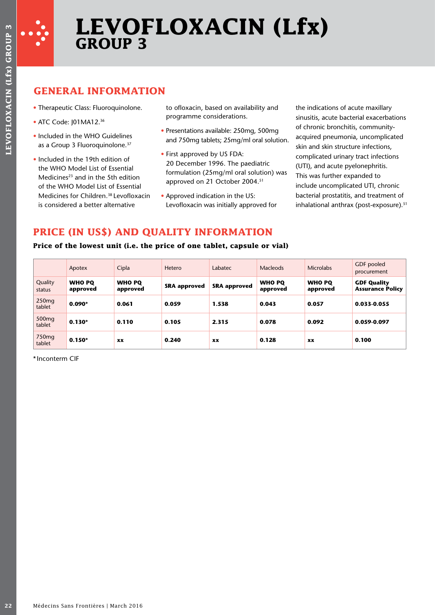

# **LEVOFLOXACIN (Lfx) GROUP 3**

## **GENERAL INFORMATION**

- Therapeutic Class: Fluoroquinolone.
- ATC Code: I01MA12.<sup>36</sup>
- Included in the WHO Guidelines as a Group 3 Fluoroquinolone.<sup>37</sup>
- Included in the 19th edition of the WHO Model List of Essential Medicines $23$  and in the 5th edition of the WHO Model List of Essential Medicines for Children.38 Levofloxacin is considered a better alternative

to ofloxacin, based on availability and programme considerations.

- Presentations available: 250mg, 500mg and 750mg tablets; 25mg/ml oral solution.
- First approved by US FDA: 20 December 1996. The paediatric formulation (25mg/ml oral solution) was approved on 21 October 2004.<sup>51</sup>
- Approved indication in the US: Levofloxacin was initially approved for

the indications of acute maxillary sinusitis, acute bacterial exacerbations of chronic bronchitis, communityacquired pneumonia, uncomplicated skin and skin structure infections, complicated urinary tract infections (UTI), and acute pyelonephritis. This was further expanded to include uncomplicated UTI, chronic bacterial prostatitis, and treatment of inhalational anthrax (post-exposure).<sup>51</sup>

## **PRICE (IN US\$) AND QUALITY INFORMATION**

## **Price of the lowest unit (i.e. the price of one tablet, capsule or vial)**

|                             | Apotex                    | Cipla                     | Hetero              | Labatec             | <b>Macleods</b>           | <b>Microlabs</b>          | GDF pooled<br>procurement                     |
|-----------------------------|---------------------------|---------------------------|---------------------|---------------------|---------------------------|---------------------------|-----------------------------------------------|
| Quality<br>status           | <b>WHO PO</b><br>approved | <b>WHO PO</b><br>approved | <b>SRA</b> approved | <b>SRA approved</b> | <b>WHO PQ</b><br>approved | <b>WHO PO</b><br>approved | <b>GDF Quality</b><br><b>Assurance Policy</b> |
| 250 <sub>mg</sub><br>tablet | $0.090*$                  | 0.061                     | 0.059               | 1.538               | 0.043                     | 0.057                     | 0.033-0.055                                   |
| 500 <sub>mg</sub><br>tablet | $0.130*$                  | 0.110                     | 0.105               | 2.315               | 0.078                     | 0.092                     | 0.059-0.097                                   |
| 750 <sub>mg</sub><br>tablet | $0.150*$                  | XX                        | 0.240               | <b>XX</b>           | 0.128                     | <b>XX</b>                 | 0.100                                         |

\* Inconterm CIF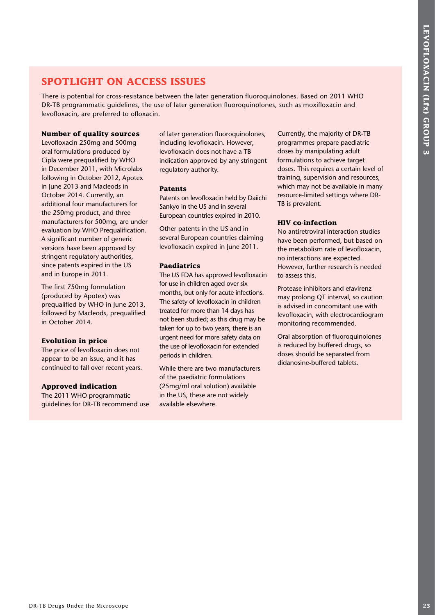## **SPOTLIGHT ON ACCESS ISSUES**

There is potential for cross-resistance between the later generation fluoroquinolones. Based on 2011 WHO DR-TB programmatic guidelines, the use of later generation fluoroquinolones, such as moxifloxacin and levofloxacin, are preferred to ofloxacin.

## **Number of quality sources**

**SPOTLIGHT ON ACCESS ISSUES**<br>
the w is seterate of consistent these behavior the angle of consistent the microscope isset of consistent the Microscope isset of anti-particle that the microscope is the microscope of the mi Levofloxacin 250mg and 500mg oral formulations produced by Cipla were prequalified by WHO in December 2011, with Microlabs following in October 2012, Apotex in June 2013 and Macleods in October 2014. Currently, an additional four manufacturers for the 250mg product, and three manufacturers for 500mg, are under evaluation by WHO Prequalification. A significant number of generic versions have been approved by stringent regulatory authorities, since patents expired in the US and in Europe in 2011.

The first 750mg formulation (produced by Apotex) was prequalified by WHO in June 2013, followed by Macleods, prequalified in October 2014.

## **Evolution in price**

The price of levofloxacin does not appear to be an issue, and it has continued to fall over recent years.

## **Approved indication**

The 2011 WHO programmatic guidelines for DR-TB recommend use of later generation fluoroquinolones, including levofloxacin. However, levofloxacin does not have a TB indication approved by any stringent regulatory authority.

#### **Patents**

Patents on levofloxacin held by Daiichi Sankyo in the US and in several European countries expired in 2010.

Other patents in the US and in several European countries claiming levofloxacin expired in June 2011.

## **Paediatrics**

The US FDA has approved levofloxacin for use in children aged over six months, but only for acute infections. The safety of levofloxacin in children treated for more than 14 days has not been studied; as this drug may be taken for up to two years, there is an urgent need for more safety data on the use of levofloxacin for extended periods in children.

While there are two manufacturers of the paediatric formulations (25mg/ml oral solution) available in the US, these are not widely available elsewhere.

Currently, the majority of DR-TB programmes prepare paediatric doses by manipulating adult formulations to achieve target doses. This requires a certain level of training, supervision and resources, which may not be available in many resource-limited settings where DR-TB is prevalent.

#### **HIV co-infection**

No antiretroviral interaction studies have been performed, but based on the metabolism rate of levofloxacin, no interactions are expected. However, further research is needed to assess this.

Protease inhibitors and efavirenz may prolong QT interval, so caution is advised in concomitant use with levofloxacin, with electrocardiogram monitoring recommended.

Oral absorption of fluoroquinolones is reduced by buffered drugs, so doses should be separated from didanosine-buffered tablets.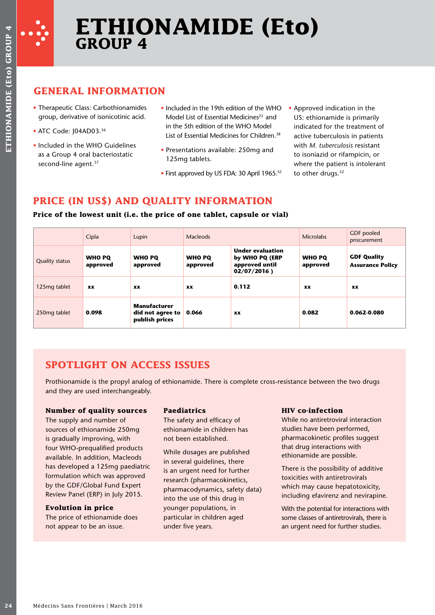

## **ETHIONAMIDE (Eto) GROUP 4**

## **GENERAL INFORMATION**

- Therapeutic Class: Carbothionamides group, derivative of isonicotinic acid.
- ATC Code: I04AD03.<sup>36</sup>
- Included in the WHO Guidelines as a Group 4 oral bacteriostatic second-line agent.<sup>37</sup>
- Included in the 19th edition of the WHO Model List of Essential Medicines<sup>23</sup> and in the 5th edition of the WHO Model List of Essential Medicines for Children.<sup>38</sup>
- Presentations available: 250mg and 125mg tablets.
- First approved by US FDA: 30 April 1965.<sup>52</sup>
- Approved indication in the US: ethionamide is primarily indicated for the treatment of active tuberculosis in patients with *M. tuberculosis* resistant to isoniazid or rifampicin, or where the patient is intolerant to other drugs.<sup>52</sup>

## **PRICE (IN US\$) AND QUALITY INFORMATION**

## **Price of the lowest unit (i.e. the price of one tablet, capsule or vial)**

|                                                            | <b>GENERAL INFORMATION</b>                                                                                                                                                                                                                                                   |                                                                                                      |                                                                                                                                                                                                                                         |                                                                                                                                                                                                                                                                 |                                                                                                                                                                                                                                                                                                                                                     |                                                              |
|------------------------------------------------------------|------------------------------------------------------------------------------------------------------------------------------------------------------------------------------------------------------------------------------------------------------------------------------|------------------------------------------------------------------------------------------------------|-----------------------------------------------------------------------------------------------------------------------------------------------------------------------------------------------------------------------------------------|-----------------------------------------------------------------------------------------------------------------------------------------------------------------------------------------------------------------------------------------------------------------|-----------------------------------------------------------------------------------------------------------------------------------------------------------------------------------------------------------------------------------------------------------------------------------------------------------------------------------------------------|--------------------------------------------------------------|
| • ATC Code: J04AD03.36<br>second-line agent. <sup>37</sup> | • Therapeutic Class: Carbothionamides<br>group, derivative of isonicotinic acid.<br>• Included in the WHO Guidelines<br>as a Group 4 oral bacteriostatic                                                                                                                     |                                                                                                      | in the 5th edition of the WHO Model<br>125mg tablets.                                                                                                                                                                                   | . Included in the 19th edition of the WHO<br>Model List of Essential Medicines <sup>23</sup> and<br>List of Essential Medicines for Children. <sup>38</sup><br>• Presentations available: 250mg and<br>• First approved by US FDA: 30 April 1965. <sup>52</sup> | • Approved indication in the<br>US: ethionamide is primarily<br>indicated for the treatment of<br>active tuberculosis in patients<br>with M. tuberculosis resistant<br>to isoniazid or rifampicin, or<br>where the patient is intolerant<br>to other drugs. <sup>52</sup>                                                                           |                                                              |
|                                                            |                                                                                                                                                                                                                                                                              |                                                                                                      |                                                                                                                                                                                                                                         | PRICE (IN US\$) AND QUALITY INFORMATION<br>Price of the lowest unit (i.e. the price of one tablet, capsule or vial)                                                                                                                                             |                                                                                                                                                                                                                                                                                                                                                     | GDF pooled                                                   |
| <b>Quality status</b>                                      | Cipla<br><b>WHO PQ</b><br>approved                                                                                                                                                                                                                                           | Lupin<br><b>WHO PQ</b><br>approved                                                                   | <b>Macleods</b><br><b>WHO PQ</b><br>approved                                                                                                                                                                                            | <b>Under evaluation</b><br>by WHO PQ (ERP<br>approved until<br>02/07/2016)                                                                                                                                                                                      | <b>Microlabs</b><br><b>WHO PQ</b><br>approved                                                                                                                                                                                                                                                                                                       | procurement<br><b>GDF Quality</b><br><b>Assurance Policy</b> |
| 125mg tablet                                               | XX                                                                                                                                                                                                                                                                           | XX                                                                                                   | XX                                                                                                                                                                                                                                      | 0.112                                                                                                                                                                                                                                                           | XX                                                                                                                                                                                                                                                                                                                                                  | XX                                                           |
| 250mg tablet                                               | 0.098                                                                                                                                                                                                                                                                        | <b>Manufacturer</b><br>did not agree to<br>publish prices                                            | 0.066                                                                                                                                                                                                                                   | XX                                                                                                                                                                                                                                                              | 0.082                                                                                                                                                                                                                                                                                                                                               | 0.062-0.080                                                  |
|                                                            | and they are used interchangeably.<br><b>Number of quality sources</b><br>The supply and number of<br>sources of ethionamide 250mg<br>is gradually improving, with<br>four WHO-prequalified products<br>available. In addition, Macleods<br>has developed a 125mg paediatric | <b>SPOTLIGHT ON ACCESS ISSUES</b><br>formulation which was approved<br>by the GDF/Global Fund Expert | <b>Paediatrics</b><br>The safety and efficacy of<br>ethionamide in children has<br>not been established.<br>While dosages are published<br>in several guidelines, there<br>is an urgent need for further<br>research (pharmacokinetics, | Prothionamide is the propyl analog of ethionamide. There is complete cross-resistance between the two drugs<br>pharmacodynamics, safety data)                                                                                                                   | <b>HIV</b> co-infection<br>While no antiretroviral interaction<br>studies have been performed,<br>pharmacokinetic profiles suggest<br>that drug interactions with<br>ethionamide are possible.<br>There is the possibility of additive<br>toxicities with antiretrovirals<br>which may cause hepatotoxicity,<br>including efavirenz and nevirapine. |                                                              |

## **SPOTLIGHT ON ACCESS ISSUES**

## **Number of quality sources**

## **Evolution in price**

## **Paediatrics**

## **HIV co-infection**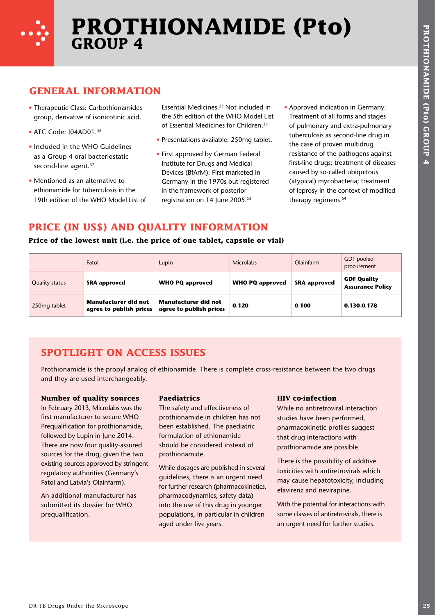

## **PROTHIONAMIDE (Pto) GROUP 4**

## **GENERAL INFORMATION**

- Therapeutic Class: Carbothionamides group, derivative of isonicotinic acid.
- ATC Code: I04AD01.<sup>36</sup>
- Included in the WHO Guidelines as a Group 4 oral bacteriostatic second-line agent.<sup>37</sup>
- Mentioned as an alternative to ethionamide for tuberculosis in the 19th edition of the WHO Model List of

- Presentations available: 250mg tablet.
- First approved by German Federal Institute for Drugs and Medical Devices (BfArM): First marketed in Germany in the 1970s but registered in the framework of posterior registration on 14 June 2005.53
- Approved indication in Germany: Treatment of all forms and stages of pulmonary and extra-pulmonary tuberculosis as second-line drug in the case of proven multidrug resistance of the pathogens against first-line drugs; treatment of diseases caused by so-called ubiquitous (atypical) mycobacteria; treatment of leprosy in the context of modified therapy regimens.<sup>54</sup>

## **PRICE (IN US\$) AND QUALITY INFORMATION**

## **Price of the lowest unit (i.e. the price of one tablet, capsule or vial)**

| • ATC Code: J04AD01.36<br>second-line agent. <sup>37</sup> | <b>GENERAL INFORMATION</b><br>• Therapeutic Class: Carbothionamides<br>group, derivative of isonicotinic acid.<br>• Included in the WHO Guidelines<br>as a Group 4 oral bacteriostatic<br>• Mentioned as an alternative to<br>ethionamide for tuberculosis in the<br>19th edition of the WHO Model List of<br>PRICE (IN US\$) AND QUALITY INFORMATION | Essential Medicines. <sup>23</sup> Not included in<br>the 5th edition of the WHO Model List<br>of Essential Medicines for Children. <sup>38</sup><br>• Presentations available: 250mg tablet.<br>• First approved by German Federal<br>Institute for Drugs and Medical<br>Devices (BfArM): First marketed in<br>Germany in the 1970s but registered<br>in the framework of posterior<br>registration on 14 June 2005.53 |                        | • Approved indication in Germany:<br>Treatment of all forms and stages<br>tuberculosis as second-line drug in<br>the case of proven multidrug<br>caused by so-called ubiquitous<br>therapy regimens. <sup>54</sup> | of pulmonary and extra-pulmonary<br>resistance of the pathogens against<br>first-line drugs; treatment of diseases<br>(atypical) mycobacteria; treatment<br>of leprosy in the context of modified |
|------------------------------------------------------------|-------------------------------------------------------------------------------------------------------------------------------------------------------------------------------------------------------------------------------------------------------------------------------------------------------------------------------------------------------|-------------------------------------------------------------------------------------------------------------------------------------------------------------------------------------------------------------------------------------------------------------------------------------------------------------------------------------------------------------------------------------------------------------------------|------------------------|--------------------------------------------------------------------------------------------------------------------------------------------------------------------------------------------------------------------|---------------------------------------------------------------------------------------------------------------------------------------------------------------------------------------------------|
|                                                            | Price of the lowest unit (i.e. the price of one tablet, capsule or vial)<br>Fatol                                                                                                                                                                                                                                                                     | Lupin                                                                                                                                                                                                                                                                                                                                                                                                                   | <b>Microlabs</b>       | Olainfarm                                                                                                                                                                                                          | <b>GDF</b> pooled                                                                                                                                                                                 |
| <b>Quality status</b>                                      | <b>SRA approved</b>                                                                                                                                                                                                                                                                                                                                   | <b>WHO PQ approved</b>                                                                                                                                                                                                                                                                                                                                                                                                  | <b>WHO PQ approved</b> | <b>SRA approved</b>                                                                                                                                                                                                | procurement<br><b>GDF Quality</b><br><b>Assurance Policy</b>                                                                                                                                      |
| 250mg tablet                                               | <b>Manufacturer did not</b><br>agree to publish prices                                                                                                                                                                                                                                                                                                | <b>Manufacturer did not</b><br>agree to publish prices                                                                                                                                                                                                                                                                                                                                                                  | 0.120                  | 0.100                                                                                                                                                                                                              | 0.130-0.178                                                                                                                                                                                       |
|                                                            |                                                                                                                                                                                                                                                                                                                                                       |                                                                                                                                                                                                                                                                                                                                                                                                                         |                        |                                                                                                                                                                                                                    |                                                                                                                                                                                                   |

## **SPOTLIGHT ON ACCESS ISSUES**

## **Number of quality sources**

## **Paediatrics**

## **HIV co-infection**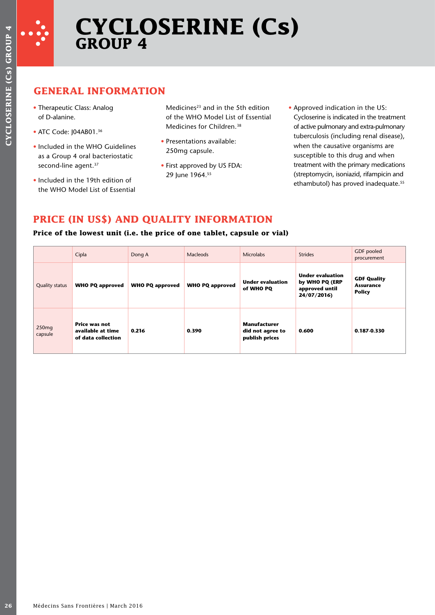

# **CYCLOSERINE (Cs) GROUP 4**

## **GENERAL INFORMATION**

- Therapeutic Class: Analog of D-alanine.
- ATC Code: J04AB01.<sup>36</sup>
- Included in the WHO Guidelines as a Group 4 oral bacteriostatic second-line agent.<sup>37</sup>
- Included in the 19th edition of the WHO Model List of Essential

- Presentations available: 250mg capsule.
- First approved by US FDA: 29 June 1964.<sup>55</sup>

## **PRICE (IN US\$) AND QUALITY INFORMATION**

## **Price of the lowest unit (i.e. the price of one tablet, capsule or vial)**

| • ATC Code: J04AB01.36<br>second-line agent. <sup>37</sup> | • Therapeutic Class: Analog<br>of D-alanine.<br>• Included in the WHO Guidelines<br>as a Group 4 oral bacteriostatic<br>. Included in the 19th edition of<br>the WHO Model List of Essential |                        | Medicines <sup>23</sup> and in the 5th edition<br>of the WHO Model List of Essential<br>Medicines for Children. <sup>38</sup><br>• Presentations available:<br>250mg capsule.<br>• First approved by US FDA:<br>29 June 1964.55<br>PRICE (IN US\$) AND QUALITY INFORMATION<br>Price of the lowest unit (i.e. the price of one tablet, capsule or vial) |                                                           | • Approved indication in the US:<br>Cycloserine is indicated in the treatment<br>of active pulmonary and extra-pulmonary<br>tuberculosis (including renal disease),<br>when the causative organisms are<br>susceptible to this drug and when<br>treatment with the primary medications<br>(streptomycin, isoniazid, rifampicin and<br>ethambutol) has proved inadequate. <sup>55</sup> |                                                         |
|------------------------------------------------------------|----------------------------------------------------------------------------------------------------------------------------------------------------------------------------------------------|------------------------|--------------------------------------------------------------------------------------------------------------------------------------------------------------------------------------------------------------------------------------------------------------------------------------------------------------------------------------------------------|-----------------------------------------------------------|----------------------------------------------------------------------------------------------------------------------------------------------------------------------------------------------------------------------------------------------------------------------------------------------------------------------------------------------------------------------------------------|---------------------------------------------------------|
|                                                            | Cipla                                                                                                                                                                                        | Dong A                 | Macleods                                                                                                                                                                                                                                                                                                                                               | <b>Microlabs</b>                                          | <b>Strides</b>                                                                                                                                                                                                                                                                                                                                                                         | GDF pooled<br>procurement                               |
| <b>Quality status</b>                                      | <b>WHO PQ approved</b>                                                                                                                                                                       | <b>WHO PQ approved</b> | <b>WHO PQ approved</b>                                                                                                                                                                                                                                                                                                                                 | <b>Under evaluation</b><br>of WHO PQ                      | <b>Under evaluation</b><br>by WHO PQ (ERP<br>approved until<br>24/07/2016)                                                                                                                                                                                                                                                                                                             | <b>GDF Quality</b><br><b>Assurance</b><br><b>Policy</b> |
| 250mg<br>capsule                                           | Price was not<br>available at time<br>of data collection                                                                                                                                     | 0.216                  | 0.390                                                                                                                                                                                                                                                                                                                                                  | <b>Manufacturer</b><br>did not agree to<br>publish prices | 0.600                                                                                                                                                                                                                                                                                                                                                                                  | 0.187-0.330                                             |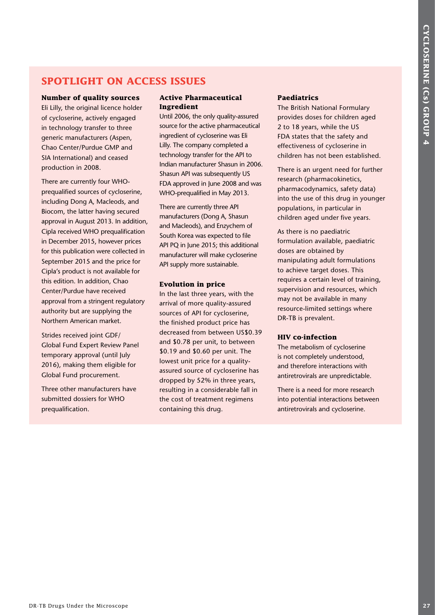## **SPOTLIGHT ON ACCESS ISSUES**

#### **Number of quality sources**

Eli Lilly, the original licence holder of cycloserine, actively engaged in technology transfer to three generic manufacturers (Aspen, Chao Center/Purdue GMP and SIA International) and ceased production in 2008.

**SPOTLIGET ON ACCESS ISSUES**<br>
Number of quadity sources Active Pharmaceutical Pacifilities<br>
In given signification and the simulation and the simulation and the simulation and the simulation and the simulation and the sim There are currently four WHOprequalified sources of cycloserine, including Dong A, Macleods, and Biocom, the latter having secured approval in August 2013. In addition, Cipla received WHO prequalification in December 2015, however prices for this publication were collected in September 2015 and the price for Cipla's product is not available for this edition. In addition, Chao Center/Purdue have received approval from a stringent regulatory authority but are supplying the Northern American market.

Strides received joint GDF/ Global Fund Expert Review Panel temporary approval (until July 2016), making them eligible for Global Fund procurement.

Three other manufacturers have submitted dossiers for WHO prequalification.

#### **Active Pharmaceutical Ingredient**

Until 2006, the only quality-assured source for the active pharmaceutical ingredient of cycloserine was Eli Lilly. The company completed a technology transfer for the API to Indian manufacturer Shasun in 2006. Shasun API was subsequently US FDA approved in June 2008 and was WHO-prequalified in May 2013.

There are currently three API manufacturers (Dong A, Shasun and Macleods), and Enzychem of South Korea was expected to file API PQ in June 2015; this additional manufacturer will make cycloserine API supply more sustainable.

#### **Evolution in price**

In the last three years, with the arrival of more quality-assured sources of API for cycloserine, the finished product price has decreased from between US\$0.39 and \$0.78 per unit, to between \$0.19 and \$0.60 per unit. The lowest unit price for a qualityassured source of cycloserine has dropped by 52% in three years, resulting in a considerable fall in the cost of treatment regimens containing this drug.

#### **Paediatrics**

The British National Formulary provides doses for children aged 2 to 18 years, while the US FDA states that the safety and effectiveness of cycloserine in children has not been established.

There is an urgent need for further research (pharmacokinetics, pharmacodynamics, safety data) into the use of this drug in younger populations, in particular in children aged under five years.

As there is no paediatric formulation available, paediatric doses are obtained by manipulating adult formulations to achieve target doses. This requires a certain level of training, supervision and resources, which may not be available in many resource-limited settings where DR-TB is prevalent.

#### **HIV co-infection**

The metabolism of cycloserine is not completely understood, and therefore interactions with antiretrovirals are unpredictable.

There is a need for more research into potential interactions between antiretrovirals and cycloserine.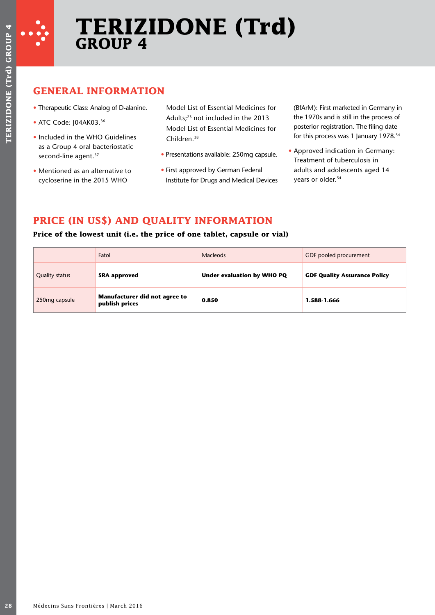

## **GENERAL INFORMATION**

- Therapeutic Class: Analog of D-alanine.
- ATC Code: J04AK03.36
- Included in the WHO Guidelines as a Group 4 oral bacteriostatic second-line agent.<sup>37</sup>
- Mentioned as an alternative to cycloserine in the 2015 WHO

- Presentations available: 250mg capsule.
- First approved by German Federal Institute for Drugs and Medical Devices

## **PRICE (IN US\$) AND QUALITY INFORMATION**

## **Price of the lowest unit (i.e. the price of one tablet, capsule or vial)**

|                                                                                                     | <b>GENERAL INFORMATION</b><br>• Therapeutic Class: Analog of D-alanine. |                         | Model List of Essential Medicines for                                                                                      | (BfArM): First marketed in Germany in                                                                                                |
|-----------------------------------------------------------------------------------------------------|-------------------------------------------------------------------------|-------------------------|----------------------------------------------------------------------------------------------------------------------------|--------------------------------------------------------------------------------------------------------------------------------------|
| • ATC Code: J04AK03.36<br>• Included in the WHO Guidelines<br>as a Group 4 oral bacteriostatic      |                                                                         | Children. <sup>38</sup> | Adults; <sup>23</sup> not included in the 2013<br>Model List of Essential Medicines for                                    | the 1970s and is still in the process of<br>posterior registration. The filing date<br>for this process was 1 January 1978.54        |
| second-line agent. <sup>37</sup><br>• Mentioned as an alternative to<br>cycloserine in the 2015 WHO |                                                                         |                         | • Presentations available: 250mg capsule.<br>• First approved by German Federal<br>Institute for Drugs and Medical Devices | • Approved indication in Germany:<br>Treatment of tuberculosis in<br>adults and adolescents aged 14<br>years or older. <sup>54</sup> |
|                                                                                                     |                                                                         |                         | PRICE (IN US\$) AND QUALITY INFORMATION<br>Price of the lowest unit (i.e. the price of one tablet, capsule or vial)        |                                                                                                                                      |
|                                                                                                     | Fatol                                                                   |                         | <b>Macleods</b>                                                                                                            | GDF pooled procurement                                                                                                               |
| <b>Quality status</b>                                                                               | <b>SRA approved</b>                                                     |                         | <b>Under evaluation by WHO PQ</b>                                                                                          | <b>GDF Quality Assurance Policy</b>                                                                                                  |
|                                                                                                     |                                                                         |                         |                                                                                                                            |                                                                                                                                      |
| 250mg capsule                                                                                       | Manufacturer did not agree to<br>publish prices                         |                         | 0.850                                                                                                                      | 1.588 1.666                                                                                                                          |
|                                                                                                     |                                                                         |                         |                                                                                                                            |                                                                                                                                      |
|                                                                                                     |                                                                         |                         |                                                                                                                            |                                                                                                                                      |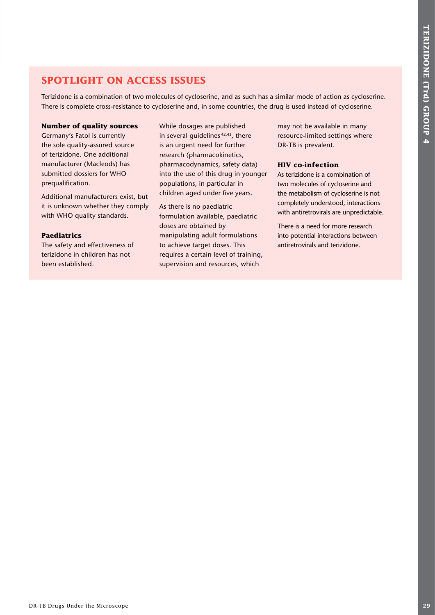## **SPOTLIGHT ON ACCESS ISSUES**

Terizidone is a combination of two molecules of cycloserine, and as such has a similar mode of action as cycloserine. There is complete cross-resistance to cycloserine and, in some countries, the drug is used instead of cycloserine.

## **Number of quality sources**

Germany's Fatol is currently the sole quality-assured source of terizidone. One additional manufacturer (Macleods) has submitted dossiers for WHO prequalification.

Additional manufacturers exist, but it is unknown whether they comply with WHO quality standards.

## **Paediatrics**

The safety and effectiveness of terizidone in children has not been established.

While dosages are published in several quidelines<sup>42,43</sup>, there is an urgent need for further research (pharmacokinetics, pharmacodynamics, safety data) into the use of this drug in younger populations, in particular in children aged under five years.

As there is no paediatric formulation available, paediatric doses are obtained by manipulating adult formulations to achieve target doses. This requires a certain level of training, supervision and resources, which

may not be available in many resource-limited settings where DR-TB is prevalent.

## **HIV co-infection**

As terizidone is a combination of two molecules of cycloserine and the metabolism of cycloserine is not completely understood, interactions with antiretrovirals are unpredictable.

There is a need for more research into potential interactions between antiretrovirals and terizidone.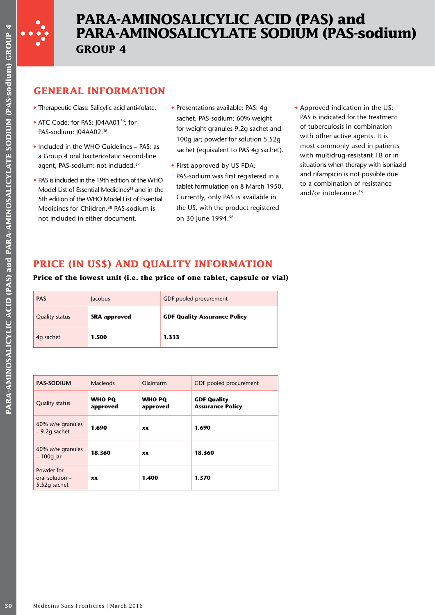

## **PARA-AMINOSALICYLIC ACID (PAS) and PARA-AMINOSALICYLATE SODIUM (PAS-sodium) GROUP 4**

## **GENERAL INFORMATION**

- Therapeutic Class: Salicylic acid anti-folate.
- ATC Code: for PAS: J04AA01<sup>36</sup>; for PAS-sodium: J04AA02.<sup>36</sup>
- Included in the WHO Guidelines PAS: as a Group 4 oral bacteriostatic second-line agent; PAS-sodium: not included.<sup>37</sup>
- PAS is included in the 19th edition of the WHO Model List of Essential Medicines<sup>23</sup> and in the 5th edition of the WHO Model List of Essential Medicines for Children.38 PAS-sodium is not included in either document.
- Presentations available: PAS: 4g sachet. PAS-sodium: 60% weight for weight granules 9.2g sachet and 100g jar; powder for solution 5.52g sachet (equivalent to PAS 4g sachet).
- First approved by US FDA: PAS-sodium was first registered in a tablet formulation on 8 March 1950. Currently, only PAS is available in the US, with the product registered on 30 June 1994.56
- Approved indication in the US: PAS is indicated for the treatment of tuberculosis in combination with other active agents. It is most commonly used in patients with multidrug-resistant TB or in situations when therapy with isoniazid and rifampicin is not possible due to a combination of resistance and/or intolerance.<sup>56</sup>

## **PRICE (IN US\$) AND QUALITY INFORMATION**

## **Price of the lowest unit (i.e. the price of one tablet, capsule or vial)**

| <b>PAS</b>            | <b>Jacobus</b>      | GDF pooled procurement              |
|-----------------------|---------------------|-------------------------------------|
| <b>Quality status</b> | <b>SRA</b> approved | <b>GDF Quality Assurance Policy</b> |
| 4q sachet             | 1.500               | 1.333                               |

|                       | PAS-sodium: J04AA02.36 | <b>GENERAL INFORMATION</b><br>• Therapeutic Class: Salicylic acid anti-folate.<br>• ATC Code: for PAS: J04AA01 <sup>36</sup> ; for<br>• Included in the WHO Guidelines – PAS: as<br>a Group 4 oral bacteriostatic second-line<br>agent; PAS-sodium: not included. <sup>37</sup><br>• PAS is included in the 19th edition of the WHO<br>Model List of Essential Medicines <sup>23</sup> and in the<br>5th edition of the WHO Model List of Essential<br>Medicines for Children. <sup>38</sup> PAS-sodium is<br>not included in either document. |                           |       | • Presentations available: PAS: 4g<br>sachet. PAS-sodium: 60% weight<br>for weight granules 9.2g sachet and<br>100g jar; powder for solution 5.52c<br>sachet (equivalent to PAS 4g sachet<br>• First approved by US FDA:<br>PAS-sodium was first registered in a<br>tablet formulation on 8 March 1950<br>Currently, only PAS is available in<br>the US, with the product registered<br>on 30 June 1994.56<br>PRICE (IN US\$) AND QUALITY INFORMATION |
|-----------------------|------------------------|------------------------------------------------------------------------------------------------------------------------------------------------------------------------------------------------------------------------------------------------------------------------------------------------------------------------------------------------------------------------------------------------------------------------------------------------------------------------------------------------------------------------------------------------|---------------------------|-------|-------------------------------------------------------------------------------------------------------------------------------------------------------------------------------------------------------------------------------------------------------------------------------------------------------------------------------------------------------------------------------------------------------------------------------------------------------|
|                       |                        |                                                                                                                                                                                                                                                                                                                                                                                                                                                                                                                                                |                           |       | Price of the lowest unit (i.e. the price of one tablet, capsule or vi                                                                                                                                                                                                                                                                                                                                                                                 |
| <b>PAS</b>            |                        | Jacobus                                                                                                                                                                                                                                                                                                                                                                                                                                                                                                                                        |                           |       | GDF pooled procurement                                                                                                                                                                                                                                                                                                                                                                                                                                |
| <b>Quality status</b> |                        | <b>SRA approved</b>                                                                                                                                                                                                                                                                                                                                                                                                                                                                                                                            |                           |       | <b>GDF Quality Assurance Policy</b>                                                                                                                                                                                                                                                                                                                                                                                                                   |
| 4q sachet             |                        | 1.500                                                                                                                                                                                                                                                                                                                                                                                                                                                                                                                                          |                           | 1.333 |                                                                                                                                                                                                                                                                                                                                                                                                                                                       |
|                       |                        |                                                                                                                                                                                                                                                                                                                                                                                                                                                                                                                                                |                           |       |                                                                                                                                                                                                                                                                                                                                                                                                                                                       |
| <b>PAS-SODIUM</b>     |                        | <b>Macleods</b>                                                                                                                                                                                                                                                                                                                                                                                                                                                                                                                                | Olainfarm                 |       | <b>GDF</b> pooled procurement                                                                                                                                                                                                                                                                                                                                                                                                                         |
| <b>Quality status</b> |                        | <b>WHO PQ</b><br>approved                                                                                                                                                                                                                                                                                                                                                                                                                                                                                                                      | <b>WHO PQ</b><br>approved |       | <b>GDF Quality</b><br><b>Assurance Policy</b>                                                                                                                                                                                                                                                                                                                                                                                                         |
| $-9.2g$ sachet        | 60% w/w granules       | 1.690                                                                                                                                                                                                                                                                                                                                                                                                                                                                                                                                          | XX                        |       | 1.690                                                                                                                                                                                                                                                                                                                                                                                                                                                 |
| $-100g$ jar           | 60% w/w granules       | 18.360                                                                                                                                                                                                                                                                                                                                                                                                                                                                                                                                         | XX                        |       | 18.360                                                                                                                                                                                                                                                                                                                                                                                                                                                |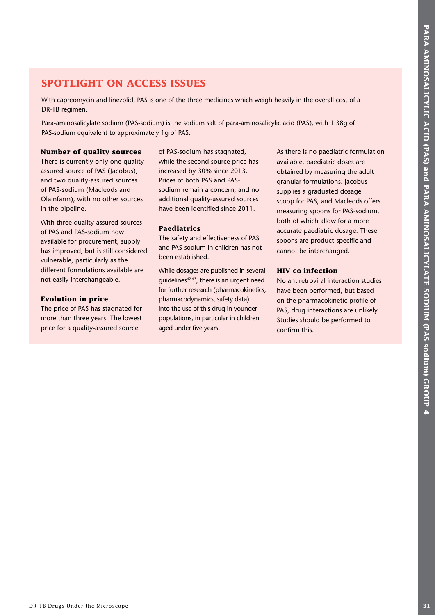## **SPOTLIGHT ON ACCESS ISSUES**

With capreomycin and linezolid, PAS is one of the three medicines which weigh heavily in the overall cost of a DR-TB regimen.

Para-aminosalicylate sodium (PAS-sodium) is the sodium salt of para-aminosalicylic acid (PAS), with 1.38g of PAS-sodium equivalent to approximately 1g of PAS.

## **Number of quality sources**

There is currently only one qualityassured source of PAS (Jacobus), and two quality-assured sources of PAS-sodium (Macleods and Olainfarm), with no other sources in the pipeline.

With three quality-assured sources of PAS and PAS-sodium now available for procurement, supply has improved, but is still considered vulnerable, particularly as the different formulations available are not easily interchangeable.

## **Evolution in price**

The price of PAS has stagnated for more than three years. The lowest price for a quality-assured source

of PAS-sodium has stagnated, while the second source price has increased by 30% since 2013. Prices of both PAS and PASsodium remain a concern, and no additional quality-assured sources have been identified since 2011.

## **Paediatrics**

The safety and effectiveness of PAS and PAS-sodium in children has not been established.

While dosages are published in several guidelines<sup>42,43</sup>, there is an urgent need for further research (pharmacokinetics, pharmacodynamics, safety data) into the use of this drug in younger populations, in particular in children aged under five years.

**SPOTLIGHT ON ACCESS ISSUES**<br>
was approximated at the Microscope and the Microscope and Parameters and Parameters and Parameters in the Microscope and Parameters and Parameters and Parameters and Parameters and Parameters As there is no paediatric formulation available, paediatric doses are obtained by measuring the adult granular formulations. Jacobus supplies a graduated dosage scoop for PAS, and Macleods offers measuring spoons for PAS-sodium, both of which allow for a more accurate paediatric dosage. These spoons are product-specific and cannot be interchanged.

## **HIV co-infection**

No antiretroviral interaction studies have been performed, but based on the pharmacokinetic profile of PAS, drug interactions are unlikely. Studies should be performed to confirm this.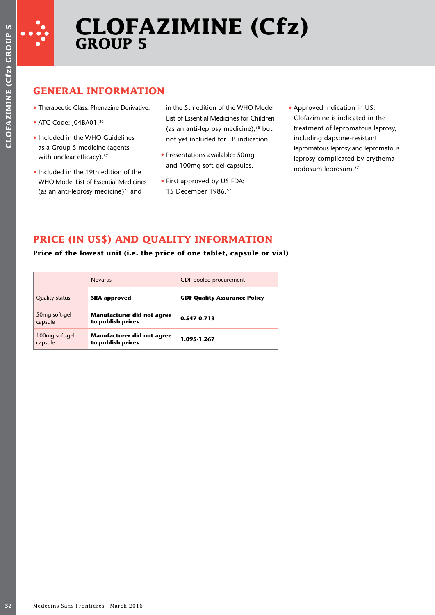

## **GENERAL INFORMATION**

- Therapeutic Class: Phenazine Derivative.
- ATC Code: J04BA01.<sup>36</sup>
- Included in the WHO Guidelines as a Group 5 medicine (agents with unclear efficacy).<sup>37</sup>
- Included in the 19th edition of the WHO Model List of Essential Medicines (as an anti-leprosy medicine) $^{23}$  and

in the 5th edition of the WHO Model List of Essential Medicines for Children (as an anti-leprosy medicine), $38$  but not yet included for TB indication.

- Presentations available: 50mg and 100mg soft-gel capsules.
- First approved by US FDA: 15 December 1986.57
- Approved indication in US: Clofazimine is indicated in the treatment of lepromatous leprosy, including dapsone-resistant lepromatous leprosy and lepromatous leprosy complicated by erythema nodosum leprosum.57

## **PRICE (IN US\$) AND QUALITY INFORMATION**

**Price of the lowest unit (i.e. the price of one tablet, capsule or vial)**

|                                       | <b>Novartis</b>                                 | GDF pooled procurement              |
|---------------------------------------|-------------------------------------------------|-------------------------------------|
| <b>Quality status</b>                 | <b>SRA approved</b>                             | <b>GDF Quality Assurance Policy</b> |
| 50 <sub>mg</sub> soft-gel<br>capsule  | Manufacturer did not agree<br>to publish prices | $0.547 - 0.713$                     |
| 100 <sub>mg</sub> soft-gel<br>capsule | Manufacturer did not agree<br>to publish prices | 1.095 1.267                         |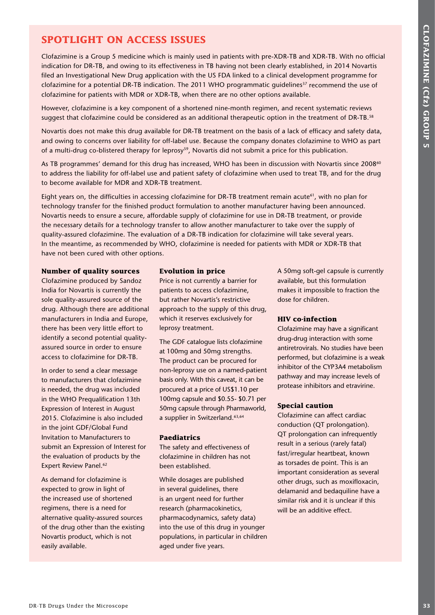## **SPOTLIGHT ON ACCESS ISSUES**

Clofazimine is a Group 5 medicine which is mainly used in patients with pre-XDR-TB and XDR-TB. With no official indication for DR-TB, and owing to its effectiveness in TB having not been clearly established, in 2014 Novartis filed an Investigational New Drug application with the US FDA linked to a clinical development programme for clofazimine for a potential DR-TB indication. The 2011 WHO programmatic guidelines<sup>37</sup> recommend the use of clofazimine for patients with MDR or XDR-TB, when there are no other options available.

However, clofazimine is a key component of a shortened nine-month regimen, and recent systematic reviews suggest that clofazimine could be considered as an additional therapeutic option in the treatment of DR-TB.<sup>58</sup>

Novartis does not make this drug available for DR-TB treatment on the basis of a lack of efficacy and safety data, and owing to concerns over liability for off-label use. Because the company donates clofazimine to WHO as part of a multi-drug co-blistered therapy for leprosy<sup>59</sup>, Novartis did not submit a price for this publication.

As TB programmes' demand for this drug has increased, WHO has been in discussion with Novartis since 2008<sup>60</sup> to address the liability for off-label use and patient safety of clofazimine when used to treat TB, and for the drug to become available for MDR and XDR-TB treatment.

**SPOTLIGET ON ACCESS ISSUES**<br>
contained a signification with the higher and particular the Microscope in the Microscope contained a signification in the Microscope in the Microscope contained a microscope in the Microscop Eight years on, the difficulties in accessing clofazimine for DR-TB treatment remain acute<sup>61</sup>, with no plan for technology transfer for the finished product formulation to another manufacturer having been announced. Novartis needs to ensure a secure, affordable supply of clofazimine for use in DR-TB treatment, or provide the necessary details for a technology transfer to allow another manufacturer to take over the supply of quality-assured clofazimine. The evaluation of a DR-TB indication for clofazimine will take several years. In the meantime, as recommended by WHO, clofazimine is needed for patients with MDR or XDR-TB that have not been cured with other options.

## **Number of quality sources**

Clofazimine produced by Sandoz India for Novartis is currently the sole quality-assured source of the drug. Although there are additional manufacturers in India and Europe, there has been very little effort to identify a second potential qualityassured source in order to ensure access to clofazimine for DR-TB.

In order to send a clear message to manufacturers that clofazimine is needed, the drug was included in the WHO Prequalification 13th Expression of Interest in August 2015. Clofazimine is also included in the joint GDF/Global Fund Invitation to Manufacturers to submit an Expression of Interest for the evaluation of products by the Expert Review Panel.<sup>62</sup>

As demand for clofazimine is expected to grow in light of the increased use of shortened regimens, there is a need for alternative quality-assured sources of the drug other than the existing Novartis product, which is not easily available.

## **Evolution in price**

Price is not currently a barrier for patients to access clofazimine, but rather Novartis's restrictive approach to the supply of this drug, which it reserves exclusively for leprosy treatment.

The GDF catalogue lists clofazimine at 100mg and 50mg strengths. The product can be procured for non-leprosy use on a named-patient basis only. With this caveat, it can be procured at a price of US\$1.10 per 100mg capsule and \$0.55- \$0.71 per 50mg capsule through Pharmaworld, a supplier in Switzerland.63,64

## **Paediatrics**

The safety and effectiveness of clofazimine in children has not been established.

While dosages are published in several guidelines, there is an urgent need for further research (pharmacokinetics, pharmacodynamics, safety data) into the use of this drug in younger populations, in particular in children aged under five years.

A 50mg soft-gel capsule is currently available, but this formulation makes it impossible to fraction the dose for children.

## **HIV co-infection**

Clofazimine may have a significant drug-drug interaction with some antiretrovirals. No studies have been performed, but clofazimine is a weak inhibitor of the CYP3A4 metabolism pathway and may increase levels of protease inhibitors and etravirine.

## **Special caution**

Clofazimine can affect cardiac conduction (QT prolongation). QT prolongation can infrequently result in a serious (rarely fatal) fast/irregular heartbeat, known as torsades de point. This is an important consideration as several other drugs, such as moxifloxacin, delamanid and bedaquiline have a similar risk and it is unclear if this will be an additive effect.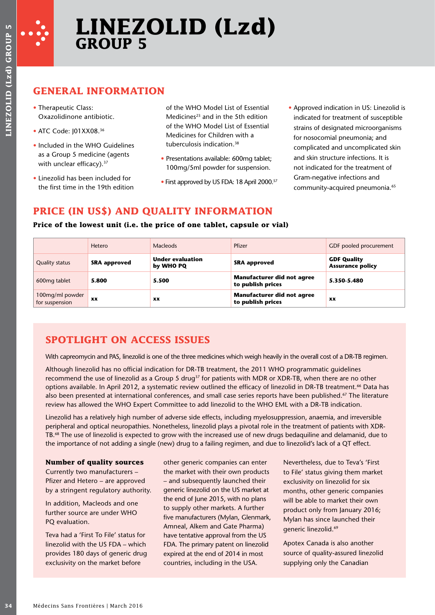

# **LINEZOLID (Lzd) GROUP 5**

## **GENERAL INFORMATION**

- Therapeutic Class: Oxazolidinone antibiotic.
- ATC Code: I01XX08.<sup>36</sup>
- Included in the WHO Guidelines as a Group 5 medicine (agents with unclear efficacy).<sup>37</sup>
- Linezolid has been included for the first time in the 19th edition

- Presentations available: 600mg tablet; 100mg/5ml powder for suspension.
- First approved by US FDA: 18 April 2000.<sup>57</sup>
- Approved indication in US: Linezolid is indicated for treatment of susceptible strains of designated microorganisms for nosocomial pneumonia; and complicated and uncomplicated skin and skin structure infections. It is not indicated for the treatment of Gram-negative infections and community-acquired pneumonia.<sup>65</sup>

## **PRICE (IN US\$) AND QUALITY INFORMATION**

## **Price of the lowest unit (i.e. the price of one tablet, capsule or vial)**

|                                                                                                            | <b>GENERAL INFORMATION</b>                                                                                                                                                     |                                                                                                                                                                                                                                                                                                                                                                                                                                                                                                                                                                                                                                                                                                                                                                                                                                                                                                                                                                                                                                                                                                                                                                                                                                                                                                                                                                                                                                                                       |                                                        |                                                                                     |                                                                                                                                                                                     |  |
|------------------------------------------------------------------------------------------------------------|--------------------------------------------------------------------------------------------------------------------------------------------------------------------------------|-----------------------------------------------------------------------------------------------------------------------------------------------------------------------------------------------------------------------------------------------------------------------------------------------------------------------------------------------------------------------------------------------------------------------------------------------------------------------------------------------------------------------------------------------------------------------------------------------------------------------------------------------------------------------------------------------------------------------------------------------------------------------------------------------------------------------------------------------------------------------------------------------------------------------------------------------------------------------------------------------------------------------------------------------------------------------------------------------------------------------------------------------------------------------------------------------------------------------------------------------------------------------------------------------------------------------------------------------------------------------------------------------------------------------------------------------------------------------|--------------------------------------------------------|-------------------------------------------------------------------------------------|-------------------------------------------------------------------------------------------------------------------------------------------------------------------------------------|--|
| • Therapeutic Class:<br>Oxazolidinone antibiotic.                                                          |                                                                                                                                                                                | of the WHO Model List of Essential<br>Medicines <sup>23</sup> and in the 5th edition<br>of the WHO Model List of Essential<br>Medicines for Children with a                                                                                                                                                                                                                                                                                                                                                                                                                                                                                                                                                                                                                                                                                                                                                                                                                                                                                                                                                                                                                                                                                                                                                                                                                                                                                                           |                                                        | • Approved indication in US: Linezolid is<br>indicated for treatment of susceptible |                                                                                                                                                                                     |  |
| • ATC Code: J01XX08.36                                                                                     |                                                                                                                                                                                |                                                                                                                                                                                                                                                                                                                                                                                                                                                                                                                                                                                                                                                                                                                                                                                                                                                                                                                                                                                                                                                                                                                                                                                                                                                                                                                                                                                                                                                                       |                                                        | strains of designated microorganisms<br>for nosocomial pneumonia; and               |                                                                                                                                                                                     |  |
| • Included in the WHO Guidelines<br>as a Group 5 medicine (agents<br>with unclear efficacy). <sup>37</sup> |                                                                                                                                                                                | tuberculosis indication. <sup>38</sup><br>• Presentations available: 600mg tablet;                                                                                                                                                                                                                                                                                                                                                                                                                                                                                                                                                                                                                                                                                                                                                                                                                                                                                                                                                                                                                                                                                                                                                                                                                                                                                                                                                                                    |                                                        |                                                                                     | complicated and uncomplicated skin<br>and skin structure infections. It is                                                                                                          |  |
| • Linezolid has been included for<br>the first time in the 19th edition                                    |                                                                                                                                                                                | 100mg/5ml powder for suspension.<br>• First approved by US FDA: 18 April 2000. <sup>57</sup>                                                                                                                                                                                                                                                                                                                                                                                                                                                                                                                                                                                                                                                                                                                                                                                                                                                                                                                                                                                                                                                                                                                                                                                                                                                                                                                                                                          |                                                        |                                                                                     | not indicated for the treatment of<br>Gram-negative infections and<br>community-acquired pneumonia. <sup>65</sup>                                                                   |  |
|                                                                                                            |                                                                                                                                                                                | PRICE (IN US\$) AND QUALITY INFORMATION<br>Price of the lowest unit (i.e. the price of one tablet, capsule or vial)                                                                                                                                                                                                                                                                                                                                                                                                                                                                                                                                                                                                                                                                                                                                                                                                                                                                                                                                                                                                                                                                                                                                                                                                                                                                                                                                                   |                                                        |                                                                                     |                                                                                                                                                                                     |  |
|                                                                                                            | Hetero                                                                                                                                                                         | Macleods                                                                                                                                                                                                                                                                                                                                                                                                                                                                                                                                                                                                                                                                                                                                                                                                                                                                                                                                                                                                                                                                                                                                                                                                                                                                                                                                                                                                                                                              | Pfizer                                                 |                                                                                     | GDF pooled procurement                                                                                                                                                              |  |
| <b>Quality status</b>                                                                                      | <b>SRA approved</b>                                                                                                                                                            | <b>Under evaluation</b><br>by WHO PQ                                                                                                                                                                                                                                                                                                                                                                                                                                                                                                                                                                                                                                                                                                                                                                                                                                                                                                                                                                                                                                                                                                                                                                                                                                                                                                                                                                                                                                  | <b>SRA approved</b>                                    |                                                                                     | <b>GDF Quality</b><br><b>Assurance policy</b>                                                                                                                                       |  |
| 600mg tablet                                                                                               | 5.800                                                                                                                                                                          | 5.500                                                                                                                                                                                                                                                                                                                                                                                                                                                                                                                                                                                                                                                                                                                                                                                                                                                                                                                                                                                                                                                                                                                                                                                                                                                                                                                                                                                                                                                                 | <b>Manufacturer did not agree</b>                      |                                                                                     |                                                                                                                                                                                     |  |
|                                                                                                            |                                                                                                                                                                                |                                                                                                                                                                                                                                                                                                                                                                                                                                                                                                                                                                                                                                                                                                                                                                                                                                                                                                                                                                                                                                                                                                                                                                                                                                                                                                                                                                                                                                                                       | to publish prices                                      |                                                                                     | 5.350-5.480                                                                                                                                                                         |  |
| 100mg/ml powder                                                                                            | XX<br><b>SPOTLIGHT ON ACCESS ISSUES</b>                                                                                                                                        | XX                                                                                                                                                                                                                                                                                                                                                                                                                                                                                                                                                                                                                                                                                                                                                                                                                                                                                                                                                                                                                                                                                                                                                                                                                                                                                                                                                                                                                                                                    | <b>Manufacturer did not agree</b><br>to publish prices |                                                                                     | XX                                                                                                                                                                                  |  |
| for suspension                                                                                             | <b>Number of quality sources</b><br>Currently two manufacturers -<br>Pfizer and Hetero - are approved<br>by a stringent regulatory authority.<br>In addition, Macleods and one | With capreomycin and PAS, linezolid is one of the three medicines which weigh heavily in the overall cost of a DR-TB regimen.<br>Although linezolid has no official indication for DR-TB treatment, the 2011 WHO programmatic guidelines<br>recommend the use of linezolid as a Group 5 drug <sup>37</sup> for patients with MDR or XDR-TB, when there are no other<br>options available. In April 2012, a systematic review outlined the efficacy of linezolid in DR-TB treatment. <sup>66</sup> Data has<br>also been presented at international conferences, and small case series reports have been published. <sup>67</sup> The literature<br>review has allowed the WHO Expert Committee to add linezolid to the WHO EML with a DR-TB indication.<br>Linezolid has a relatively high number of adverse side effects, including myelosuppression, anaemia, and irreversible<br>peripheral and optical neuropathies. Nonetheless, linezolid plays a pivotal role in the treatment of patients with XDR-<br>TB. <sup>68</sup> The use of linezolid is expected to grow with the increased use of new drugs bedaquiline and delamanid, due to<br>the importance of not adding a single (new) drug to a failing regimen, and due to linezolid's lack of a QT effect.<br>other generic companies can enter<br>the market with their own products<br>- and subsequently launched their<br>generic linezolid on the US market at<br>the end of June 2015, with no plans |                                                        |                                                                                     | Nevertheless, due to Teva's 'First<br>to File' status giving them market<br>exclusivity on linezolid for six<br>months, other generic companies<br>will be able to market their own |  |
| PQ evaluation.                                                                                             | further source are under WHO<br>Teva had a 'First To File' status for<br>linezolid with the US FDA - which<br>provides 180 days of generic drug                                | to supply other markets. A further<br>five manufacturers (Mylan, Glenmark,<br>Amneal, Alkem and Gate Pharma)<br>have tentative approval from the US<br>FDA. The primary patent on linezolid<br>expired at the end of 2014 in most                                                                                                                                                                                                                                                                                                                                                                                                                                                                                                                                                                                                                                                                                                                                                                                                                                                                                                                                                                                                                                                                                                                                                                                                                                     |                                                        | generic linezolid. <sup>69</sup>                                                    | product only from January 2016;<br>Mylan has since launched their<br>Apotex Canada is also another<br>source of quality-assured linezolid                                           |  |

## **SPOTLIGHT ON ACCESS ISSUES**

## **Number of quality sources**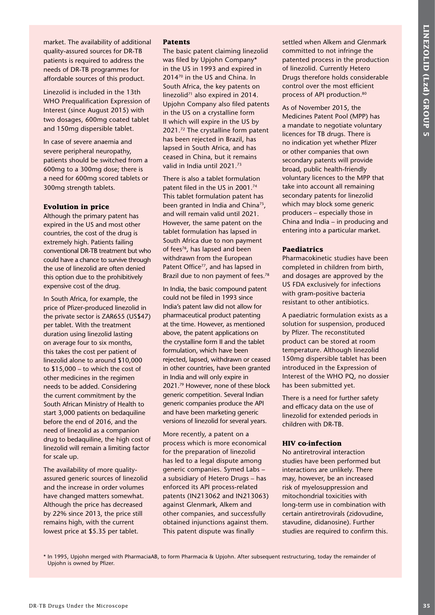market. The availability of additional quality-assured sources for DR-TB patients is required to address the needs of DR-TB programmes for affordable sources of this product.

Linezolid is included in the 13th WHO Prequalification Expression of Interest (since August 2015) with two dosages, 600mg coated tablet and 150mg dispersible tablet.

In case of severe anaemia and severe peripheral neuropathy, patients should be switched from a 600mg to a 300mg dose; there is a need for 600mg scored tablets or 300mg strength tablets.

#### **Evolution in price**

Although the primary patent has expired in the US and most other countries, the cost of the drug is extremely high. Patients failing conventional DR-TB treatment but who could have a chance to survive through the use of linezolid are often denied this option due to the prohibitively expensive cost of the drug.

**PRofit Conservation of Excition of Conservation and Section of Conservation and Section and Section and Section 2011 (Depends the Microscope Conservation and Section 2013) (Depends the Microscope Conservation 2013) (Depe** In South Africa, for example, the price of Pfizer-produced linezolid in the private sector is ZAR655 (US\$47) per tablet. With the treatment duration using linezolid lasting on average four to six months, this takes the cost per patient of linezolid alone to around \$10,000 to \$15,000 – to which the cost of other medicines in the regimen needs to be added. Considering the current commitment by the South African Ministry of Health to start 3,000 patients on bedaquiline before the end of 2016, and the need of linezolid as a companion drug to bedaquiline, the high cost of linezolid will remain a limiting factor for scale up.

The availability of more qualityassured generic sources of linezolid and the increase in order volumes have changed matters somewhat. Although the price has decreased by 22% since 2013, the price still remains high, with the current lowest price at \$5.35 per tablet.

#### **Patents**

The basic patent claiming linezolid was filed by Upjohn Company\* in the US in 1993 and expired in 201470 in the US and China. In South Africa, the key patents on linezolid<sup>71</sup> also expired in 2014. Upjohn Company also filed patents in the US on a crystalline form II which will expire in the US by 2021.72 The crystalline form patent has been rejected in Brazil, has lapsed in South Africa, and has ceased in China, but it remains valid in India until 2021.73

There is also a tablet formulation patent filed in the US in 2001.74 This tablet formulation patent has been granted in India and China<sup>75</sup>, and will remain valid until 2021. However, the same patent on the tablet formulation has lapsed in South Africa due to non payment of fees<sup>76</sup>, has lapsed and been withdrawn from the European Patent Office<sup>77</sup>, and has lapsed in Brazil due to non payment of fees.<sup>78</sup>

In India, the basic compound patent could not be filed in 1993 since India's patent law did not allow for pharmaceutical product patenting at the time. However, as mentioned above, the patent applications on the crystalline form II and the tablet formulation, which have been rejected, lapsed, withdrawn or ceased in other countries, have been granted in India and will only expire in 2021.79 However, none of these block generic competition. Several Indian generic companies produce the API and have been marketing generic versions of linezolid for several years.

More recently, a patent on a process which is more economical for the preparation of linezolid has led to a legal dispute among generic companies. Symed Labs – a subsidiary of Hetero Drugs – has enforced its API process-related patents (IN213062 and IN213063) against Glenmark, Alkem and other companies, and successfully obtained injunctions against them. This patent dispute was finally

settled when Alkem and Glenmark committed to not infringe the patented process in the production of linezolid. Currently Hetero Drugs therefore holds considerable control over the most efficient process of API production.80

As of November 2015, the Medicines Patent Pool (MPP) has a mandate to negotiate voluntary licences for TB drugs. There is no indication yet whether Pfizer or other companies that own secondary patents will provide broad, public health-friendly voluntary licences to the MPP that take into account all remaining secondary patents for linezolid which may block some generic producers – especially those in China and India – in producing and entering into a particular market.

#### **Paediatrics**

Pharmacokinetic studies have been completed in children from birth, and dosages are approved by the US FDA exclusively for infections with gram-positive bacteria resistant to other antibiotics.

A paediatric formulation exists as a solution for suspension, produced by Pfizer. The reconstituted product can be stored at room temperature. Although linezolid 150mg dispersible tablet has been introduced in the Expression of Interest of the WHO PQ, no dossier has been submitted yet.

There is a need for further safety and efficacy data on the use of linezolid for extended periods in children with DR-TB.

#### **HIV co-infection**

No antiretroviral interaction studies have been performed but interactions are unlikely. There may, however, be an increased risk of myelosuppression and mitochondrial toxicities with long-term use in combination with certain antiretrovirals (zidovudine, stavudine, didanosine). Further studies are required to confirm this.

\* In 1995, Upjohn merged with PharmaciaAB, to form Pharmacia & Upjohn. After subsequent restructuring, today the remainder of Upjohn is owned by Pfizer.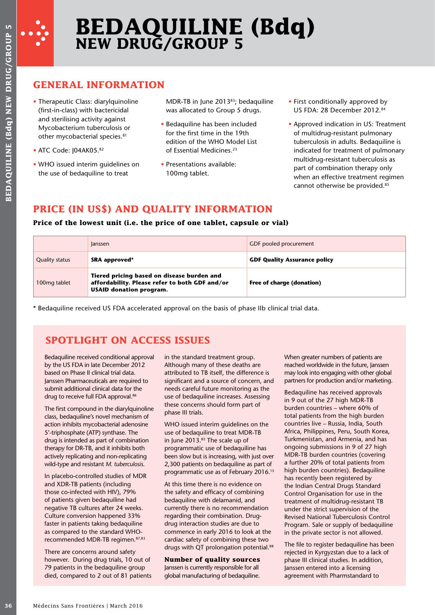

# **BEDAQUILINE (Bdq) NEW DRUG/GROUP 5**

## **GENERAL INFORMATION**

- Therapeutic Class: diarylquinoline (first-in-class) with bactericidal and sterilising activity against Mycobacterium tuberculosis or other mycobacterial species.81
- ATC Code: I04AK05.82
- WHO issued interim guidelines on the use of bedaquiline to treat

- Bedaquiline has been included for the first time in the 19th edition of the WHO Model List of Essential Medicines<sup>23</sup>
- Presentations available: 100mg tablet.

## **PRICE (IN US\$) AND QUALITY INFORMATION**

## **Price of the lowest unit (i.e. the price of one tablet, capsule or vial)**

|                                                                                                                                                                                                                    | <b>GENERAL INFORMATION</b>                                                                                                 |                                                                                                                                             |  |                                                                                                                                                               |  |
|--------------------------------------------------------------------------------------------------------------------------------------------------------------------------------------------------------------------|----------------------------------------------------------------------------------------------------------------------------|---------------------------------------------------------------------------------------------------------------------------------------------|--|---------------------------------------------------------------------------------------------------------------------------------------------------------------|--|
| • Therapeutic Class: diarylquinoline<br>(first-in-class) with bactericidal                                                                                                                                         |                                                                                                                            | MDR-TB in June 201383; bedaquiline<br>was allocated to Group 5 drugs.                                                                       |  | • First conditionally approved by<br>US FDA: 28 December 2012.84                                                                                              |  |
| and sterilising activity against<br>Mycobacterium tuberculosis or<br>other mycobacterial species. <sup>81</sup><br>• ATC Code: J04AK05.82<br>• WHO issued interim guidelines on<br>the use of bedaquiline to treat |                                                                                                                            | • Bedaquiline has been included<br>for the first time in the 19th<br>edition of the WHO Model List<br>of Essential Medicines. <sup>23</sup> |  | • Approved indication in US: Treatment<br>of multidrug-resistant pulmonary<br>tuberculosis in adults. Bedaquiline is<br>indicated for treatment of pulmonary  |  |
|                                                                                                                                                                                                                    |                                                                                                                            | • Presentations available:<br>100mg tablet.                                                                                                 |  | multidrug-resistant tuberculosis as<br>part of combination therapy only<br>when an effective treatment regimen<br>cannot otherwise be provided. <sup>85</sup> |  |
|                                                                                                                                                                                                                    |                                                                                                                            | PRICE (IN US\$) AND QUALITY INFORMATION<br>Price of the lowest unit (i.e. the price of one tablet, capsule or vial)                         |  |                                                                                                                                                               |  |
|                                                                                                                                                                                                                    | Janssen                                                                                                                    |                                                                                                                                             |  | GDF pooled procurement                                                                                                                                        |  |
| <b>Quality status</b>                                                                                                                                                                                              | SRA approved*                                                                                                              |                                                                                                                                             |  | <b>GDF Quality Assurance policy</b>                                                                                                                           |  |
| 100mg tablet                                                                                                                                                                                                       | Tiered pricing based on disease burden and<br><b>USAID donation program.</b>                                               | affordability. Please refer to both GDF and/or                                                                                              |  | Free of charge (donation)                                                                                                                                     |  |
|                                                                                                                                                                                                                    | <b>SPOTLIGHT ON ACCESS ISSUES</b>                                                                                          | * Bedaquiline received US FDA accelerated approval on the basis of phase IIb clinical trial data.                                           |  |                                                                                                                                                               |  |
|                                                                                                                                                                                                                    | Bedaquiline received conditional approval<br>by the US FDA in late December 2012<br>based on Phase II clinical trial data. | in the standard treatment group.<br>Although many of these deaths are<br>attributed to TB itself, the difference is                         |  | When greater numbers of patients are<br>reached worldwide in the future, Janssen<br>may look into engaging with other global                                  |  |

## **SPOTLIGHT ON ACCESS ISSUES**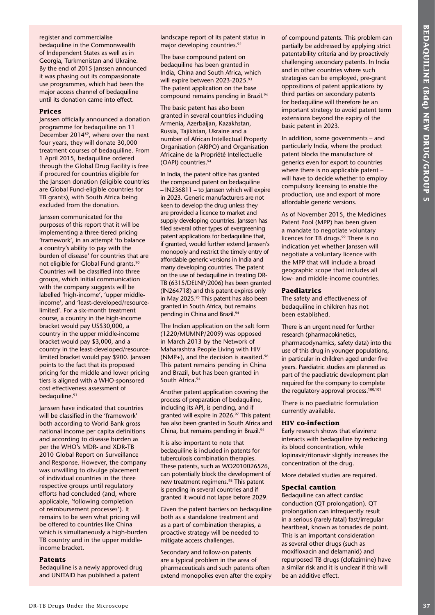register and commercialise bedaquiline in the Commonwealth of Independent States as well as in Georgia, Turkmenistan and Ukraine. By the end of 2015 Janssen announced it was phasing out its compassionate use programmes, which had been the major access channel of bedaquiline until its donation came into effect.

#### **Prices**

Janssen officially announced a donation programme for bedaquiline on 11 December 201489, where over the next four years, they will donate 30,000 treatment courses of bedaquiline. From 1 April 2015, bedaquiline ordered through the Global Drug Facility is free if procured for countries eligible for the Janssen donation (eligible countries are Global Fund-eligible countries for TB grants), with South Africa being excluded from the donation.

**The main control in the specific state of the specific state of the specific state of the specific state of the specific state of the specific state of the specific state of the specific state of the specific state of th** Janssen communicated for the purposes of this report that it will be implementing a three-tiered pricing 'framework', in an attempt 'to balance a country's ability to pay with the burden of disease' for countries that are not eligible for Global Fund grants.90 Countries will be classified into three groups, which initial communication with the company suggests will be labelled 'high-income', 'upper middleincome', and 'least-developed/resourcelimited'. For a six-month treatment course, a country in the high-income bracket would pay US\$30,000, a country in the upper middle-income bracket would pay \$3,000, and a country in the least-developed/resourcelimited bracket would pay \$900. Janssen points to the fact that its proposed pricing for the middle and lower pricing tiers is aligned with a WHO-sponsored cost effectiveness assessment of bedaquiline.<sup>91</sup>

Janssen have indicated that countries will be classified in the 'framework' both according to World Bank gross national income per capita definitions and according to disease burden as per the WHO's MDR- and XDR-TB 2010 Global Report on Surveillance and Response. However, the company was unwilling to divulge placement of individual countries in the three respective groups until regulatory efforts had concluded (and, where applicable, 'following completion of reimbursement processes'). It remains to be seen what pricing will be offered to countries like China which is simultaneously a high-burden TB country and in the upper middleincome bracket.

#### **Patents**

Bedaquiline is a newly approved drug and UNITAID has published a patent

landscape report of its patent status in major developing countries.<sup>92</sup>

The base compound patent on bedaquiline has been granted in India, China and South Africa, which will expire between 2023-2025.93 The patent application on the base compound remains pending in Brazil.<sup>94</sup>

The basic patent has also been granted in several countries including Armenia, Azerbaijan, Kazakhstan, Russia, Tajikistan, Ukraine and a number of African Intellectual Property Organisation (ARIPO) and Organisation Africaine de la Propriété Intellectuelle (OAPI) countries.94

In India, the patent office has granted the compound patent on bedaquiline – IN236811 – to Janssen which will expire in 2023. Generic manufacturers are not keen to develop the drug unless they are provided a licence to market and supply developing countries. Janssen has filed several other types of evergreening patent applications for bedaquiline that, if granted, would further extend Janssen's monopoly and restrict the timely entry of affordable generic versions in India and many developing countries. The patent on the use of bedaquiline in treating DR-TB (6315/DELNP/2006) has been granted (IN264718) and this patent expires only in May 2025.<sup>95</sup> This patent has also been granted in South Africa, but remains pending in China and Brazil.<sup>94</sup>

The Indian application on the salt form (1220/MUMNP/2009) was opposed in March 2013 by the Network of Maharashtra People Living with HIV (NMP+), and the decision is awaited.<sup>96</sup> This patent remains pending in China and Brazil, but has been granted in South Africa.94

Another patent application covering the process of preparation of bedaquiline, including its API, is pending, and if granted will expire in 2026.<sup>97</sup> This patent has also been granted in South Africa and China, but remains pending in Brazil.<sup>94</sup>

It is also important to note that bedaquiline is included in patents for tuberculosis combination therapies. These patents, such as WO2010026526, can potentially block the development of new treatment regimens.<sup>98</sup> This patent is pending in several countries and if granted it would not lapse before 2029.

Given the patent barriers on bedaquiline both as a standalone treatment and as a part of combination therapies, a proactive strategy will be needed to mitigate access challenges.

Secondary and follow-on patents are a typical problem in the area of pharmaceuticals and such patents often extend monopolies even after the expiry of compound patents. This problem can partially be addressed by applying strict patentability criteria and by proactively challenging secondary patents. In India and in other countries where such strategies can be employed, pre-grant oppositions of patent applications by third parties on secondary patents for bedaquiline will therefore be an important strategy to avoid patent term extensions beyond the expiry of the basic patent in 2023.

In addition, some governments – and particularly India, where the product patent blocks the manufacture of generics even for export to countries where there is no applicable patent – will have to decide whether to employ compulsory licensing to enable the production, use and export of more affordable generic versions.

As of November 2015, the Medicines Patent Pool (MPP) has been given a mandate to negotiate voluntary licences for TB drugs.<sup>99</sup> There is no indication yet whether Janssen will negotiate a voluntary licence with the MPP that will include a broad geographic scope that includes all low- and middle-income countries.

#### **Paediatrics**

The safety and effectiveness of bedaquiline in children has not been established.

There is an urgent need for further research (pharmacokinetics, pharmacodynamics, safety data) into the use of this drug in younger populations, in particular in children aged under five years. Paediatric studies are planned as part of the paediatric development plan required for the company to complete the regulatory approval process.<sup>100,101</sup>

There is no paediatric formulation currently available.

#### **HIV co-infection**

Early research shows that efavirenz interacts with bedaquiline by reducing its blood concentration, while lopinavir/ritonavir slightly increases the concentration of the drug.

More detailed studies are required.

#### **Special caution**

Bedaquiline can affect cardiac conduction (QT prolongation). QT prolongation can infrequently result in a serious (rarely fatal) fast/irregular heartbeat, known as torsades de point. This is an important consideration as several other drugs (such as moxifloxacin and delamanid) and repurposed TB drugs (clofazimine) have a similar risk and it is unclear if this will be an additive effect.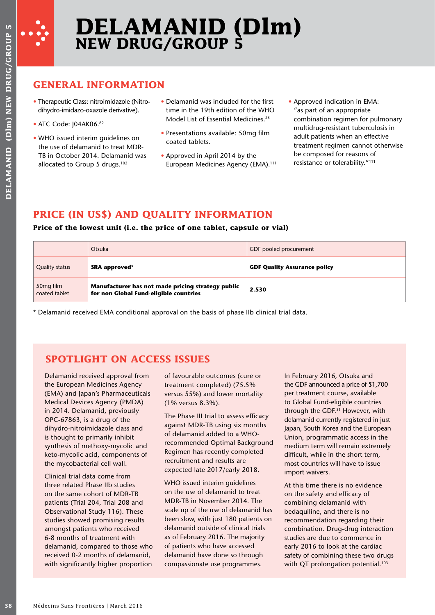

# **DELAMANID (Dlm) NEW DRUG/GROUP 5**

## **GENERAL INFORMATION**

- Therapeutic Class: nitroimidazole (Nitrodihydro-imidazo-oxazole derivative).
- ATC Code: J04AK06.82
- WHO issued interim guidelines on the use of delamanid to treat MDR-TB in October 2014. Delamanid was allocated to Group 5 drugs.<sup>102</sup>
- Delamanid was included for the first time in the 19th edition of the WHO Model List of Essential Medicines.<sup>23</sup>
- Presentations available: 50mg film coated tablets.
- Approved in April 2014 by the European Medicines Agency (EMA).<sup>111</sup>
- Approved indication in EMA: "as part of an appropriate combination regimen for pulmonary multidrug-resistant tuberculosis in adult patients when an effective treatment regimen cannot otherwise be composed for reasons of resistance or tolerability."111

## **PRICE (IN US\$) AND QUALITY INFORMATION**

## **Price of the lowest unit (i.e. the price of one tablet, capsule or vial)**

|                                        | Otsuka                                                                                      | GDF pooled procurement              |
|----------------------------------------|---------------------------------------------------------------------------------------------|-------------------------------------|
| <b>Quality status</b>                  | SRA approved*                                                                               | <b>GDF Quality Assurance policy</b> |
| 50 <sub>mg film</sub><br>coated tablet | Manufacturer has not made pricing strategy public<br>for non Global Fund-eligible countries | 2.530                               |

\* Delamanid received EMA conditional approval on the basis of phase IIb clinical trial data.

## **SPOTLIGHT ON ACCESS ISSUES**

Delamanid received approval from the European Medicines Agency (EMA) and Japan's Pharmaceuticals Medical Devices Agency (PMDA) in 2014. Delamanid, previously OPC-67863, is a drug of the dihydro-nitroimidazole class and is thought to primarily inhibit synthesis of methoxy-mycolic and keto-mycolic acid, components of the mycobacterial cell wall.

Clinical trial data come from three related Phase IIb studies on the same cohort of MDR-TB patients (Trial 204, Trial 208 and Observational Study 116). These studies showed promising results amongst patients who received 6-8 months of treatment with delamanid, compared to those who received 0-2 months of delamanid, with significantly higher proportion

of favourable outcomes (cure or treatment completed) (75.5% versus 55%) and lower mortality (1% versus 8.3%).

The Phase III trial to assess efficacy against MDR-TB using six months of delamanid added to a WHOrecommended Optimal Background Regimen has recently completed recruitment and results are expected late 2017/early 2018.

WHO issued interim guidelines on the use of delamanid to treat MDR-TB in November 2014. The scale up of the use of delamanid has been slow, with just 180 patients on delamanid outside of clinical trials as of February 2016. The majority of patients who have accessed delamanid have done so through compassionate use programmes.

In February 2016, Otsuka and the GDF announced a price of \$1,700 per treatment course, available to Global Fund-eligible countries through the GDF.31 However, with delamanid currently registered in just Japan, South Korea and the European Union, programmatic access in the medium term will remain extremely difficult, while in the short term, most countries will have to issue import waivers.

At this time there is no evidence on the safety and efficacy of combining delamanid with bedaquiline, and there is no recommendation regarding their combination. Drug-drug interaction studies are due to commence in early 2016 to look at the cardiac safety of combining these two drugs with QT prolongation potential.<sup>103</sup>

In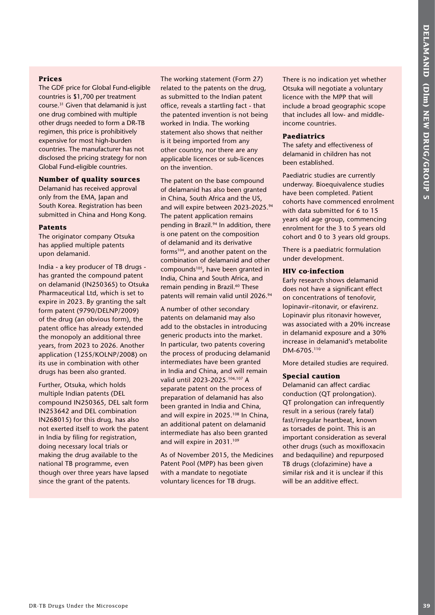## **Prices**

The GDF price for Global Fund-eligible countries is \$1,700 per treatment course.31 Given that delamanid is just one drug combined with multiple other drugs needed to form a DR-TB regimen, this price is prohibitively expensive for most high-burden countries. The manufacturer has not disclosed the pricing strategy for non Global Fund-eligible countries.

## **Number of quality sources**

Delamanid has received approval only from the EMA, Japan and South Korea. Registration has been submitted in China and Hong Kong.

## **Patents**

The originator company Otsuka has applied multiple patents upon delamanid.

India - a key producer of TB drugs has granted the compound patent on delamanid (IN250365) to Otsuka Pharmaceutical Ltd, which is set to expire in 2023. By granting the salt form patent (9790/DELNP/2009) of the drug (an obvious form), the patent office has already extended the monopoly an additional three years, from 2023 to 2026. Another application (1255/KOLNP/2008) on its use in combination with other drugs has been also granted.

Further, Otsuka, which holds multiple Indian patents (DEL compound IN250365, DEL salt form IN253642 and DEL combination IN268015) for this drug, has also not exerted itself to work the patent in India by filing for registration, doing necessary local trials or making the drug available to the national TB programme, even though over three years have lapsed since the grant of the patents.

The working statement (Form 27) related to the patents on the drug, as submitted to the Indian patent office, reveals a startling fact - that the patented invention is not being worked in India. The working statement also shows that neither is it being imported from any other country, nor there are any applicable licences or sub-licences on the invention.

The patent on the base compound of delamanid has also been granted in China, South Africa and the US, and will expire between 2023-2025.<sup>94</sup> The patent application remains pending in Brazil.<sup>94</sup> In addition, there is one patent on the composition of delamanid and its derivative forms104, and another patent on the combination of delamanid and other compounds105, have been granted in India, China and South Africa, and remain pending in Brazil.<sup>60</sup> These patents will remain valid until 2026.<sup>94</sup>

**DR-TB DR-TB DR-TB DR-TB DR-TB DR-TB DR-TB DR-TB DR-TB DR-TB DR-TB DR-TB DR-TB DR-TB DR-TB DR-TB DR-TB DR-TB DR-TB DR-TB DR-TB DR-TB DR-TB DR-TB DR-TB DR-TB DR-TB DR-TB DR-TB DR-TB DR-TB DR-TB DR-TB DR-TB DR-TB DR-TB DR-TB** A number of other secondary patents on delamanid may also add to the obstacles in introducing generic products into the market. In particular, two patents covering the process of producing delamanid intermediates have been granted in India and China, and will remain valid until 2023-2025.106,107 A separate patent on the process of preparation of delamanid has also been granted in India and China, and will expire in 2025.108 In China, an additional patent on delamanid intermediate has also been granted and will expire in 2031.109

As of November 2015, the Medicines Patent Pool (MPP) has been given with a mandate to negotiate voluntary licences for TB drugs.

There is no indication yet whether Otsuka will negotiate a voluntary licence with the MPP that will include a broad geographic scope that includes all low- and middleincome countries.

## **Paediatrics**

The safety and effectiveness of delamanid in children has not been established.

Paediatric studies are currently underway. Bioequivalence studies have been completed. Patient cohorts have commenced enrolment with data submitted for 6 to 15 years old age group, commencing enrolment for the 3 to 5 years old cohort and 0 to 3 years old groups.

There is a paediatric formulation under development.

## **HIV co-infection**

Early research shows delamanid does not have a significant effect on concentrations of tenofovir, lopinavir–ritonavir, or efavirenz. Lopinavir plus ritonavir however, was associated with a 20% increase in delamanid exposure and a 30% increase in delamanid's metabolite DM-6705.110

More detailed studies are required.

## **Special caution**

Delamanid can affect cardiac conduction (QT prolongation). QT prolongation can infrequently result in a serious (rarely fatal) fast/irregular heartbeat, known as torsades de point. This is an important consideration as several other drugs (such as moxifloxacin and bedaquiline) and repurposed TB drugs (clofazimine) have a similar risk and it is unclear if this will be an additive effect.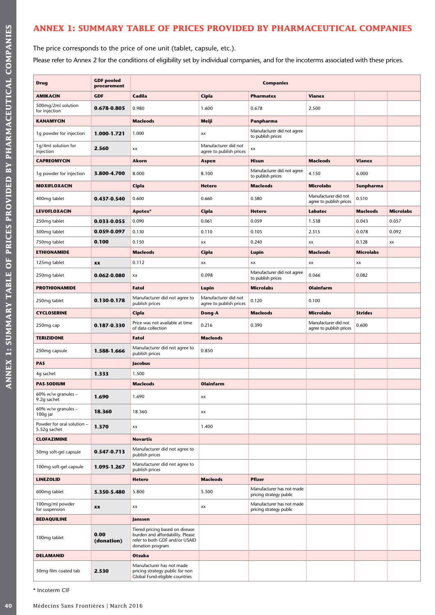## **ANNEX 1: SUMMARY TABLE OF PRICES PROVIDED BY PHARMACEUTICAL COMPANIES**

The price corresponds to the price of one unit (tablet, capsule, etc.).

Please refer to Annex 2 for the conditions of eligibility set by individual companies, and for the incoterms associated with these prices.

| <b>Drug</b>                                | <b>GDF</b> pooled<br>procurement | <b>Companies</b>                                                                                                          |                                                 |                                                      |                                                 |                  |                  |
|--------------------------------------------|----------------------------------|---------------------------------------------------------------------------------------------------------------------------|-------------------------------------------------|------------------------------------------------------|-------------------------------------------------|------------------|------------------|
| <b>AMIKACIN</b>                            | <b>GDF</b>                       | Cadila                                                                                                                    | Cipla                                           | <b>Pharmatex</b>                                     | <b>Vianex</b>                                   |                  |                  |
| 500mg/2ml solution<br>for injection        | 0.678-0.805                      | 0.980                                                                                                                     | 1.600                                           | 0.678                                                | 2.500                                           |                  |                  |
| <b>KANAMYCIN</b>                           |                                  | <b>Macleods</b>                                                                                                           | Meiji                                           | Panpharma                                            |                                                 |                  |                  |
| 1g powder for injection                    | 1.000-1.721                      | 1.000                                                                                                                     | XX                                              | Manufacturer did not agree<br>to publish prices      |                                                 |                  |                  |
| 1g/4ml solution for<br>injection           | 2.560                            | XX                                                                                                                        | Manufacturer did not<br>agree to publish prices | xx                                                   |                                                 |                  |                  |
| <b>CAPREOMYCIN</b>                         |                                  | Akorn                                                                                                                     | Aspen                                           | <b>Hisun</b>                                         | <b>Macleods</b>                                 | <b>Vianex</b>    |                  |
| 1g powder for injection                    | 3.800-4.700                      | 8.000                                                                                                                     | 8.100                                           | Manufacturer did not agree<br>to publish prices      | 4.150                                           | 6.000            |                  |
| <b>MOXIFLOXACIN</b>                        |                                  | Cipla                                                                                                                     | <b>Hetero</b>                                   | <b>Macleods</b>                                      | <b>Microlabs</b>                                | Sunpharma        |                  |
| 400mg tablet                               | 0.437-0.540                      | 0.600                                                                                                                     | 0.660                                           | 0.580                                                | Manufacturer did not<br>agree to publish prices | 0.510            |                  |
| <b>LEVOFLOXACIN</b>                        |                                  | Apotex*                                                                                                                   | Cipla                                           | <b>Hetero</b>                                        | Labatec                                         | <b>Macleods</b>  | <b>Microlabs</b> |
| 250mg tablet                               | 0.033-0.055                      | 0.090                                                                                                                     | 0.061                                           | 0.059                                                | 1.538                                           | 0.043            | 0.057            |
| 500mg tablet                               | 0.059-0.097                      | 0.130                                                                                                                     | 0.110                                           | 0.105                                                | 2.315                                           | 0.078            | 0.092            |
| 750mg tablet                               | 0.100                            | 0.150                                                                                                                     | хx                                              | 0.240                                                | XX                                              | 0.128            | XX               |
| <b>ETHIONAMIDE</b>                         |                                  | <b>Macleods</b>                                                                                                           | Cipla                                           | Lupin                                                | <b>Macleods</b>                                 | <b>Microlabs</b> |                  |
| 125mg tablet                               | XX                               | 0.112                                                                                                                     | XX                                              | XX                                                   | XX                                              | XX               |                  |
| 250mg tablet                               | 0.062-0.080                      | XX                                                                                                                        | 0.098                                           | Manufacturer did not agree<br>to publish prices      | 0.066                                           | 0.082            |                  |
| <b>PROTHIONAMIDE</b>                       |                                  | Fatol                                                                                                                     | Lupin                                           | <b>Microlabs</b>                                     | <b>Olainfarm</b>                                |                  |                  |
| 250mg tablet                               | 0.130-0.178                      | Manufacturer did not agree to<br>publish prices                                                                           | Manufacturer did not<br>agree to publish prices | 0.120                                                | 0.100                                           |                  |                  |
| <b>CYCLOSERINE</b>                         |                                  | Cipla                                                                                                                     | Dong-A                                          | <b>Macleods</b>                                      | <b>Microlabs</b>                                | <b>Strides</b>   |                  |
| 250mg cap                                  | 0.187-0.330                      | Price was not available at time<br>of data collection                                                                     | 0.216                                           | 0.390                                                | Manufacturer did not<br>agree to publish prices | 0.600            |                  |
| <b>TERIZIDONE</b>                          |                                  | Fatol                                                                                                                     | <b>Macleods</b>                                 |                                                      |                                                 |                  |                  |
| 250mg capsule                              | 1.588-1.666                      | Manufacturer did not agree to<br>publish prices                                                                           | 0.850                                           |                                                      |                                                 |                  |                  |
| <b>PAS</b>                                 |                                  | Jacobus                                                                                                                   |                                                 |                                                      |                                                 |                  |                  |
| 4g sachet                                  | 1.333                            | 1.500                                                                                                                     |                                                 |                                                      |                                                 |                  |                  |
| <b>PAS-SODIUM</b>                          |                                  | <b>Macleods</b>                                                                                                           | <b>Olainfarm</b>                                |                                                      |                                                 |                  |                  |
| 60% w/w granules -<br>9.2g sachet          | 1.690                            | 1.690                                                                                                                     | XX                                              |                                                      |                                                 |                  |                  |
| 60% w/w granules $-$<br>100g jar           | 18.360                           | 18.360                                                                                                                    | XX                                              |                                                      |                                                 |                  |                  |
| Powder for oral solution -<br>5.52q sachet | 1.370                            | XX                                                                                                                        | 1.400                                           |                                                      |                                                 |                  |                  |
| <b>CLOFAZIMINE</b>                         |                                  | <b>Novartis</b>                                                                                                           |                                                 |                                                      |                                                 |                  |                  |
| 50mg soft-gel capsule                      | 0.547-0.713                      | Manufacturer did not agree to<br>publish prices                                                                           |                                                 |                                                      |                                                 |                  |                  |
| 100mg soft-gel capsule                     | 1.095-1.267                      | Manufacturer did not agree to<br>publish prices                                                                           |                                                 |                                                      |                                                 |                  |                  |
| <b>LINEZOLID</b>                           |                                  | <b>Hetero</b>                                                                                                             | <b>Macleods</b>                                 | <b>Pfizer</b>                                        |                                                 |                  |                  |
| 600mg tablet                               | 5.350-5.480                      | 5.800                                                                                                                     | 5.500                                           | Manufacturer has not made<br>pricing strategy public |                                                 |                  |                  |
| 100mg/ml powder<br>for suspension          | XX                               | XX                                                                                                                        | XX                                              | Manufacturer has not made<br>pricing strategy public |                                                 |                  |                  |
| <b>BEDAQUILINE</b>                         |                                  | Janssen                                                                                                                   |                                                 |                                                      |                                                 |                  |                  |
| 100mg tablet                               | 0.00<br>(donation)               | Tiered pricing based on disease<br>burden and affordability. Please<br>refer to both GDF and/or USAID<br>donation program |                                                 |                                                      |                                                 |                  |                  |
| <b>DELAMANID</b>                           |                                  | Otsuka                                                                                                                    |                                                 |                                                      |                                                 |                  |                  |
| 50mg film coated tab                       | 2.530                            | Manufacturer has not made<br>pricing strategy public for non<br>Global Fund-eligible countries                            |                                                 |                                                      |                                                 |                  |                  |

\* Incoterm CIF

**ANNEX 1: SUMMARY TABLE OF PRICES PROVIDED BY PHARMACEUTICAL COMPANIES**

ANNEX 1: SUMMARY TABLE OF PRICES PROVIDED BY PHARMACEUTICAL COMPANIES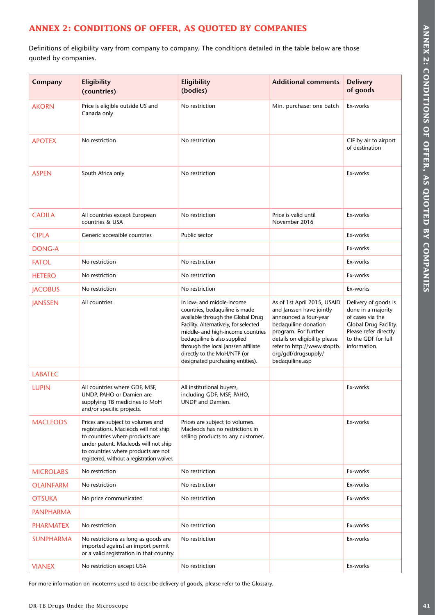## **ANNEX 2: CONDITIONS OF OFFER, AS QUOTED BY COMPANIES**

| Company          | Eligibility<br>(countries)                                                                                                                                                                                                                 | Eligibility<br>(bodies)                                                                                                                                                                                                                                                                                                  | <b>Additional comments</b>                                                                                                                                                                                                                 | <b>Delivery</b><br>of goods                                                                                                                             |
|------------------|--------------------------------------------------------------------------------------------------------------------------------------------------------------------------------------------------------------------------------------------|--------------------------------------------------------------------------------------------------------------------------------------------------------------------------------------------------------------------------------------------------------------------------------------------------------------------------|--------------------------------------------------------------------------------------------------------------------------------------------------------------------------------------------------------------------------------------------|---------------------------------------------------------------------------------------------------------------------------------------------------------|
| <b>AKORN</b>     | Price is eligible outside US and<br>Canada only                                                                                                                                                                                            | No restriction                                                                                                                                                                                                                                                                                                           | Min. purchase: one batch                                                                                                                                                                                                                   | Ex-works                                                                                                                                                |
| <b>APOTEX</b>    | No restriction                                                                                                                                                                                                                             | No restriction                                                                                                                                                                                                                                                                                                           |                                                                                                                                                                                                                                            | CIF by air to airport<br>of destination                                                                                                                 |
| <b>ASPEN</b>     | South Africa only                                                                                                                                                                                                                          | No restriction                                                                                                                                                                                                                                                                                                           |                                                                                                                                                                                                                                            | Ex-works                                                                                                                                                |
| <b>CADILA</b>    | All countries except European<br>countries & USA                                                                                                                                                                                           | No restriction                                                                                                                                                                                                                                                                                                           | Price is valid until<br>November 2016                                                                                                                                                                                                      | Ex-works                                                                                                                                                |
| <b>CIPLA</b>     | Generic accessible countries                                                                                                                                                                                                               | Public sector                                                                                                                                                                                                                                                                                                            |                                                                                                                                                                                                                                            | Ex-works                                                                                                                                                |
| <b>DONG-A</b>    |                                                                                                                                                                                                                                            |                                                                                                                                                                                                                                                                                                                          |                                                                                                                                                                                                                                            | Ex-works                                                                                                                                                |
| <b>FATOL</b>     | No restriction                                                                                                                                                                                                                             | No restriction                                                                                                                                                                                                                                                                                                           |                                                                                                                                                                                                                                            | Ex-works                                                                                                                                                |
| <b>HETERO</b>    | No restriction                                                                                                                                                                                                                             | No restriction                                                                                                                                                                                                                                                                                                           |                                                                                                                                                                                                                                            | Ex-works                                                                                                                                                |
| <b>JACOBUS</b>   | No restriction                                                                                                                                                                                                                             | No restriction                                                                                                                                                                                                                                                                                                           |                                                                                                                                                                                                                                            | Ex-works                                                                                                                                                |
| <b>JANSSEN</b>   | All countries                                                                                                                                                                                                                              | In low- and middle-income<br>countries, bedaquiline is made<br>available through the Global Drug<br>Facility. Alternatively, for selected<br>middle- and high-income countries<br>bedaquiline is also supplied<br>through the local Janssen affiliate<br>directly to the MoH/NTP (or<br>designated purchasing entities). | As of 1st April 2015, USAID<br>and Janssen have jointly<br>announced a four-year<br>bedaquiline donation<br>program. For further<br>details on eligibility please<br>refer to http://www.stoptb.<br>org/gdf/drugsupply/<br>bedaquiline.asp | Delivery of goods is<br>done in a majority<br>of cases via the<br>Global Drug Facility.<br>Please refer directly<br>to the GDF for full<br>information. |
| <b>LABATEC</b>   |                                                                                                                                                                                                                                            |                                                                                                                                                                                                                                                                                                                          |                                                                                                                                                                                                                                            |                                                                                                                                                         |
| <b>LUPIN</b>     | All countries where GDF, MSF,<br>UNDP, PAHO or Damien are<br>supplying TB medicines to MoH<br>and/or specific projects.                                                                                                                    | All institutional buyers,<br>including GDF, MSF, PAHO,<br><b>UNDP</b> and Damien.                                                                                                                                                                                                                                        |                                                                                                                                                                                                                                            | Ex-works                                                                                                                                                |
| <b>MACLEODS</b>  | Prices are subject to volumes and<br>registrations. Macleods will not ship<br>to countries where products are<br>under patent. Macleods will not ship<br>to countries where products are not<br>registered, without a registration waiver. | Prices are subject to volumes.<br>Macleods has no restrictions in<br>selling products to any customer.                                                                                                                                                                                                                   |                                                                                                                                                                                                                                            | Ex-works                                                                                                                                                |
| <b>MICROLABS</b> | No restriction                                                                                                                                                                                                                             | No restriction                                                                                                                                                                                                                                                                                                           |                                                                                                                                                                                                                                            | Ex-works                                                                                                                                                |
| OLAINFARM        | No restriction                                                                                                                                                                                                                             | No restriction                                                                                                                                                                                                                                                                                                           |                                                                                                                                                                                                                                            | Ex-works                                                                                                                                                |
| <b>OTSUKA</b>    | No price communicated                                                                                                                                                                                                                      | No restriction                                                                                                                                                                                                                                                                                                           |                                                                                                                                                                                                                                            | Ex-works                                                                                                                                                |
| <b>PANPHARMA</b> |                                                                                                                                                                                                                                            |                                                                                                                                                                                                                                                                                                                          |                                                                                                                                                                                                                                            |                                                                                                                                                         |
| <b>PHARMATEX</b> | No restriction                                                                                                                                                                                                                             | No restriction                                                                                                                                                                                                                                                                                                           |                                                                                                                                                                                                                                            | Ex-works                                                                                                                                                |
| <b>SUNPHARMA</b> | No restrictions as long as goods are<br>imported against an import permit<br>or a valid registration in that country.                                                                                                                      | No restriction                                                                                                                                                                                                                                                                                                           |                                                                                                                                                                                                                                            | Ex-works                                                                                                                                                |
| <b>VIANEX</b>    | No restriction except USA                                                                                                                                                                                                                  | No restriction                                                                                                                                                                                                                                                                                                           |                                                                                                                                                                                                                                            | Ex-works                                                                                                                                                |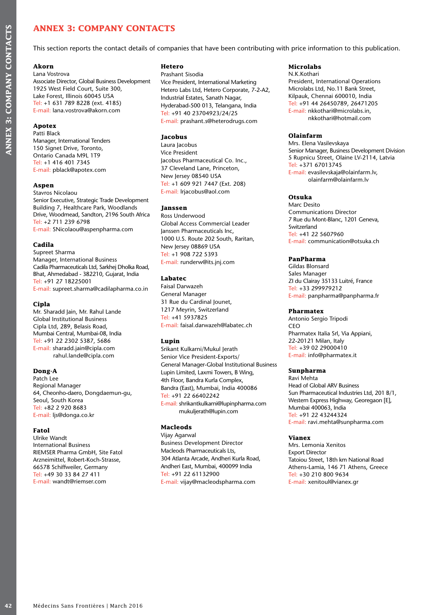## **ANNEX 3: COMPANY CONTACTS**

This section reports the contact details of companies that have been contributing with price information to this publication.

## **Akorn**

Lana Vostrova

Associate Director, Global Business Development 1925 West Field Court, Suite 300, Lake Forest, Illinois 60045 USA Tel: +1 631 789 8228 (ext. 4185) E-mail: lana.vostrova@akorn.com

#### **Apotex**

Patti Black Manager, International Tenders 150 Signet Drive, Toronto, Ontario Canada M9L 1T9 Tel: +1 416 401 7345 E-mail: pblack@apotex.com

#### **Aspen**

Stavros Nicolaou Senior Executive, Strategic Trade Development Building 7, Healthcare Park, Woodlands Drive, Woodmead, Sandton, 2196 South Africa Tel: +2 711 239 6798 E-mail: SNicolaou@aspenpharma.com

#### **Cadila**

Supreet Sharma Manager, International Business Cadila Pharmaceuticals Ltd, Sarkhej Dholka Road, Bhat, Ahmedabad - 382210, Gujarat, India Tel: +91 27 18225001 E-mail: supreet.sharma@cadilapharma.co.in

#### **Cipla**

**42** MWEX 3: COMPANY CON<br>
This section reports the contact detail<br>
Akorn<br>
Lane Voster Relations, Global Business Developm<br>
1923 West Fred Court, Suite 300,<br>
1922 West Fred Court, Suite 300,<br>
Tele-1-631 789 8228 (ext. 4185) Mr. Sharadd Jain, Mr. Rahul Lande Global Institutional Business Cipla Ltd, 289, Belasis Road, Mumbai Central, Mumbai-08, India Tel: +91 22 2302 5387, 5686 E-mail: sharadd.jain@cipla.com rahul.lande@cipla.com

#### **Dong-A**

Patch Lee Regional Manager 64, Cheonho-daero, Dongdaemun-gu, Seoul, South Korea Tel: +82 2 920 8683 E-mail: ljs@donga.co.kr

#### **Fatol**

Ulrike Wandt International Business RIEMSER Pharma GmbH, Site Fatol Arzneimittel, Robert-Koch-Strasse, 66578 Schiffweiler, Germany Tel: +49 30 33 84 27 411 E-mail: wandt@riemser.com

## **Hetero**

Prashant Sisodia Vice President, International Marketing Hetero Labs Ltd, Hetero Corporate, 7-2-A2, Industrial Estates, Sanath Nagar, Hyderabad-500 013, Telangana, India Tel: +91 40 23704923/24/25 E-mail: prashant.s@heterodrugs.com

#### **Jacobus**

Laura Jacobus Vice President Jacobus Pharmaceutical Co. Inc., 37 Cleveland Lane, Princeton, New Jersey 08540 USA Tel: +1 609 921 7447 (Ext. 208) E-mail: lrjacobus@aol.com

#### **Janssen**

Ross Underwood Global Access Commercial Leader Janssen Pharmaceuticals Inc, 1000 U.S. Route 202 South, Raritan, New Jersey 08869 USA Tel: +1 908 722 5393 E-mail: runderw@its.jnj.com

#### **Labatec**

Faisal Darwazeh General Manager 31 Rue du Cardinal Jounet, 1217 Meyrin, Switzerland Tel: +41 5937825 E-mail: faisal.darwazeh@labatec.ch

#### **Lupin**

Srikant Kulkarni/Mukul Jerath Senior Vice President-Exports/ General Manager-Global Institutional Business Lupin Limited, Laxmi Towers, B Wing, 4th Floor, Bandra Kurla Complex, Bandra (East), Mumbai, India 400086 Tel: +91 22 66402242 E-mail: shrikantkulkarni@lupinpharma.com mukuljerath@lupin.com

#### **Macleods**

Vijay Agarwal Business Development Director Macleods Pharmaceuticals Lts, 304 Atlanta Arcade, Andheri Kurla Road, Andheri East, Mumbai, 400099 India Tel: +91 22 61132900 E-mail: vijay@macleodspharma.com

## **Microlabs**

N.K.Kothari President, International Operations Microlabs Ltd, No.11 Bank Street, Kilpauk, Chennai 600010, India Tel: +91 44 26450789, 26471205 E-mail: nkkothari@microlabs.in, nkkothari@hotmail.com

#### **Olainfarm**

Mrs. Elena Vasilevskaya Senior Manager, Business Development Division 5 Rupnicu Street, Olaine LV-2114, Latvia Tel: +371 67013745 E-mail: evasilevskaja@olainfarm.lv, olainfarm@olainfarm.lv

#### **Otsuka**

Marc Desito Communications Director 7 Rue du Mont-Blanc, 1201 Geneva, Switzerland Tel: +41 22 5607960 E-mail: communication@otsuka.ch

#### **PanPharma**

Gildas Blonsard Sales Manager ZI du Clairay 35133 Luitré, France Tel: +33 299979212 E-mail: panpharma@panpharma.fr

#### **Pharmatex**

Antonio Sergio Tripodi CEO Pharmatex Italia Srl, Via Appiani, 22-20121 Milan, Italy Tel: +39 02 29000410 E-mail: info@pharmatex.it

## **Sunpharma**

Ravi Mehta Head of Global ARV Business Sun Pharmaceutical Industries Ltd, 201 B/1, Western Express Highway, Georegaon [E], Mumbai 400063, India Tel: +91 22 43244324 E-mail: ravi.mehta@sunpharma.com

#### **Vianex**

Mrs. Lemonia Xenitos Export Director Tatoiou Street, 18th km National Road Athens-Lamia, 146 71 Athens, Greece Tel: +30 210 800 9634 E-mail: xenitoul@vianex.gr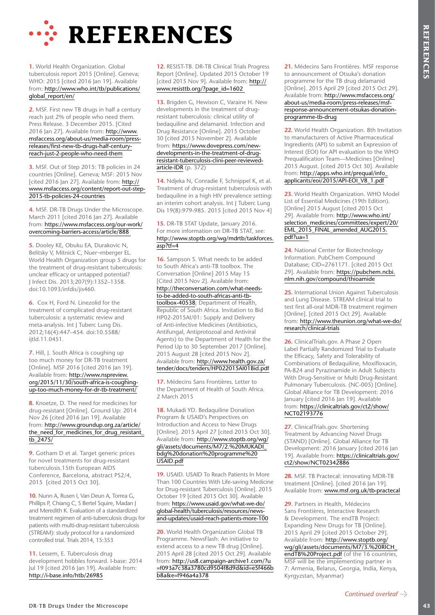

**1.** World Health Organization. Global tuberculosis report 2015 [Online]. Geneva; WHO: 2015 [cited 2016 Jan 19]. Available from: http://www.who.int/tb/publications/ global\_report/en/

**2.** MSF. First new TB drugs in half a century reach just 2% of people who need them. Press Release. 3 December 2015. [Cited 2016 Jan 27]. Available from: http://www. msfaccess.org/about-us/media-room/pressreleases/first-new-tb-drugs-half-centuryreach-just-2-people-who-need-them

**3.** MSF. Out of Step 2015: TB policies in 24 countries [Online]. Geneva; MSF: 2015 Nov [cited 2016 Jan 27]. Available from: http:// www.msfaccess.org/content/report-out-step-2015-tb-policies-24-countries

**4.** MSF. DR-TB Drugs Under the Microscope. March 2011 [cited 2016 Jan 27]. Available from: https://www.msfaccess.org/our-work/ overcoming-barriers-access/article/888

**5.** Dooley KE, Obuku EA, Durakovic N, Belitsky V, Mitnick C, Nuer¬mberger EL. World Health Organization group 5 drugs for the treatment of drug-resistant tuberculosis: unclear efficacy or untapped potential? J Infect Dis. 2013;207(9):1352–1358. doi:10.1093/infdis/jis460.

**6.** Cox H, Ford N. Linezolid for the treatment of complicated drug-resistant tuberculosis: a systematic review and meta-analysis. Int J Tuberc Lung Dis. 2012;16(4):447–454. doi:10.5588/ ijtld.11.0451.

**7.** Hill, J. South Africa is coughing up too much money for DR-TB treatment [Online]. MSF 2016 [cited 2016 Jan 19]. Available from: http://www.nspreview. org/2015/11/30/south-africa-is-coughingup-too-much-money-for-dr-tb-treatment/

**8.** Knoetze, D. The need for medicines for drug-resistant [Online]. Ground Up: 2014 Nov 26 [cited 2016 Jan 19]. Available from: http://www.groundup.org.za/article/ the need for medicines for drug resistant tb\_2475/

**9.** Gotham D et al. Target generic prices for novel treatments for drug-resistant tuberculosis.15th European AIDS Conference, Barcelona, abstract PS2/4, 2015 [cited 2015 Oct 30].

**10.** Nunn A, Rusen I, Van Deun A, Torrea G, Phillips P, Chiang C, S Bertel Squire, Madan J and Meredith K. Evaluation of a standardized treatment regimen of anti-tuberculosis drugs for patients with multi-drug-resistant tuberculosis (STREAM): study protocol for a randomized controlled trial. Trials 2014, 15:353

**11.** Lessem, E. Tuberculosis drug development hobbles forward. I-base: 2014 Jul 19 [cited 2016 Jan 19]. Available from: http://i-base.info/htb/26985

**12.** RESIST-TB. DR-TB Clinical Trials Progress Report [Online]. Updated 2015 October 19 [cited 2015 Nov 9]. Available from: http:// www.resisttb.org/?page\_id=1602

**13.** Brigden G, Hewison C, Varaine H. New developments in the treatment of drugresistant tuberculosis: clinical utility of bedaquiline and delamanid. Infection and Drug Resistance [Online]. 2015 October 30 [cited 2015 November 2]. Available from: https://www.dovepress.com/newdevelopments-in-the-treatment-of-drugresistant-tuberculosis-clini-peer-reviewedarticle-IDR (p. 372)

**14.** Ndjeka N, Conradie F, Schnippel K, et al. Treatment of drug-resistant tuberculosis with bedaquiline in a high HIV prevalence setting: an interim cohort analysis. Int J Tuberc Lung Dis 19(8):979-985. 2015 [cited 2015 Nov 4]

#### 15. DR-TB STAT Update, January 2016. For more information on DR-TB STAT, see: http://www.stoptb.org/wg/mdrtb/taskforces. asp?tf=4

**PREFERENCES**<br> **EXAMPLE RENDERS** AND CONFERENCES CONTINUES IN CONTINUES CONTINUES (CONTINUES CONTINUES CONTINUES CONTINUES CONTINUES CONTINUES CONTINUES CONTINUES CONTINUES CONTINUES CONTINUES CONTINUES CONTINUES CONTINUE **16.** Sampson S. What needs to be added to South Africa's anti-TB toolbox. The Conversation [Online] 2015 May 15 [Cited 2015 Nov 2]. Available from: http://theconversation.com/what-needsto-be-added-to-south-africas-anti-tbtoolbox-40538; Department of Health, Republic of South Africa. Invitation to Bid HP02-2015AI/01: Supply and Delivery of Anti-infective Medicines (Antibiotics, Antifungal, Antiprotozoal and Antiviral Agents) to the Department of Health for the Period Up to 30 September 2017 [Online]. 2015 August 28 [cited 2015 Nov 2]. Available from: http://www.health.gov.za/ tender/docs/tenders/HP022015AI01Bid.pdf

**17.** Médecins Sans Frontières. Letter to the Department of Health of South Africa. 2 March 2015

**18.** Mukadi YD. Bedaquiline Donation Program & USAID's Perspectives on Introduction and Access to New Drugs [Online]. 2015 April 27 [cited 2015 Oct 30]. Available from: http://www.stoptb.org/wg/ gli/assets/documents/M7/2.%20MUKADI\_ bdg%20donation%20programme%20 USAID.pdf

**19.** USAID. USAID To Reach Patients In More Than 100 Countries With Life-saving Medicine for Drug-resistant Tuberculosis [Online]. 2015 October 19 [cited 2015 Oct 30]. Available from: https://www.usaid.gov/what-we-do/ global-health/tuberculosis/resources/newsand-updates/usaid-reach-patients-more-100

**20.** World Health Organization Global TB Programme. NewsFlash: An initiative to extend access to a new TB drug [Online]. 2015 April 28 [cited 2015 Oct 29]. Available from: http://us8.campaign-archive1.com/?u =f093a7c38a3780cd9504f8d9d&id=e5f466b b8a&e=f946a4a378

**21.** Médecins Sans Frontières. MSF response to announcement of Otsuka's donation programme for the TB drug delamanid [Online]. 2015 April 29 [cited 2015 Oct 29]. Available from: http://www.msfaccess.org/ about-us/media-room/press-releases/msfresponse-announcement-otsukas-donationprogramme-tb-drug

**22.** World Health Organization. 8th Invitation to manufacturers of Active Pharmaceutical Ingredients (API) to submit an Expression of Interest (EOI) for API evaluation to the WHO Prequalification Team—Medicines [Online] 2015 August. [cited 2015 Oct 30]. Available from: http://apps.who.int/prequal/info\_ applicants/eoi/2015/API-EOI\_V8\_1.pdf

**23.** World Health Organization. WHO Model List of Essential Medicines (19th Edition). [Online] 2015 August [cited 2015 Oct 29]. Available from: http://www.who.int/ selection\_medicines/committees/expert/20/ EML\_2015\_FINAL\_amended\_AUG2015. pdf?ua=1

**24.** National Center for Biotechnology Information. PubChem Compound Database; CID=2761171. [cited 2015 Oct 29]. Available from: https://pubchem.ncbi. nlm.nih.gov/compound/thioamide

**25.** International Union Against Tuberculosis and Lung Disease. STREAM clinical trial to test first all-oral MDR-TB treatment regimen [Online]. [cited 2015 Oct 29]. Available from: http://www.theunion.org/what-we-do/ research/clinical-trials

**26.** ClinicalTrials.gov. A Phase 2 Open Label Partially Randomized Trial to Evaluate the Efficacy, Safety and Tolerability of Combinations of Bedaquiline, Moxifloxacin, PA-824 and Pyrazinamide in Adult Subjects With Drug-Sensitive or Multi Drug-Resistant Pulmonary Tuberculosis. (NC-005) [Online]. Global Alliance for TB Development: 2016 January [cited 2016 Jan 19]. Available from: https://clinicaltrials.gov/ct2/show/ NCT02193776

**27.** ClinicalTrials.gov. Shortening Treatment by Advancing Novel Drugs (STAND) [Online]. Global Alliance for TB Development: 2016 January [cited 2016 Jan 19]. Available from: https://clinicaltrials.gov/ ct2/show/NCT02342886

**28.** MSF. TB Practecal: innovating MDR-TB treatment [Online]. [cited 2016 Jan 19]. Available from: www.msf.org.uk/tb-practecal

**29.** Partners in Health, Médecins Sans Frontières, Interactive Research & Development. The endTB Project: Expanding New Drugs for TB [Online]. 2015 April 29 [cited 2015 October 29]. Available from: http://www.stoptb.org/ wg/gli/assets/documents/M7/3.%20RICH\_ endTB%20Project.pdf (of the 16 countries, MSF will be the implementing partner in 7: Armenia, Belarus, Georgia, India, Kenya, Kyrgyzstan, Myanmar)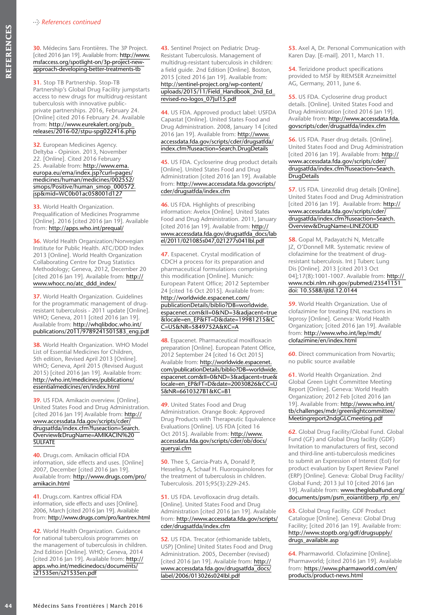**30.** Médecins Sans Frontières. The 3P Project. [cited 2016 Jan 19]. Available from: http://www. msfaccess.org/spotlight-on/3p-project-newapproach-developing-better-treatments-tb

**44** Médecins Sans Frontières The 3P Projection (Figure 2016) And Control (Figure 2016) And Control (Figure 2016) And Control (Figure 2016) And Control (Figure 2016) And Control (Figure 2016) And Control (Figure 24) Contro **31.** Stop TB Partnership. Stop-TB Partnership's Global Drug Facility jumpstarts access to new drugs for multidrug-resistant tuberculosis with innovative publicprivate partnerships. 2016, February 24. [Online] cited 2016 February 24. Available from: http://www.eurekalert.org/pub\_ releases/2016-02/stpu-spg022416.php

**32.** European Medicines Agency. Deltyba - Opinion. 2013, November 22. [Online]. Cited 2016 February 25. Available from: http://www.ema. europa.eu/ema/index.jsp?curl=pages/ medicines/human/medicines/002552/ smops/Positive/human\_smop\_000572. jsp&mid=WC0b01ac058001d127

**33.** World Health Organization. Prequalification of Medicines Programme [Online]. 2016 [cited 2016 Jan 19]. Available from: http://apps.who.int/prequal/

**36.** World Health Organization/Norwegian Institute for Public Health. ATC/DDD Index 2013 [Online]. World Health Organization Collaborating Centre for Drug Statistics Methodology; Geneva, 2012, December 20 [cited 2016 Jan 19]. Available from: http:// www.whocc.no/atc\_ddd\_index/

**37.** World Health Organization. Guidelines for the programmatic management of drugresistant tuberculosis - 2011 update [Online]. WHO; Geneva, 2011 [cited 2016 Jan 19]. Available from: http://whqlibdoc.who.int/ publications/2011/9789241501583\_eng.pdf

**38.** World Health Organization. WHO Model List of Essential Medicines for Children, 5th edition, Revised April 2013 [Online]. WHO; Geneva, April 2015 (Revised August 2015) [cited 2016 Jan 19]. Available from: http://who.int/medicines/publications/ essentialmedicines/en/index.html

**39.** US FDA. Amikacin overview. [Online]. United States Food and Drug Administration. [cited 2016 Jan 19] Available from: http:// www.accessdata.fda.gov/scripts/cder/ drugsatfda/index.cfm?fuseaction=Search. Overview&DrugName=AMIKACIN%20 SULFATE

**40.** Drugs.com. Amikacin official FDA information, side effects and uses. [Online] 2007, December [cited 2016 Jan 19]. Available from: http://www.drugs.com/pro/ amikacin.html

**41.** Drugs.com. Kantrex official FDA information, side effects and uses [Online]. 2006, March [cited 2016 Jan 19]. Available from: http://www.drugs.com/pro/kantrex.html

**42.** World Health Organization. Guidance for national tuberculosis programmes on the management of tuberculosis in children. 2nd Edition [Online]. WHO; Geneva, 2014 [cited 2016 Jan 19]. Available from: http:// apps.who.int/medicinedocs/documents/ s21535en/s21535en.pdf

**43.** Sentinel Project on Pediatric Drug-Resistant Tuberculosis. Management of multidrug-resistant tuberculosis in children: a field guide. 2nd Edition [Online]. Boston, 2015 [cited 2016 Jan 19]. Available from: http://sentinel-project.org/wp-content/ uploads/2015/11/Field\_Handbook\_2nd\_Ed\_ revised-no-logos\_07Jul15.pdf

**44.** US FDA. Approved product label: USFDA Capastat [Online]. United States Food and Drug Administration. 2008, January 14 [cited 2016 Jan 19]. Available from: http://www. accessdata.fda.gov/scripts/cder/drugsatfda/ index.cfm?fuseaction=Search.DrugDetails

**45.** US FDA. Cycloserine drug product details [Online]. United States Food and Drug Administration [cited 2016 Jan 19]. Available from: http://www.accessdata.fda.govscripts/ cder/drugsatfda/index.cfm

**46.** US FDA. Highlights of prescribing information: Avelox [Online]. United States Food and Drug Administration. 2011, January [cited 2016 Jan 19]. Available from: http:// www.accessdata.fda.gov/drugsatfda\_docs/lab el/2011/021085s047,021277s041lbl.pdf

**47.** Espacenet. Crystal modification of CDCH a process for its preparation and pharmaceutical formulations comprising this modification [Online]. Munich: European Patent Office; 2012 September 24 [cited 16 Oct 2015]. Available from: http://worldwide.espacenet.com/ publicationDetails/biblio?DB=worldwide. espacenet.com&II=0&ND=3&adjacent=true &locale=en\_EP&FT=D&date=19981215&C C=US&NR=5849752A&KC=A

**48.** Espacenet. Pharmaceutical moxifloxacin preparation [Online]. European Patent Office, 2012 September 24 [cited 16 Oct 2015] Available from: http://worldwide.espacenet. com/publicationDetails/biblio?DB=worldwide. espacenet.com&II=0&ND=3&adjacent=true& locale=en\_EP&FT=D&date=20030826&CC=U S&NR=6610327B1&KC=B1

**49.** United States Food and Drug Administration. Orange Book: Approved Drug Products with Therapeutic Equivalence Evaluations [Online]. US FDA [cited 16 Oct 2015]. Available from: http://www. accessdata.fda.gov/scripts/cder/ob/docs/ queryai.cfm

**50.** Thee S, Garcia-Prats A, Donald P, Hesseling A, Schaaf H. Fluoroquinolones for the treatment of tuberculosis in children. Tuberculosis. 2015;95(3):229-245.

**51.** US FDA. Levofloxacin drug details. [Online]. United States Food and Drug Administration [cited 2016 Jan 19]. Available from: http://www.accessdata.fda.gov/scripts/ cder/drugsatfda/index.cfm

**52.** US FDA. Trecator (ethiomanide tablets, USP) [Online] United States Food and Drug Administration. 2005, December (revised) [cited 2016 Jan 19]. Available from: http:// www.accessdata.fda.gov/drugsatfda\_docs/ label/2006/013026s024lbl.pdf

**53.** Axel A, Dr. Personal Communication with Karen Day. [E-mail]. 2011, March 11.

**54.** Terizidone product specifications provided to MSF by RIEMSER Arzneimittel AG, Germany, 2011, June 6.

**55.** US FDA. Cycloserine drug product details. [Online]. United States Food and Drug Administration [cited 2016 Jan 19]. Available from: http://www.accessdata.fda. govscripts/cder/drugsatfda/index.cfm

**56.** US FDA. Paser drug details. [Online]. United States Food and Drug Administration [cited 2016 Jan 19]. Available from: http:// www.accessdata.fda.gov/scripts/cder/ drugsatfda/index.cfm?fuseaction=Search. **DrugDetails** 

**57.** US FDA. Linezolid drug details [Online]. United States Food and Drug Administration [cited 2016 Jan 19]. Available from: http:// www.accessdata.fda.gov/scripts/cder/ drugsatfda/index.cfm?fuseaction=Search. Overview&DrugName=LINEZOLID

**58.** Gopal M, Padayatchi N, Metcalfe JZ, O'Donnell MR. Systematic review of clofazimine for the treatment of drugresistant tuberculosis. Int J Tuberc Lung Dis [Online]. 2013 [cited 2013 Oct 04];17(8):1001-1007. Available from: http:// www.ncbi.nlm.nih.gov/pubmed/23541151 doi: 10.5588/ijtld.12.0144

**59.** World Health Organization. Use of clofazimine for treating ENL reactions in leprosy [Online]. Geneva: World Health Organization; [cited 2016 Jan 19]. Available from: http://www.who.int/lep/mdt/ clofazimine/en/index.html

**60.** Direct communication from Novartis; no public source available

**61.** World Health Organization. 2nd Global Green Light Committee Meeting Report [Online]. Geneva: World Health Organization; 2012 Feb [cited 2016 Jan 19]. Available from: http://www.who.int/ tb/challenges/mdr/greenlightcommittee/ Meetingreport2ndgGLCmeeting.pdf

**62.** Global Drug Facility/Global Fund. Global Fund (GF) and Global Drug facility (GDF) Invitation to manufacturers of first, second and third-line anti-tuberculosis medicines to submit an Expression of Interest (EoI) for product evaluation by Expert Review Panel (ERP) [Online]. Geneva: Global Drug Facility/ Global Fund; 2013 Jul 10 [cited 2016 Jan 19]. Available from: www.theglobalfund.org/ documents/psm/psm\_eoiantitberp\_rfp\_en/

**63.** Global Drug Facility. GDF Product Catalogue [Online]. Geneva: Global Drug Facility; [cited 2016 Jan 19]. Available from: http://www.stoptb.org/gdf/drugsupply/ drugs\_available.asp

**64.** Pharmaworld. Clofazimine [Online]. Pharmaworld; [cited 2016 Jan 19]. Available from: https://www.pharmaworld.com/en/ products/product-news.html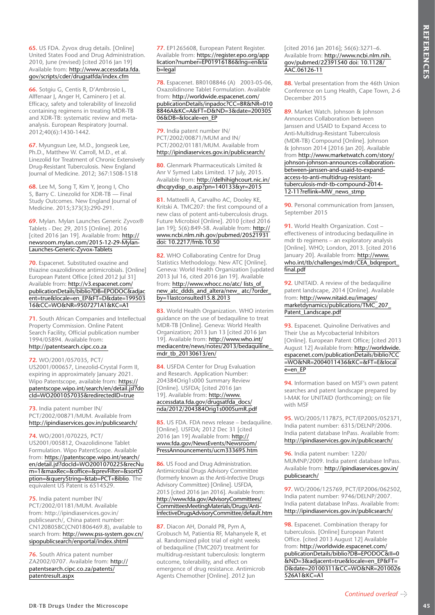**65.** US FDA. Zyvox drug details. [Online] United States Food and Drug Administration. 2010, June (revised) [cited 2016 Jan 19] Available from: http://www.accessdata.fda. gov/scripts/cder/drugsatfda/index.cfm

**66.** Sotgiu G, Centis R, D'Ambrosio L, Alffenaar I, Anger H, Caminero I et al. Efficacy, safety and tolerability of linezolid containing regimens in treating MDR-TB and XDR-TB: systematic review and metaanalysis. European Respiratory Journal. 2012;40(6):1430-1442.

**67.** Myungsun Lee, M.D., Jongseok Lee, Ph.D., Matthew W. Carroll, M.D., et al. Linezolid for Treatment of Chronic Extensively Drug-Resistant Tuberculosis. New England Journal of Medicine. 2012; 367:1508-1518

**68.** Lee M, Song T, Kim Y, Jeong I, Cho S, Barry C. Linezolid for XDR-TB — Final Study Outcomes. New England Journal of Medicine. 2015;373(3):290-291.

**69.** Mylan. Mylan Launches Generic Zyvox® Tablets - Dec 29, 2015 [Online]. 2016 [cited 2016 Jan 19]. Available from: http:// newsroom.mylan.com/2015-12-29-Mylan-Launches-Generic-Zyvox-Tablets

**70.** Espacenet. Substituted oxazine and thiazine oxazolidinone antimicrobials. [Online] European Patent Office [cited 2012 Jul 31] Available from: http://v3.espacenet.com/ publicationDetails/biblio?DB=EPODOC&adjac ent=true&locale=en\_EP&FT=D&date=199503 16&CC=WO&NR=9507271A1&KC=A1

**71.** South African Companies and Intellectual Property Commission. Online Patent Search Facility, Official publication number 1994/05894. Available from: http://patentsearch.cipc.co.za

**72.** WO/2001/057035, PCT/ US2001/000657, Linezolid-Crystal Form II, expiring in approximately January 2021. Wipo Patentscope, available from: https:// patentscope.wipo.int/search/en/detail.jsf?do cId=WO2001057035&redirectedID=true

#### **73.** India patent number IN/ PCT/2002/00871/MUM. Available from http://ipindiaservices.gov.in/publicsearch/

**74.** WO/2001/070225, PCT/ US2001/005812, Oxazolidinone Tablet Formulation. Wipo PatentScope. Available from: https://patentscope.wipo.int/search/ en/detail.jsf?docId=WO2001070225&recNu m=1&maxRec=&office=&prevFilter=&sortO ption=&queryString=&tab=PCT+Biblio. The equivalent US Patent is 6514529.

**75.** India patent number IN/ PCT/2002/01181/MUM. Available from: http://ipindiaservices.gov.in/ publicsearch/, China patent number: CN1208058C(CN01806469.8), available to search from: http://www.pss-system.gov.cn/ sipopublicsearch/enportal/index.shtml

**76.** South Africa patent number ZA2002/0707. Available from: http:// patentsearch.cipc.co.za/patents/ patentresult.aspx

**77.** EP1265608, European Patent Register. Available from: https://register.epo.org/app lication?number=EP01916186&lng=en&ta b=legal

**78.** Espacenet. BR0108846 (A) 2003-05-06, Oxazolidinone Tablet Formulation. Available from: http://worldwide.espacenet.com/ publicationDetails/inpadoc?CC=BR&NR=010 8846A&KC=A&FT=D&ND=3&date=200305 06&DB=&locale=en\_EP

**79.** India patent number IN/ PCT/2002/00871/MUM and IN/ PCT/2002/01181/MUM. Available from http://ipindiaservices.gov.in/publicsearch/

**80.** Glenmark Pharmaceuticals Limited & Anr V Symed Labs Limited. 17 July, 2015. Available from: http://delhihighcourt.nic.in/ dhcqrydisp\_o.asp?pn=140133&yr=2015

**81.** Matteelli A, Carvalho AC, Dooley KE, Kritski A. TMC207: the first compound of a new class of potent anti-tuberculosis drugs. Future Microbiol [Online]. 2010 [cited 2016 Jan 19]; 5(6):849-58. Available from: http:// www.ncbi.nlm.nih.gov/pubmed/20521931 doi: 10.2217/fmb.10.50

**82.** WHO Collaborating Centre for Drug Statistics Methodology. New ATC [Online]. Geneva: World Health Organization [updated 2013 Jul 16, cited 2016 Jan 19]. Available from: http://www.whocc.no/atc/ lists\_of\_ new\_atc\_ddds\_and\_altera/new\_ atc/?order\_ by=1lastconsulted15.8.2013

**83.** World Health Organization. WHO interim guidance on the use of bedaquiline to treat MDR-TB [Online]. Geneva: World Health Organization; 2013 Jun 13 [cited 2016 Jan 19]. Available from: http://www.who.int/ mediacentre/news/notes/2013/bedaquiline\_ mdr\_tb\_20130613/en/

**84.** USFDA Center for Drug Evaluation and Research. Application Number: 204384Orig1s000 Summary Review [Online]. USFDA; [cited 2016 Jan 19]. Available from: http://www. accessdata.fda.gov/drugsatfda\_docs/ nda/2012/204384Orig1s000SumR.pdf

**85.** US FDA. FDA news release – bedaquiline. [Online]. USFDA; 2012 Dec 31 [cited 2016 Jan 19] Available from: http:// www.fda.gov/NewsEvents/Newsroom/ PressAnnouncements/ucm333695.htm

**86.** US Food and Drug Administration. Antimicrobial Drugs Advisory Committee (formerly known as the Anti-Infective Drugs Advisory Committee) [Online]. USFDA, 2015 [cited 2016 Jan 2016]. Available from: http://www.fda.gov/AdvisoryCommittees/ CommitteesMeetingMaterials/Drugs/Anti-InfectiveDrugsAdvisoryCommittee/default.htm

**87.** Diacon AH, Donald PR, Pym A, Grobusch M, Patientia RF, Mahanyele R, et al. Randomized pilot trial of eight weeks of bedaquiline (TMC207) treatment for multidrug-resistant tuberculosis: longterm outcome, tolerability, and effect on emergence of drug resistance. Antimicrob Agents Chemother [Online]. 2012 Jun

[cited 2016 Jan 2016]; 56(6):3271–6. Available from: http://www.ncbi.nlm.nih. gov/pubmed/22391540 doi: 10.1128/ AAC.06126-11

**88.** Verbal presentation from the 46th Union Conference on Lung Health, Cape Town, 2-6 December 2015

At His case we appear in the state in the state in the state in the state in the state in the state in the state in the state in the state is a state in the state in the state is a state in the state in the state is a sta **89.** Market Watch. Johnson & Johnson Announces Collaboration between Janssen and USAID to Expand Access to Anti-Multidrug-Resistant Tuberculosis (MDR-TB) Compound [Online]. Johnson & Johnson 2014 [2016 Jan 20]. Available from http://www.marketwatch.com/story/ johnson-johnson-announces-collaborationbetween-janssen-and-usaid-to-expandaccess-to-anti-multidrug-resistanttuberculosis-mdr-tb-compound-2014- 12-11?reflink=MW\_news\_stmp

**90.** Personal communication from Janssen. September 2015

**91.** World Health Organization. Cost – effectiveness of introducing bedaquiline in mdr tb regimens – an exploratory analysis [Online]. WHO; London, 2013. [cited 2016 January 20]. Available from: http://www. who.int/tb/challenges/mdr/CEA\_bdqreport\_ final.pdf

**92.** UNITAID. A review of the bedaquiline patent landscape, 2014 [Online]. Available from: http://www.nitaid.eu/images/ marketdynamics/publications/TMC\_207\_ Patent\_Landscape.pdf

**93.** Espacenet. Quinoline Derivatives and Their Use as Mycobacterial Inhibitors [Online]. European Patent Office; [cited 2013 August 12] Available from: http://worldwide. espacenet.com/publicationDetails/biblio?CC =WO&NR=2004011436&KC=&FT=E&local e=en\_EP

**94.** Information based on MSF's own patent searches and patent landscape prepared by I-MAK for UNITAID (forthcoming); on file with MSF

**95.** WO/2005/117875, PCT/EP2005/052371, India patent number: 6315/DELNP/2006. India patent database InPass. Available from: http://ipindiaservices.gov.in/publicsearch/

**96.** India patent number: 1220/ MUMNP/2009. India patent database InPass. Available from: http://ipindiaservices.gov.in/ publicsearch/

**97.** WO/2006/125769, PCT/EP2006/062502, India patent number: 9746/DELNP/2007. India patent database InPass. Available from: http://ipindiaservices.gov.in/publicsearch/

**98.** Espacenet. Combination therapy for tuberculosis. [Online] European Patent Office. [cited 2013 August 12] Available from: http://worldwide.espacenet.com/ publicationDetails/biblio?DB=EPODOC&II=0 &ND=3&adjacent=true&locale=en\_EP&FT= D&date=20100311&CC=WO&NR=2010026 526A1&KC=A1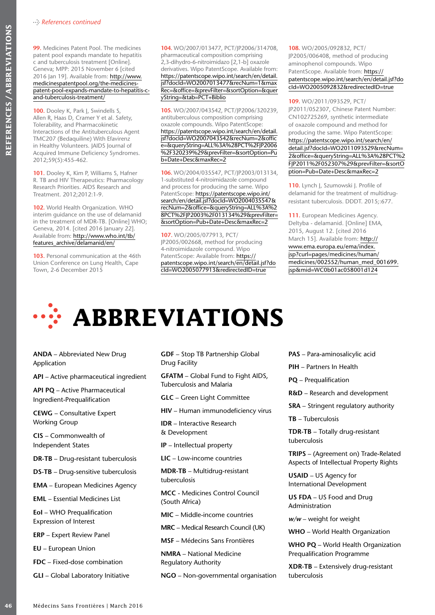**99.** Medicines Patent Pool. The medicines patent pool expands mandate to hepatitis c and tuberculosis treatment [Online]. Geneva; MPP: 2015 November 6 [cited 2016 Jan 19]. Available from: http://www. medicinespatentpool.org/the-medicinespatent-pool-expands-mandate-to-hepatitis-cand-tuberculosis-treatment/

**100.** Dooley K, Park J, Swindells S, Allen R, Haas D, Cramer Y et al. Safety, Tolerability, and Pharmacokinetic Interactions of the Antituberculous Agent TMC207 (Bedaquiline) With Efavirenz in Healthy Volunteers. JAIDS Journal of Acquired Immune Deficiency Syndromes. 2012;59(5):455-462.

**101.** Dooley K, Kim P, Williams S, Hafner R. TB and HIV Therapeutics: Pharmacology Research Priorities. AIDS Research and Treatment. 2012;2012:1-9.

**102.** World Health Organization. WHO interim guidance on the use of delamanid in the treatment of MDR-TB. [Online] WHO; Geneva, 2014. [cited 2016 January 22]. Available from: http://www.who.int/tb/ features\_archive/delamanid/en/

**103.** Personal communication at the 46th Union Conference on Lung Health, Cape Town, 2-6 December 2015

**104.** WO/2007/013477, PCT/JP2006/314708, pharmaceutical composition comprising 2,3-dihydro-6-nitroimidazo [2,1-b] oxazole derivatives. Wipo PatentScope. Available from: https://patentscope.wipo.int/search/en/detail. jsf?docId=WO2007013477&recNum=1&max Rec=&office=&prevFilter=&sortOption=&quer yString=&tab=PCT+Biblio

**105.** WO/2007/043542, PCT/JP2006/320239, antituberculous composition comprising oxazole compounds. Wipo PatentScope: https://patentscope.wipo.int/search/en/detail. jsf?docId=WO2007043542&recNum=2&offic e=&queryString=ALL%3A%28PCT%2FJP2006 %2F320239%29&prevFilter=&sortOption=Pu b+Date+Desc&maxRec=2

**106.** WO/2004/035547, PCT/JP2003/013134, 1-substituted 4-nitroimidazole compound and process for producing the same. Wipo PatentScope: https://patentscope.wipo.int/ search/en/detail.jsf?docId=WO2004035547& recNum=2&office=&queryString=ALL%3A%2 8PCT%2FJP2003%2F013134%29&prevFilter= &sortOption=Pub+Date+Desc&maxRec=2

**107.** WO/2005/077913, PCT/ JP2005/002668, method for producing 4-nitroimidazole compound. Wipo PatentScope: Available from: https:// patentscope.wipo.int/search/en/detail.jsf?do cId=WO2005077913&redirectedID=true

**108.** WO/2005/092832, PCT/ JP2005/006408, method of producing aminophenol compounds. Wipo PatentScope. Available from: https:// patentscope.wipo.int/search/en/detail.jsf?do cId=WO2005092832&redirectedID=true

**109.** WO/2011/093529, PCT/ JP2011/052307, Chinese Patent Number: CN102725269, synthetic intermediate of oxazole compound and method for producing the same. Wipo PatentScope: https://patentscope.wipo.int/search/en/ detail.jsf?docId=WO2011093529&recNum= 2&office=&queryString=ALL%3A%28PCT%2 FJP2011%2F052307%29&prevFilter=&sortO ption=Pub+Date+Desc&maxRec=2

**110.** Lynch J, Szumowski J. Profile of delamanid for the treatment of multidrugresistant tuberculosis. DDDT. 2015;:677.

**111.** European Medicines Agency. Deltyba - delamanid. [Online] EMA, 2015, August 12. [cited 2016 March 15]. Available from: http:// www.ema.europa.eu/ema/index. jsp?curl=pages/medicines/human/ medicines/002552/human\_med\_001699. jsp&mid=WC0b01ac058001d124

# **ABBREVIATIONS**

**ANDA** – Abbreviated New Drug Application

**API** – Active pharmaceutical ingredient

**API PQ** – Active Pharmaceutical Ingredient-Prequalification

**CEWG** – Consultative Expert Working Group

**CIS** – Commonwealth of Independent States

**DR-TB** – Drug-resistant tuberculosis

**DS-TB** – Drug-sensitive tuberculosis

**EMA** – European Medicines Agency

**EML** – Essential Medicines List

**EoI** – WHO Prequalification Expression of Interest

**ERP** – Expert Review Panel

**EU** – European Union

**FDC** – Fixed-dose combination

**GLI** – Global Laboratory Initiative

**GDF** – Stop TB Partnership Global Drug Facility

**GFATM** – Global Fund to Fight AIDS, Tuberculosis and Malaria

**GLC** – Green Light Committee

**HIV** – Human immunodeficiency virus

**IDR** – Interactive Research & Development

**IP** – Intellectual property

**LIC** – Low-income countries

**MDR-TB** – Multidrug-resistant tuberculosis

**MCC** - Medicines Control Council (South Africa)

**MIC** – Middle-income countries

**MRC** – Medical Research Council (UK)

**MSF** – Médecins Sans Frontières

**NMRA** – National Medicine Regulatory Authority

**NGO** – Non-governmental organisation

**PAS** – Para-aminosalicylic acid

**PIH** – Partners In Health

**PQ** – Prequalification

**R&D** – Research and development

**SRA** – Stringent regulatory authority

**TB** – Tuberculosis

**TDR-TB** – Totally drug-resistant tuberculosis

**TRIPS** – (Agreement on) Trade-Related Aspects of Intellectual Property Rights

**USAID** – US Agency for International Development

**US FDA** – US Food and Drug Administration

*w/w* – weight for weight

**WHO** – World Health Organization

**WHO PQ** – World Health Organization Prequalification Programme

**XDR-TB** – Extensively drug-resistant tuberculosis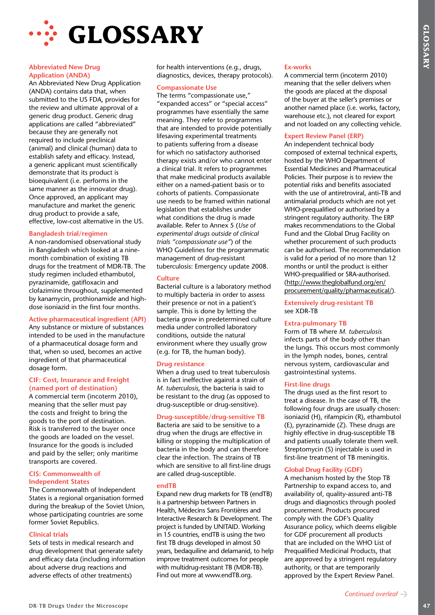



#### **Abbreviated New Drug Application (ANDA)**

An Abbreviated New Drug Application (ANDA) contains data that, when submitted to the US FDA, provides for the review and ultimate approval of a generic drug product. Generic drug applications are called "abbreviated" because they are generally not required to include preclinical (animal) and clinical (human) data to establish safety and efficacy. Instead, a generic applicant must scientifically demonstrate that its product is bioequivalent (i.e. performs in the same manner as the innovator drug). Once approved, an applicant may manufacture and market the generic drug product to provide a safe, effective, low-cost alternative in the US.

#### **Bangladesh trial/regimen**

A non-randomised observational study in Bangladesh which looked at a ninemonth combination of existing TB drugs for the treatment of MDR-TB. The study regimen included ethambutol, pyrazinamide, gatifloxacin and clofazimine throughout, supplemented by kanamycin, prothionamide and highdose isoniazid in the first four months.

## **Active pharmaceutical ingredient (API)**

Any substance or mixture of substances intended to be used in the manufacture of a pharmaceutical dosage form and that, when so used, becomes an active ingredient of that pharmaceutical dosage form.

#### **CIF: Cost, Insurance and Freight (named port of destination)**

A commercial term (incoterm 2010), meaning that the seller must pay the costs and freight to bring the goods to the port of destination. Risk is transferred to the buyer once the goods are loaded on the vessel. Insurance for the goods is included and paid by the seller; only maritime transports are covered.

#### **CIS: Commonwealth of Independent States**

The Commonwealth of Independent States is a regional organisation formed during the breakup of the Soviet Union, whose participating countries are some former Soviet Republics.

## **Clinical trials**

Sets of tests in medical research and drug development that generate safety and efficacy data (including information about adverse drug reactions and adverse effects of other treatments)

for health interventions (e.g., drugs, diagnostics, devices, therapy protocols).

#### **Compassionate Use**

**ELOSSARY**<br> **ELOSSARY**<br> **ELEONS ARREST CONSULTER ANTEST AND ARREST AND A CONSULTER AND A CONSULTER AND A CONSULTER AND A CONSULTER AND A CONSULTER AND A CONSULTER AND A CONSULTER AND A CONSULTER AND A CONSULTER AND A CONS** The terms "compassionate use," "expanded access" or "special access" programmes have essentially the same meaning. They refer to programmes that are intended to provide potentially lifesaving experimental treatments to patients suffering from a disease for which no satisfactory authorised therapy exists and/or who cannot enter a clinical trial. It refers to programmes that make medicinal products available either on a named-patient basis or to cohorts of patients. Compassionate use needs to be framed within national legislation that establishes under what conditions the drug is made available. Refer to Annex 5 (*Use of experimental drugs outside of clinical trials "compassionate use"*) of the WHO Guidelines for the programmatic management of drug-resistant tuberculosis: Emergency update 2008.

#### **Culture**

Bacterial culture is a laboratory method to multiply bacteria in order to assess their presence or not in a patient's sample. This is done by letting the bacteria grow in predetermined culture media under controlled laboratory conditions, outside the natural environment where they usually grow (e.g. for TB, the human body).

#### **Drug resistance**

When a drug used to treat tuberculosis is in fact ineffective against a strain of *M. tuberculosis*, the bacteria is said to be resistant to the drug (as opposed to drug-susceptible or drug-sensitive).

#### **Drug-susceptible/drug-sensitive TB**

Bacteria are said to be sensitive to a drug when the drugs are effective in killing or stopping the multiplication of bacteria in the body and can therefore clear the infection. The strains of TB which are sensitive to all first-line drugs are called drug-susceptible.

#### **endTB**

Expand new drug markets for TB (endTB) is a partnership between Partners in Health, Médecins Sans Frontières and Interactive Research & Development. The project is funded by UNITAID. Working in 15 countries, endTB is using the two first TB drugs developed in almost 50 years, bedaquiline and delamanid, to help improve treatment outcomes for people with multidrug-resistant TB (MDR-TB). Find out more at www.endTB.org.

#### **Ex-works**

A commercial term (incoterm 2010) meaning that the seller delivers when the goods are placed at the disposal of the buyer at the seller's premises or another named place (i.e. works, factory, warehouse etc.), not cleared for export and not loaded on any collecting vehicle.

#### **Expert Review Panel (ERP)**

An independent technical body composed of external technical experts, hosted by the WHO Department of Essential Medicines and Pharmaceutical Policies. Their purpose is to review the potential risks and benefits associated with the use of antiretroviral, anti-TB and antimalarial products which are not yet WHO-prequalified or authorised by a stringent regulatory authority. The ERP makes recommendations to the Global Fund and the Global Drug Facility on whether procurement of such products can be authorised. The recommendation is valid for a period of no more than 12 months or until the product is either WHO-prequalified or SRA-authorised. (http://www.theglobalfund.org/en/ procurement/quality/pharmaceutical/).

#### **Extensively drug-resistant TB** see XDR-TB

#### **Extra-pulmonary TB**

Form of TB where *M. tuberculosis* infects parts of the body other than the lungs. This occurs most commonly in the lymph nodes, bones, central nervous system, cardiovascular and gastrointestinal systems.

#### **First-line drugs**

The drugs used as the first resort to treat a disease. In the case of TB, the following four drugs are usually chosen: isoniazid (H), rifampicin (R), ethambutol (E), pyrazinamide (Z). These drugs are highly effective in drug-susceptible TB and patients usually tolerate them well. Streptomycin (S) injectable is used in first-line treatment of TB meningitis.

## **Global Drug Facility (GDF)**

A mechanism hosted by the Stop TB Partnership to expand access to, and availability of, quality-assured anti-TB drugs and diagnostics through pooled procurement. Products procured comply with the GDF's Quality Assurance policy, which deems eligible for GDF procurement all products that are included on the WHO List of Prequalified Medicinal Products, that are approved by a stringent regulatory authority, or that are temporarily approved by the Expert Review Panel.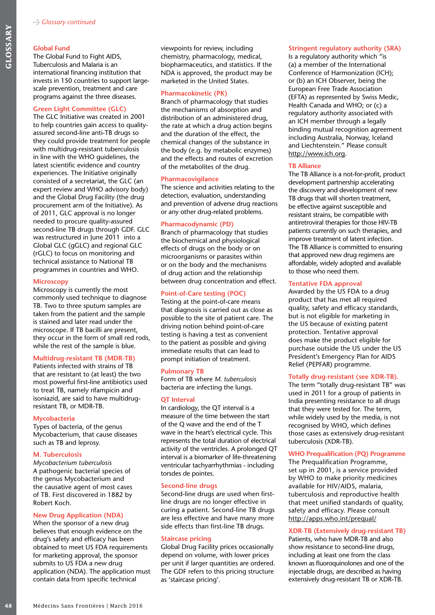#### **Global Fund**

The Global Fund to Fight AIDS, Tuberculosis and Malaria is an international financing institution that invests in 150 countries to support largescale prevention, treatment and care programs against the three diseases.

#### **Green Light Committee (GLC)**

**148** Global Fund to Fight AIDS, The Clobal Fund to Fight AIDS, The Clobal Fund to Fight AIDS, The Uncertains in interation of reacting the scale precention, treatment and care<br>in interations in 150 countries to support la The GLC Initiative was created in 2001 to help countries gain access to qualityassured second-line anti-TB drugs so they could provide treatment for people with multidrug-resistant tuberculosis in line with the WHO guidelines, the latest scientific evidence and country experiences. The Initiative originally consisted of a secretariat, the GLC (an expert review and WHO advisory body) and the Global Drug Facility (the drug procurement arm of the Initiative). As of 2011, GLC approval is no longer needed to procure quality-assured second-line TB drugs through GDF. GLC was restructured in June 2011 into a Global GLC (gGLC) and regional GLC (rGLC) to focus on monitoring and technical assistance to National TB programmes in countries and WHO.

#### **Microscopy**

Microscopy is currently the most commonly used technique to diagnose TB. Two to three sputum samples are taken from the patient and the sample is stained and later read under the microscope. If TB bacilli are present, they occur in the form of small red rods, while the rest of the sample is blue.

#### **Multidrug-resistant TB (MDR-TB)**

Patients infected with strains of TB that are resistant to (at least) the two most powerful first-line antibiotics used to treat TB, namely rifampicin and isoniazid, are said to have multidrugresistant TB, or MDR-TB.

#### **Mycobacteria**

Types of bacteria, of the genus Mycobacterium, that cause diseases such as TB and leprosy.

#### **M. Tuberculosis**

*Mycobacterium tuberculosis*  A pathogenic bacterial species of the genus Mycobacterium and the causative agent of most cases of TB. First discovered in 1882 by Robert Koch.

#### **New Drug Application (NDA)**

When the sponsor of a new drug believes that enough evidence on the drug's safety and efficacy has been obtained to meet US FDA requirements for marketing approval, the sponsor submits to US FDA a new drug application (NDA). The application must contain data from specific technical

viewpoints for review, including chemistry, pharmacology, medical, biopharmaceutics, and statistics. If the NDA is approved, the product may be marketed in the United States.

#### **Pharmacokinetic (PK)**

Branch of pharmacology that studies the mechanisms of absorption and distribution of an administered drug, the rate at which a drug action begins and the duration of the effect, the chemical changes of the substance in the body (e.g. by metabolic enzymes) and the effects and routes of excretion of the metabolites of the drug.

#### **Pharmacovigilance**

The science and activities relating to the detection, evaluation, understanding and prevention of adverse drug reactions or any other drug-related problems.

#### **Pharmacodynamic (PD)**

Branch of pharmacology that studies the biochemical and physiological effects of drugs on the body or on microorganisms or parasites within or on the body and the mechanisms of drug action and the relationship between drug concentration and effect.

#### **Point-of-Care testing (POC)**

Testing at the point-of-care means that diagnosis is carried out as close as possible to the site of patient care. The driving notion behind point-of-care testing is having a test as convenient to the patient as possible and giving immediate results that can lead to prompt initiation of treatment.

#### **Pulmonary TB**

Form of TB where *M. tuberculosis* bacteria are infecting the lungs.

#### **QT Interval**

In cardiology, the QT interval is a measure of the time between the start of the Q wave and the end of the T wave in the heart's electrical cycle. This represents the total duration of electrical activity of the ventricles. A prolonged QT interval is a biomarker of life-threatening ventricular tachyarrhythmias - including torsdes de pointes.

#### **Second-line drugs**

Second-line drugs are used when firstline drugs are no longer effective in curing a patient. Second-line TB drugs are less effective and have many more side effects than first-line TB drugs.

#### **Staircase pricing**

Global Drug Facility prices occasionally depend on volume, with lower prices per unit if larger quantities are ordered. The GDF refers to this pricing structure as 'staircase pricing'.

#### **Stringent regulatory authority (SRA)**

Is a regulatory authority which "is (a) a member of the International Conference of Harmonization (ICH); or (b) an ICH Observer, being the European Free Trade Association (EFTA) as represented by Swiss Medic, Health Canada and WHO; or (c) a regulatory authority associated with an ICH member through a legally binding mutual recognition agreement including Australia, Norway, Iceland and Liechtenstein." Please consult http://www.ich.org.

#### **TB Alliance**

The TB Alliance is a not-for-profit, product development partnership accelerating the discovery and development of new TB drugs that will shorten treatment, be effective against susceptible and resistant strains, be compatible with antiretroviral therapies for those HIV-TB patients currently on such therapies, and improve treatment of latent infection. The TB Alliance is committed to ensuring that approved new drug regimens are affordable, widely adopted and available to those who need them.

#### **Tentative FDA approval**

Awarded by the US FDA to a drug product that has met all required quality, safety and efficacy standards, but is not eligible for marketing in the US because of existing patent protection. Tentative approval does make the product eligible for purchase outside the US under the US President's Emergency Plan for AIDS Relief (PEPFAR) programme.

#### **Totally drug-resistant (see XDR-TB).**

The term "totally drug-resistant TB" was used in 2011 for a group of patients in India presenting resistance to all drugs that they were tested for. The term, while widely used by the media, is not recognised by WHO, which defines those cases as extensively drug-resistant tuberculosis (XDR-TB).

#### **WHO Prequalification (PQ) Programme**

The Prequalification Programme, set up in 2001, is a service provided by WHO to make priority medicines available for HIV/AIDS, malaria, tuberculosis and reproductive health that meet unified standards of quality, safety and efficacy. Please consult http://apps.who.int/prequal/

#### **XDR-TB (Extensively drug-resistant TB)**

Patients, who have MDR-TB and also show resistance to second-line drugs, including at least one from the class known as fluoroquinolones and one of the injectable drugs, are described as having extensively drug-resistant TB or XDR-TB.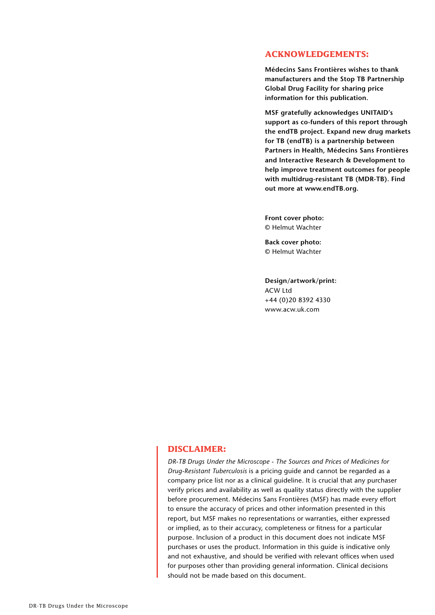## **ACKNOWLEDGEMENTS:**

**Médecins Sans Frontières wishes to thank manufacturers and the Stop TB Partnership Global Drug Facility for sharing price information for this publication.** 

**MSF gratefully acknowledges UNITAID's support as co-funders of this report through the endTB project. Expand new drug markets for TB (endTB) is a partnership between Partners in Health, Médecins Sans Frontières and Interactive Research & Development to help improve treatment outcomes for people with multidrug-resistant TB (MDR-TB). Find out more at www.endTB.org.** 

**Front cover photo:** © Helmut Wachter

**Back cover photo:** © Helmut Wachter

**Design/artwork/print:**  ACW Ltd +44 (0)20 8392 4330 www.acw.uk.com

## **DISCLAIMER:**

*DR-TB Drugs Under the Microscope - The Sources and Prices of Medicines for Drug-Resistant Tuberculosis* is a pricing guide and cannot be regarded as a company price list nor as a clinical guideline. It is crucial that any purchaser verify prices and availability as well as quality status directly with the supplier before procurement. Médecins Sans Frontières (MSF) has made every effort to ensure the accuracy of prices and other information presented in this report, but MSF makes no representations or warranties, either expressed or implied, as to their accuracy, completeness or fitness for a particular purpose. Inclusion of a product in this document does not indicate MSF purchases or uses the product. Information in this guide is indicative only and not exhaustive, and should be verified with relevant offices when used for purposes other than providing general information. Clinical decisions should not be made based on this document.